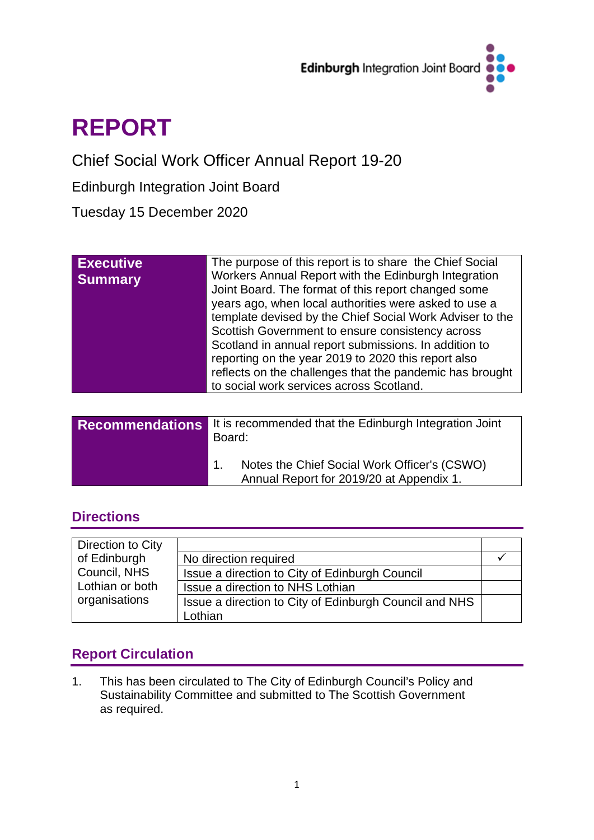

# **REPORT**

Chief Social Work Officer Annual Report 19-20

Edinburgh Integration Joint Board

Tuesday 15 December 2020

| The purpose of this report is to share the Chief Social<br><b>Executive</b><br>Workers Annual Report with the Edinburgh Integration<br><b>Summary</b><br>Joint Board. The format of this report changed some<br>years ago, when local authorities were asked to use a<br>template devised by the Chief Social Work Adviser to the<br>Scottish Government to ensure consistency across<br>Scotland in annual report submissions. In addition to<br>reporting on the year 2019 to 2020 this report also<br>reflects on the challenges that the pandemic has brought<br>to social work services across Scotland. |
|---------------------------------------------------------------------------------------------------------------------------------------------------------------------------------------------------------------------------------------------------------------------------------------------------------------------------------------------------------------------------------------------------------------------------------------------------------------------------------------------------------------------------------------------------------------------------------------------------------------|
|---------------------------------------------------------------------------------------------------------------------------------------------------------------------------------------------------------------------------------------------------------------------------------------------------------------------------------------------------------------------------------------------------------------------------------------------------------------------------------------------------------------------------------------------------------------------------------------------------------------|

| <b>Recommendations</b> | It is recommended that the Edinburgh Integration Joint<br>Board:                         |
|------------------------|------------------------------------------------------------------------------------------|
|                        | Notes the Chief Social Work Officer's (CSWO)<br>Annual Report for 2019/20 at Appendix 1. |

# **Directions**

| Direction to City |                                                        |  |
|-------------------|--------------------------------------------------------|--|
| of Edinburgh      | No direction required                                  |  |
| Council, NHS      | Issue a direction to City of Edinburgh Council         |  |
| Lothian or both   | Issue a direction to NHS Lothian                       |  |
| organisations     | Issue a direction to City of Edinburgh Council and NHS |  |
|                   | Lothian                                                |  |

# **Report Circulation**

1. This has been circulated to The City of Edinburgh Council's Policy and Sustainability Committee and submitted to The Scottish Government as required.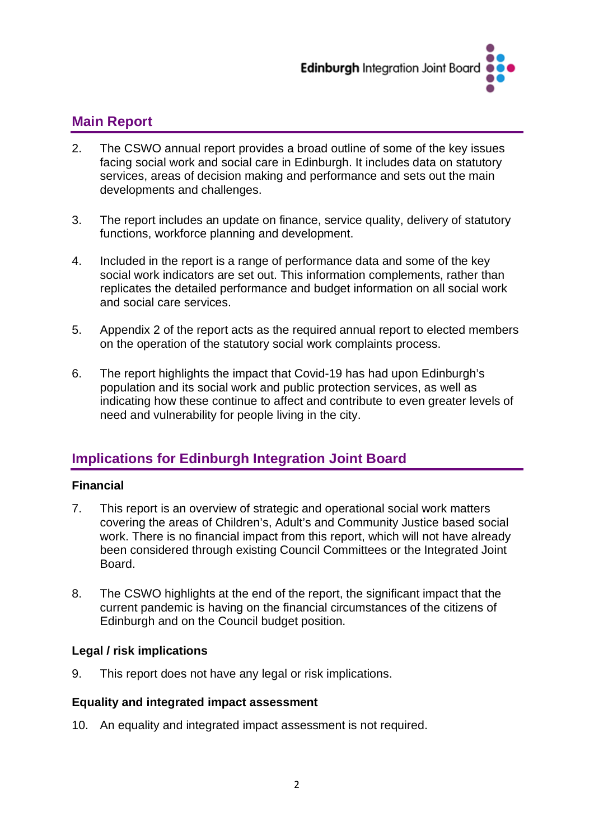

# **Main Report**

- 2. The CSWO annual report provides a broad outline of some of the key issues facing social work and social care in Edinburgh. It includes data on statutory services, areas of decision making and performance and sets out the main developments and challenges.
- 3. The report includes an update on finance, service quality, delivery of statutory functions, workforce planning and development.
- 4. Included in the report is a range of performance data and some of the key social work indicators are set out. This information complements, rather than replicates the detailed performance and budget information on all social work and social care services.
- 5. Appendix 2 of the report acts as the required annual report to elected members on the operation of the statutory social work complaints process.
- 6. The report highlights the impact that Covid-19 has had upon Edinburgh's population and its social work and public protection services, as well as indicating how these continue to affect and contribute to even greater levels of need and vulnerability for people living in the city.

# **Implications for Edinburgh Integration Joint Board**

#### **Financial**

- 7. This report is an overview of strategic and operational social work matters covering the areas of Children's, Adult's and Community Justice based social work. There is no financial impact from this report, which will not have already been considered through existing Council Committees or the Integrated Joint **Board**
- 8. The CSWO highlights at the end of the report, the significant impact that the current pandemic is having on the financial circumstances of the citizens of Edinburgh and on the Council budget position.

#### **Legal / risk implications**

9. This report does not have any legal or risk implications.

#### **Equality and integrated impact assessment**

10. An equality and integrated impact assessment is not required.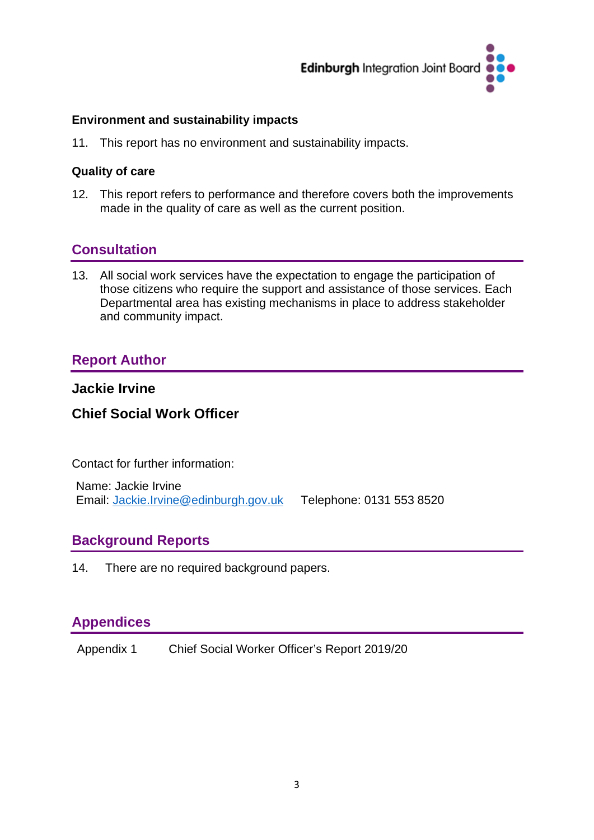

#### **Environment and sustainability impacts**

11. This report has no environment and sustainability impacts.

#### **Quality of care**

12. This report refers to performance and therefore covers both the improvements made in the quality of care as well as the current position.

## **Consultation**

13. All social work services have the expectation to engage the participation of those citizens who require the support and assistance of those services. Each Departmental area has existing mechanisms in place to address stakeholder and community impact.

## **Report Author**

## **Jackie Irvine**

## **Chief Social Work Officer**

Contact for further information:

Name: Jackie Irvine Email: [Jackie.Irvine@edinburgh.gov.uk](mailto:Jackie.Irvine@edinburgh.gov.uk) Telephone: 0131 553 8520

## **Background Reports**

14. There are no required background papers.

## **Appendices**

Appendix 1 Chief Social Worker Officer's Report 2019/20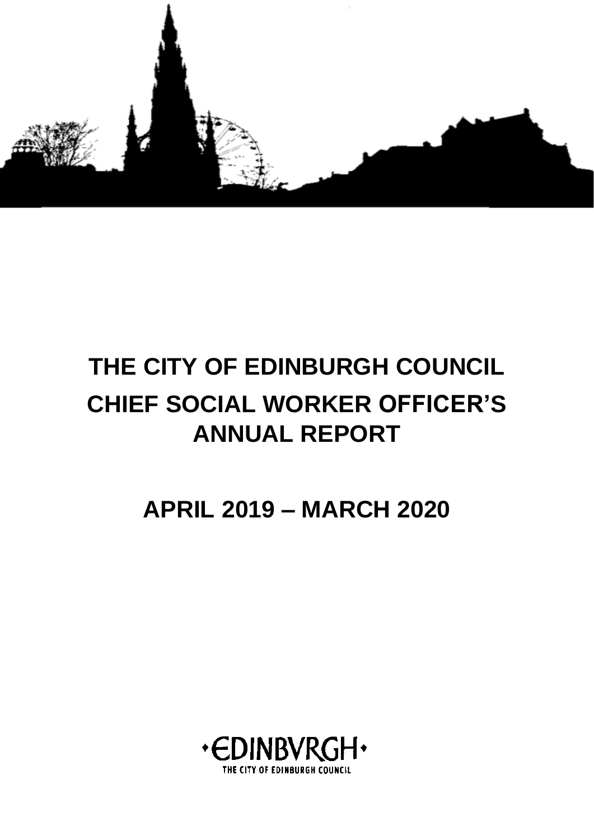

# **THE CITY OF EDINBURGH COUNCIL CHIEF SOCIAL WORKER OFFICER'S ANNUAL REPORT**

**APRIL 2019 – MARCH 2020**

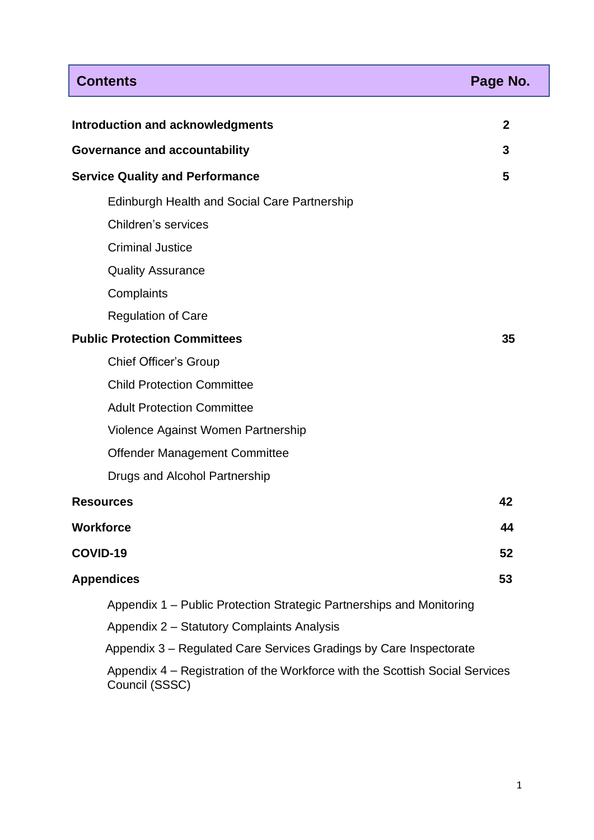| <b>Contents</b>                                                                                | Page No.     |  |  |  |  |
|------------------------------------------------------------------------------------------------|--------------|--|--|--|--|
|                                                                                                |              |  |  |  |  |
| <b>Introduction and acknowledgments</b>                                                        | $\mathbf{2}$ |  |  |  |  |
| <b>Governance and accountability</b>                                                           | 3            |  |  |  |  |
| <b>Service Quality and Performance</b>                                                         | 5            |  |  |  |  |
| Edinburgh Health and Social Care Partnership                                                   |              |  |  |  |  |
| Children's services                                                                            |              |  |  |  |  |
| <b>Criminal Justice</b>                                                                        |              |  |  |  |  |
| <b>Quality Assurance</b>                                                                       |              |  |  |  |  |
| Complaints                                                                                     |              |  |  |  |  |
| <b>Regulation of Care</b>                                                                      |              |  |  |  |  |
| <b>Public Protection Committees</b>                                                            |              |  |  |  |  |
| <b>Chief Officer's Group</b>                                                                   |              |  |  |  |  |
| <b>Child Protection Committee</b>                                                              |              |  |  |  |  |
| <b>Adult Protection Committee</b>                                                              |              |  |  |  |  |
| Violence Against Women Partnership                                                             |              |  |  |  |  |
| Offender Management Committee                                                                  |              |  |  |  |  |
| Drugs and Alcohol Partnership                                                                  |              |  |  |  |  |
| <b>Resources</b>                                                                               | 42           |  |  |  |  |
| <b>Workforce</b>                                                                               | 44           |  |  |  |  |
| COVID-19                                                                                       | 52           |  |  |  |  |
| <b>Appendices</b>                                                                              | 53           |  |  |  |  |
| Appendix 1 – Public Protection Strategic Partnerships and Monitoring                           |              |  |  |  |  |
| Appendix 2 - Statutory Complaints Analysis                                                     |              |  |  |  |  |
| Appendix 3 – Regulated Care Services Gradings by Care Inspectorate                             |              |  |  |  |  |
| Appendix 4 – Registration of the Workforce with the Scottish Social Services<br>Council (SSSC) |              |  |  |  |  |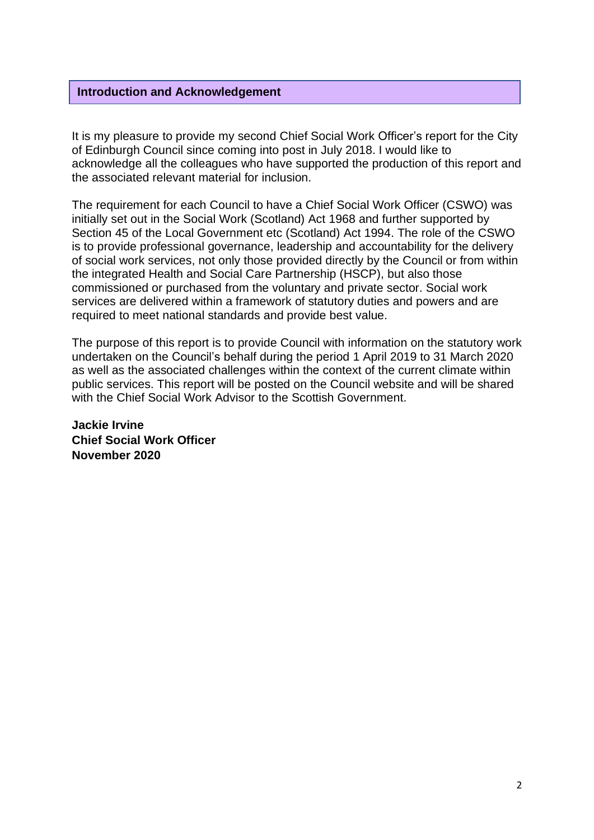#### **Introduction and Acknowledgement**

It is my pleasure to provide my second Chief Social Work Officer's report for the City of Edinburgh Council since coming into post in July 2018. I would like to acknowledge all the colleagues who have supported the production of this report and the associated relevant material for inclusion.

The requirement for each Council to have a Chief Social Work Officer (CSWO) was initially set out in the Social Work (Scotland) Act 1968 and further supported by Section 45 of the Local Government etc (Scotland) Act 1994. The role of the CSWO is to provide professional governance, leadership and accountability for the delivery of social work services, not only those provided directly by the Council or from within the integrated Health and Social Care Partnership (HSCP), but also those commissioned or purchased from the voluntary and private sector. Social work services are delivered within a framework of statutory duties and powers and are required to meet national standards and provide best value.

The purpose of this report is to provide Council with information on the statutory work undertaken on the Council's behalf during the period 1 April 2019 to 31 March 2020 as well as the associated challenges within the context of the current climate within public services. This report will be posted on the Council website and will be shared with the Chief Social Work Advisor to the Scottish Government.

**Jackie Irvine Chief Social Work Officer November 2020**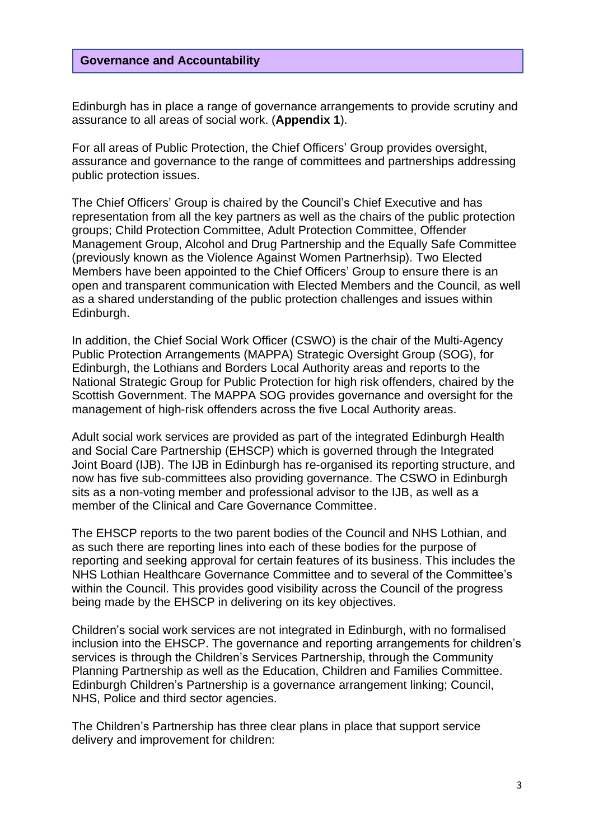#### **Governance and Accountability**

Edinburgh has in place a range of governance arrangements to provide scrutiny and assurance to all areas of social work. (**Appendix 1**).

For all areas of Public Protection, the Chief Officers' Group provides oversight, assurance and governance to the range of committees and partnerships addressing public protection issues.

The Chief Officers' Group is chaired by the Council's Chief Executive and has representation from all the key partners as well as the chairs of the public protection groups; Child Protection Committee, Adult Protection Committee, Offender Management Group, Alcohol and Drug Partnership and the Equally Safe Committee (previously known as the Violence Against Women Partnerhsip). Two Elected Members have been appointed to the Chief Officers' Group to ensure there is an open and transparent communication with Elected Members and the Council, as well as a shared understanding of the public protection challenges and issues within Edinburgh.

In addition, the Chief Social Work Officer (CSWO) is the chair of the Multi-Agency Public Protection Arrangements (MAPPA) Strategic Oversight Group (SOG), for Edinburgh, the Lothians and Borders Local Authority areas and reports to the National Strategic Group for Public Protection for high risk offenders, chaired by the Scottish Government. The MAPPA SOG provides governance and oversight for the management of high-risk offenders across the five Local Authority areas.

Adult social work services are provided as part of the integrated Edinburgh Health and Social Care Partnership (EHSCP) which is governed through the Integrated Joint Board (IJB). The IJB in Edinburgh has re-organised its reporting structure, and now has five sub-committees also providing governance. The CSWO in Edinburgh sits as a non-voting member and professional advisor to the IJB, as well as a member of the Clinical and Care Governance Committee.

The EHSCP reports to the two parent bodies of the Council and NHS Lothian, and as such there are reporting lines into each of these bodies for the purpose of reporting and seeking approval for certain features of its business. This includes the NHS Lothian Healthcare Governance Committee and to several of the Committee's within the Council. This provides good visibility across the Council of the progress being made by the EHSCP in delivering on its key objectives.

Children's social work services are not integrated in Edinburgh, with no formalised inclusion into the EHSCP. The governance and reporting arrangements for children's services is through the Children's Services Partnership, through the Community Planning Partnership as well as the Education, Children and Families Committee. Edinburgh Children's Partnership is a governance arrangement linking; Council, NHS, Police and third sector agencies.

The Children's Partnership has three clear plans in place that support service delivery and improvement for children: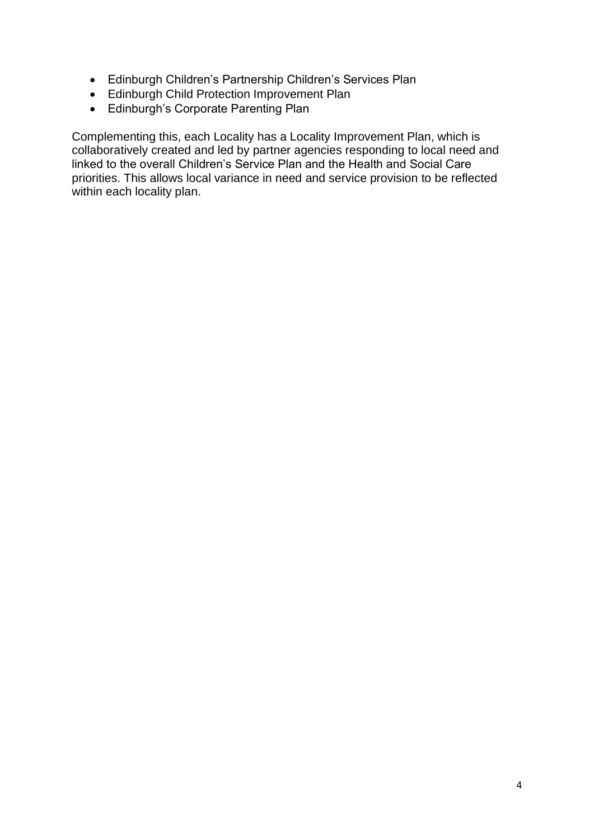- Edinburgh Children's Partnership Children's Services Plan
- Edinburgh Child Protection Improvement Plan
- Edinburgh's Corporate Parenting Plan

Complementing this, each Locality has a Locality Improvement Plan, which is collaboratively created and led by partner agencies responding to local need and linked to the overall Children's Service Plan and the Health and Social Care priorities. This allows local variance in need and service provision to be reflected within each locality plan.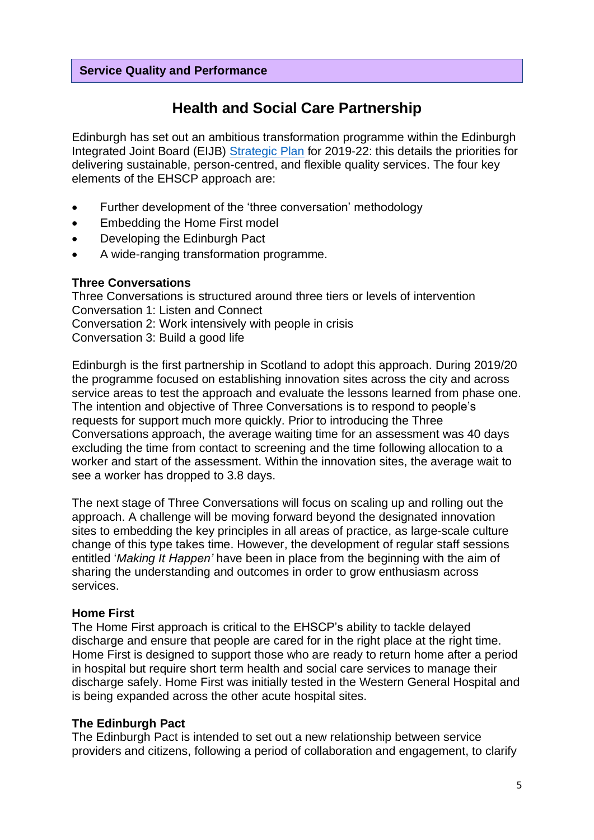#### **Service Quality and Performance**

# **Health and Social Care Partnership**

Edinburgh has set out an ambitious transformation programme within the Edinburgh Integrated Joint Board (EIJB) [Strategic](https://democracy.edinburgh.gov.uk/ieListDocuments.aspx?CId=160&MId=362&Ver=4) Plan for 2019-22: this details the priorities for delivering sustainable, person-centred, and flexible quality services. The four key elements of the EHSCP approach are:

- Further development of the 'three conversation' methodology
- Embedding the Home First model
- Developing the Edinburgh Pact
- A wide-ranging transformation programme.

#### **Three Conversations**

Three Conversations is structured around three tiers or levels of intervention Conversation 1: Listen and Connect Conversation 2: Work intensively with people in crisis Conversation 3: Build a good life

Edinburgh is the first partnership in Scotland to adopt this approach. During 2019/20 the programme focused on establishing innovation sites across the city and across service areas to test the approach and evaluate the lessons learned from phase one. The intention and objective of Three Conversations is to respond to people's requests for support much more quickly. Prior to introducing the Three Conversations approach, the average waiting time for an assessment was 40 days excluding the time from contact to screening and the time following allocation to a worker and start of the assessment. Within the innovation sites, the average wait to see a worker has dropped to 3.8 days.

The next stage of Three Conversations will focus on scaling up and rolling out the approach. A challenge will be moving forward beyond the designated innovation sites to embedding the key principles in all areas of practice, as large-scale culture change of this type takes time. However, the development of regular staff sessions entitled '*Making It Happen'* have been in place from the beginning with the aim of sharing the understanding and outcomes in order to grow enthusiasm across services.

#### **Home First**

The Home First approach is critical to the EHSCP's ability to tackle delayed discharge and ensure that people are cared for in the right place at the right time. Home First is designed to support those who are ready to return home after a period in hospital but require short term health and social care services to manage their discharge safely. Home First was initially tested in the Western General Hospital and is being expanded across the other acute hospital sites.

#### **The Edinburgh Pact**

The Edinburgh Pact is intended to set out a new relationship between service providers and citizens, following a period of collaboration and engagement, to clarify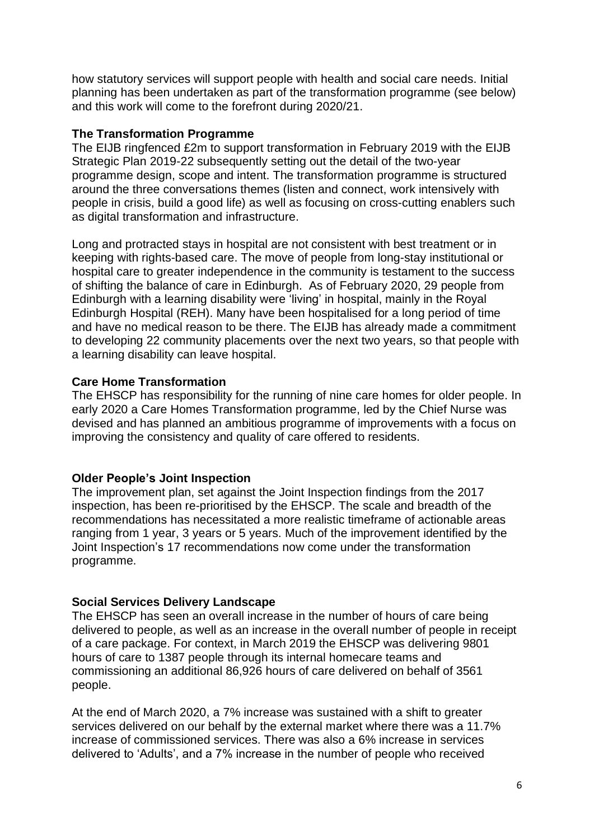how statutory services will support people with health and social care needs. Initial planning has been undertaken as part of the transformation programme (see below) and this work will come to the forefront during 2020/21.

#### **The Transformation Programme**

The EIJB ringfenced £2m to support transformation in February 2019 with the EIJB Strategic Plan 2019-22 subsequently setting out the detail of the two-year programme design, scope and intent. The transformation programme is structured around the three conversations themes (listen and connect, work intensively with people in crisis, build a good life) as well as focusing on cross-cutting enablers such as digital transformation and infrastructure.

Long and protracted stays in hospital are not consistent with best treatment or in keeping with rights-based care. The move of people from long-stay institutional or hospital care to greater independence in the community is testament to the success of shifting the balance of care in Edinburgh. As of February 2020, 29 people from Edinburgh with a learning disability were 'living' in hospital, mainly in the Royal Edinburgh Hospital (REH). Many have been hospitalised for a long period of time and have no medical reason to be there. The EIJB has already made a commitment to developing 22 community placements over the next two years, so that people with a learning disability can leave hospital.

#### **Care Home Transformation**

The EHSCP has responsibility for the running of nine care homes for older people. In early 2020 a Care Homes Transformation programme, led by the Chief Nurse was devised and has planned an ambitious programme of improvements with a focus on improving the consistency and quality of care offered to residents.

## **Older People's Joint Inspection**

The improvement plan, set against the Joint Inspection findings from the 2017 inspection, has been re-prioritised by the EHSCP. The scale and breadth of the recommendations has necessitated a more realistic timeframe of actionable areas ranging from 1 year, 3 years or 5 years. Much of the improvement identified by the Joint Inspection's 17 recommendations now come under the transformation programme.

## **Social Services Delivery Landscape**

The EHSCP has seen an overall increase in the number of hours of care being delivered to people, as well as an increase in the overall number of people in receipt of a care package. For context, in March 2019 the EHSCP was delivering 9801 hours of care to 1387 people through its internal homecare teams and commissioning an additional 86,926 hours of care delivered on behalf of 3561 people.

At the end of March 2020, a 7% increase was sustained with a shift to greater services delivered on our behalf by the external market where there was a 11.7% increase of commissioned services. There was also a 6% increase in services delivered to 'Adults', and a 7% increase in the number of people who received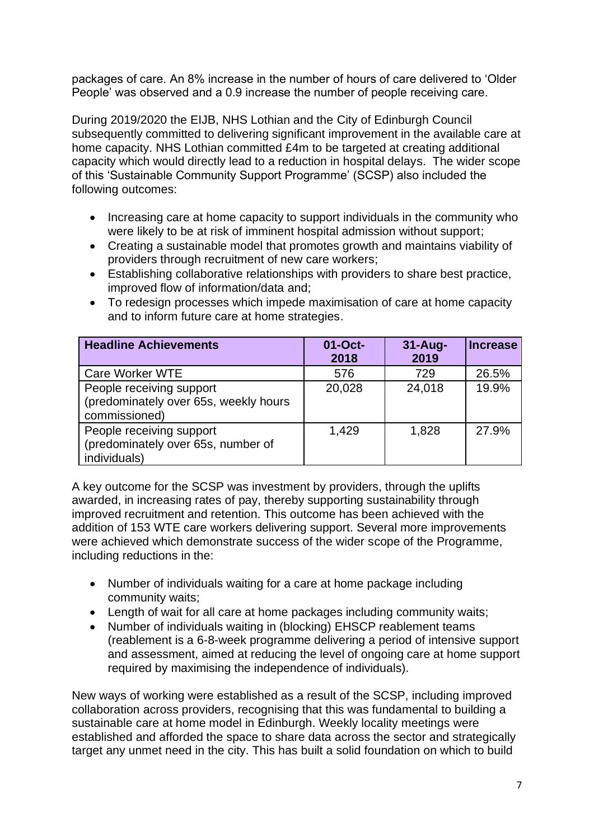packages of care. An 8% increase in the number of hours of care delivered to 'Older People' was observed and a 0.9 increase the number of people receiving care.

During 2019/2020 the EIJB, NHS Lothian and the City of Edinburgh Council subsequently committed to delivering significant improvement in the available care at home capacity. NHS Lothian committed £4m to be targeted at creating additional capacity which would directly lead to a reduction in hospital delays. The wider scope of this 'Sustainable Community Support Programme' (SCSP) also included the following outcomes:

- Increasing care at home capacity to support individuals in the community who were likely to be at risk of imminent hospital admission without support;
- Creating a sustainable model that promotes growth and maintains viability of providers through recruitment of new care workers;
- Establishing collaborative relationships with providers to share best practice, improved flow of information/data and;
- To redesign processes which impede maximisation of care at home capacity and to inform future care at home strategies.

| <b>Headline Achievements</b>                                                       | 01-Oct-<br>2018 | $31-Aug-$<br>2019 | <b>Increase</b> |
|------------------------------------------------------------------------------------|-----------------|-------------------|-----------------|
| Care Worker WTE                                                                    | 576             | 729               | 26.5%           |
| People receiving support<br>(predominately over 65s, weekly hours<br>commissioned) | 20,028          | 24,018            | 19.9%           |
| People receiving support<br>(predominately over 65s, number of<br>individuals)     | 1,429           | 1,828             | 27.9%           |

A key outcome for the SCSP was investment by providers, through the uplifts awarded, in increasing rates of pay, thereby supporting sustainability through improved recruitment and retention. This outcome has been achieved with the addition of 153 WTE care workers delivering support. Several more improvements were achieved which demonstrate success of the wider scope of the Programme, including reductions in the:

- Number of individuals waiting for a care at home package including community waits;
- Length of wait for all care at home packages including community waits;
- Number of individuals waiting in (blocking) EHSCP reablement teams (reablement is a 6-8-week programme delivering a period of intensive support and assessment, aimed at reducing the level of ongoing care at home support required by maximising the independence of individuals).

New ways of working were established as a result of the SCSP, including improved collaboration across providers, recognising that this was fundamental to building a sustainable care at home model in Edinburgh. Weekly locality meetings were established and afforded the space to share data across the sector and strategically target any unmet need in the city. This has built a solid foundation on which to build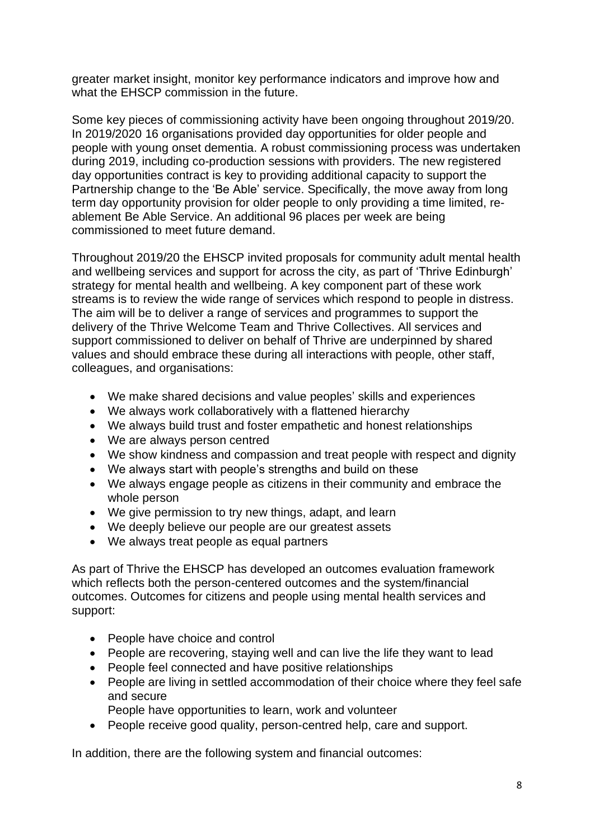greater market insight, monitor key performance indicators and improve how and what the EHSCP commission in the future.

Some key pieces of commissioning activity have been ongoing throughout 2019/20. In 2019/2020 16 organisations provided day opportunities for older people and people with young onset dementia. A robust commissioning process was undertaken during 2019, including co-production sessions with providers. The new registered day opportunities contract is key to providing additional capacity to support the Partnership change to the 'Be Able' service. Specifically, the move away from long term day opportunity provision for older people to only providing a time limited, reablement Be Able Service. An additional 96 places per week are being commissioned to meet future demand.

Throughout 2019/20 the EHSCP invited proposals for community adult mental health and wellbeing services and support for across the city, as part of 'Thrive Edinburgh' strategy for mental health and wellbeing. A key component part of these work streams is to review the wide range of services which respond to people in distress. The aim will be to deliver a range of services and programmes to support the delivery of the Thrive Welcome Team and Thrive Collectives. All services and support commissioned to deliver on behalf of Thrive are underpinned by shared values and should embrace these during all interactions with people, other staff, colleagues, and organisations:

- We make shared decisions and value peoples' skills and experiences
- We always work collaboratively with a flattened hierarchy
- We always build trust and foster empathetic and honest relationships
- We are always person centred
- We show kindness and compassion and treat people with respect and dignity
- We always start with people's strengths and build on these
- We always engage people as citizens in their community and embrace the whole person
- We give permission to try new things, adapt, and learn
- We deeply believe our people are our greatest assets
- We always treat people as equal partners

As part of Thrive the EHSCP has developed an outcomes evaluation framework which reflects both the person-centered outcomes and the system/financial outcomes. Outcomes for citizens and people using mental health services and support:

- People have choice and control
- People are recovering, staying well and can live the life they want to lead
- People feel connected and have positive relationships
- People are living in settled accommodation of their choice where they feel safe and secure
- People have opportunities to learn, work and volunteer
- People receive good quality, person-centred help, care and support.

In addition, there are the following system and financial outcomes: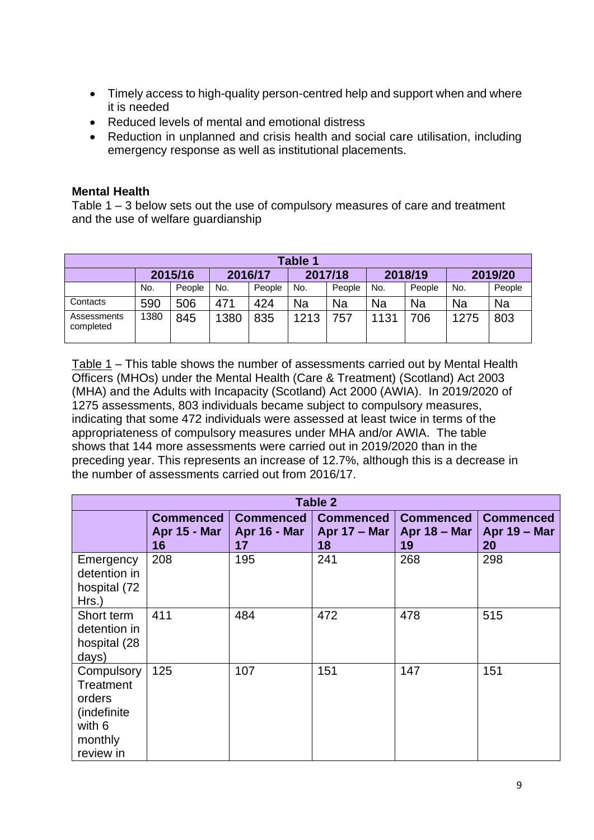- Timely access to high-quality person-centred help and support when and where it is needed
- Reduced levels of mental and emotional distress
- Reduction in unplanned and crisis health and social care utilisation, including emergency response as well as institutional placements.

#### **Mental Health**

Table 1 – 3 below sets out the use of compulsory measures of care and treatment and the use of welfare guardianship

| Table 1                  |         |        |         |        |         |        |         |        |         |        |  |
|--------------------------|---------|--------|---------|--------|---------|--------|---------|--------|---------|--------|--|
|                          | 2015/16 |        | 2016/17 |        | 2017/18 |        | 2018/19 |        | 2019/20 |        |  |
|                          | No.     | People | No.     | People | No.     | People | No.     | People | No.     | People |  |
| Contacts                 | 590     | 506    | 471     | 424    | Na      | Na     | Na      | Na     | Na      | Na     |  |
| Assessments<br>completed | 1380    | 845    | 1380    | 835    | 1213    | 757    | 1131    | 706    | 1275    | 803    |  |

Table 1 – This table shows the number of assessments carried out by Mental Health Officers (MHOs) under the Mental Health (Care & Treatment) (Scotland) Act 2003 (MHA) and the Adults with Incapacity (Scotland) Act 2000 (AWIA). In 2019/2020 of 1275 assessments, 803 individuals became subject to compulsory measures, indicating that some 472 individuals were assessed at least twice in terms of the appropriateness of compulsory measures under MHA and/or AWIA. The table shows that 144 more assessments were carried out in 2019/2020 than in the preceding year. This represents an increase of 12.7%, although this is a decrease in the number of assessments carried out from 2016/17.

| Table 2                                                                             |                                               |                                               |                                          |                                               |                                               |  |  |  |  |
|-------------------------------------------------------------------------------------|-----------------------------------------------|-----------------------------------------------|------------------------------------------|-----------------------------------------------|-----------------------------------------------|--|--|--|--|
|                                                                                     | <b>Commenced</b><br><b>Apr 15 - Mar</b><br>16 | <b>Commenced</b><br><b>Apr 16 - Mar</b><br>17 | <b>Commenced</b><br>Apr $17 -$ Mar<br>18 | <b>Commenced</b><br><b>Apr 18 – Mar</b><br>19 | <b>Commenced</b><br><b>Apr 19 - Mar</b><br>20 |  |  |  |  |
| Emergency<br>detention in<br>hospital (72<br>$Hrs.$ )                               | 208                                           | 195                                           | 241                                      | 268                                           | 298                                           |  |  |  |  |
| Short term<br>detention in<br>hospital (28<br>days)                                 | 411                                           | 484                                           | 472                                      | 478                                           | 515                                           |  |  |  |  |
| Compulsory<br>Treatment<br>orders<br>(indefinite)<br>with 6<br>monthly<br>review in | 125                                           | 107                                           | 151                                      | 147                                           | 151                                           |  |  |  |  |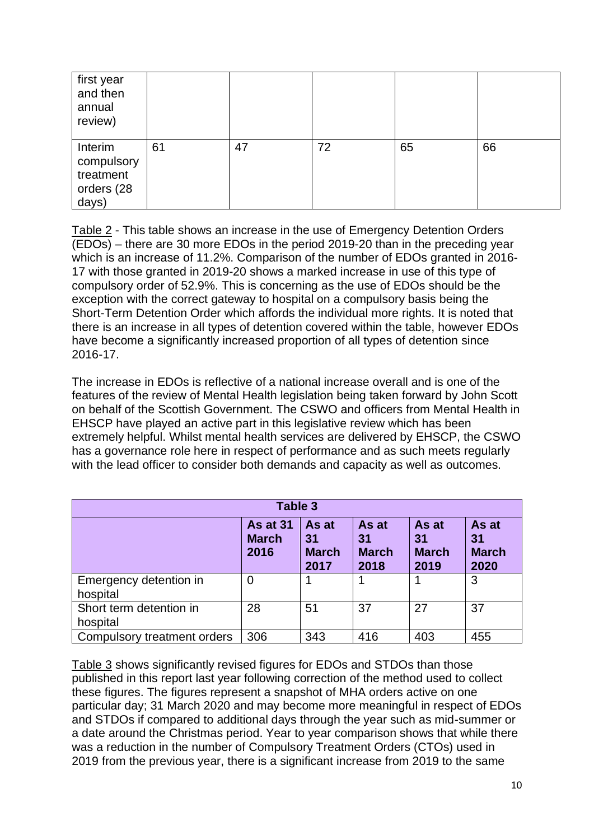| first year<br>and then<br>annual<br>review)               |    |    |    |    |    |
|-----------------------------------------------------------|----|----|----|----|----|
| Interim<br>compulsory<br>treatment<br>orders (28<br>days) | 61 | 47 | 72 | 65 | 66 |

Table 2 - This table shows an increase in the use of Emergency Detention Orders (EDOs) – there are 30 more EDOs in the period 2019-20 than in the preceding year which is an increase of 11.2%. Comparison of the number of EDOs granted in 2016- 17 with those granted in 2019-20 shows a marked increase in use of this type of compulsory order of 52.9%. This is concerning as the use of EDOs should be the exception with the correct gateway to hospital on a compulsory basis being the Short-Term Detention Order which affords the individual more rights. It is noted that there is an increase in all types of detention covered within the table, however EDOs have become a significantly increased proportion of all types of detention since 2016-17.

The increase in EDOs is reflective of a national increase overall and is one of the features of the review of Mental Health legislation being taken forward by John Scott on behalf of the Scottish Government. The CSWO and officers from Mental Health in EHSCP have played an active part in this legislative review which has been extremely helpful. Whilst mental health services are delivered by EHSCP, the CSWO has a governance role here in respect of performance and as such meets regularly with the lead officer to consider both demands and capacity as well as outcomes.

| Table 3                             |                                  |                                     |                                     |                                     |                                     |  |  |  |  |
|-------------------------------------|----------------------------------|-------------------------------------|-------------------------------------|-------------------------------------|-------------------------------------|--|--|--|--|
|                                     | As at 31<br><b>March</b><br>2016 | As at<br>31<br><b>March</b><br>2017 | As at<br>31<br><b>March</b><br>2018 | As at<br>31<br><b>March</b><br>2019 | As at<br>31<br><b>March</b><br>2020 |  |  |  |  |
| Emergency detention in<br>hospital  | $\overline{0}$                   |                                     |                                     |                                     | 3                                   |  |  |  |  |
| Short term detention in<br>hospital | 28                               | 51                                  | 37                                  | 27                                  | 37                                  |  |  |  |  |
| Compulsory treatment orders         | 306                              | 343                                 | 416                                 | 403                                 | 455                                 |  |  |  |  |

Table 3 shows significantly revised figures for EDOs and STDOs than those published in this report last year following correction of the method used to collect these figures. The figures represent a snapshot of MHA orders active on one particular day; 31 March 2020 and may become more meaningful in respect of EDOs and STDOs if compared to additional days through the year such as mid-summer or a date around the Christmas period. Year to year comparison shows that while there was a reduction in the number of Compulsory Treatment Orders (CTOs) used in 2019 from the previous year, there is a significant increase from 2019 to the same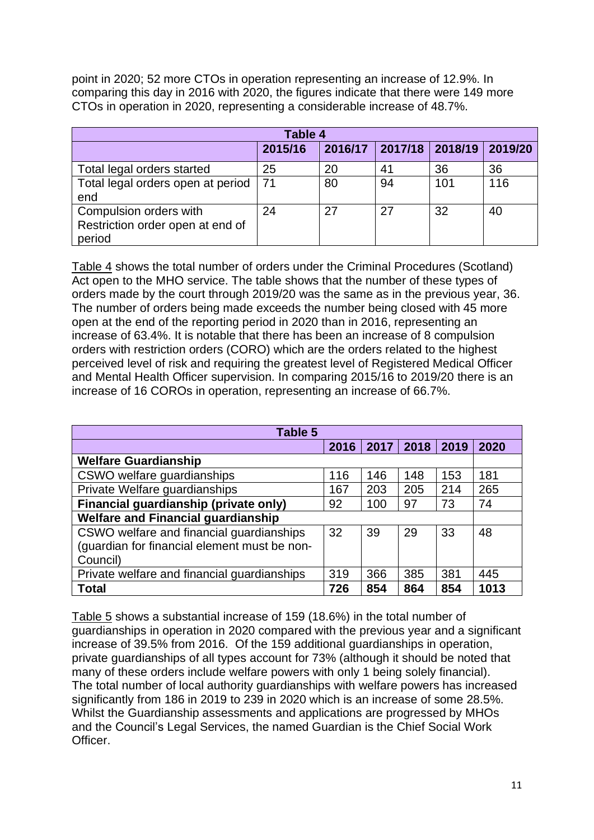point in 2020; 52 more CTOs in operation representing an increase of 12.9%. In comparing this day in 2016 with 2020, the figures indicate that there were 149 more CTOs in operation in 2020, representing a considerable increase of 48.7%.

| Table 4                                                              |         |    |                         |     |         |  |  |  |  |
|----------------------------------------------------------------------|---------|----|-------------------------|-----|---------|--|--|--|--|
|                                                                      | 2015/16 |    | 2016/17 2017/18 2018/19 |     | 2019/20 |  |  |  |  |
| Total legal orders started                                           | 25      | 20 | 41                      | 36  | 36      |  |  |  |  |
| Total legal orders open at period<br>end                             | -71     | 80 | 94                      | 101 | 116     |  |  |  |  |
| Compulsion orders with<br>Restriction order open at end of<br>period | 24      | 27 | 27                      | 32  | 40      |  |  |  |  |

Table 4 shows the total number of orders under the Criminal Procedures (Scotland) Act open to the MHO service. The table shows that the number of these types of orders made by the court through 2019/20 was the same as in the previous year, 36. The number of orders being made exceeds the number being closed with 45 more open at the end of the reporting period in 2020 than in 2016, representing an increase of 63.4%. It is notable that there has been an increase of 8 compulsion orders with restriction orders (CORO) which are the orders related to the highest perceived level of risk and requiring the greatest level of Registered Medical Officer and Mental Health Officer supervision. In comparing 2015/16 to 2019/20 there is an increase of 16 COROs in operation, representing an increase of 66.7%.

| Table 5                                      |      |      |      |      |      |  |  |  |  |
|----------------------------------------------|------|------|------|------|------|--|--|--|--|
|                                              | 2016 | 2017 | 2018 | 2019 | 2020 |  |  |  |  |
| <b>Welfare Guardianship</b>                  |      |      |      |      |      |  |  |  |  |
| CSWO welfare guardianships                   | 116  | 146  | 148  | 153  | 181  |  |  |  |  |
| Private Welfare guardianships                | 167  | 203  | 205  | 214  | 265  |  |  |  |  |
| Financial guardianship (private only)        | 92   | 100  | 97   | 73   | 74   |  |  |  |  |
| <b>Welfare and Financial guardianship</b>    |      |      |      |      |      |  |  |  |  |
| CSWO welfare and financial guardianships     | 32   | 39   | 29   | 33   | 48   |  |  |  |  |
| (guardian for financial element must be non- |      |      |      |      |      |  |  |  |  |
| Council)                                     |      |      |      |      |      |  |  |  |  |
| Private welfare and financial guardianships  | 319  | 366  | 385  | 381  | 445  |  |  |  |  |
| <b>Total</b>                                 | 726  | 854  | 864  | 854  | 1013 |  |  |  |  |

Table 5 shows a substantial increase of 159 (18.6%) in the total number of guardianships in operation in 2020 compared with the previous year and a significant increase of 39.5% from 2016. Of the 159 additional guardianships in operation, private guardianships of all types account for 73% (although it should be noted that many of these orders include welfare powers with only 1 being solely financial). The total number of local authority guardianships with welfare powers has increased significantly from 186 in 2019 to 239 in 2020 which is an increase of some 28.5%. Whilst the Guardianship assessments and applications are progressed by MHOs and the Council's Legal Services, the named Guardian is the Chief Social Work Officer.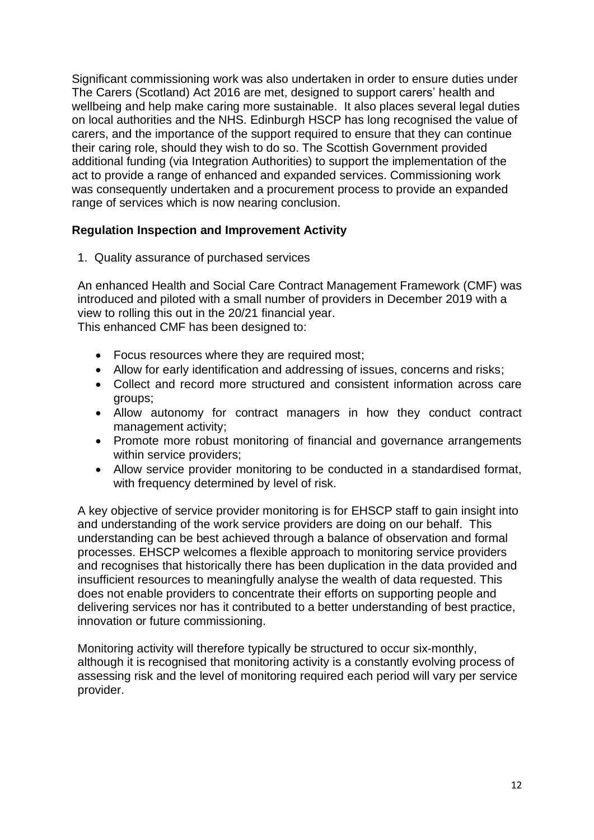Significant commissioning work was also undertaken in order to ensure duties under The Carers (Scotland) Act 2016 are met, designed to support carers' health and wellbeing and help make caring more sustainable. It also places several legal duties on local authorities and the NHS. Edinburgh HSCP has long recognised the value of carers, and the importance of the support required to ensure that they can continue their caring role, should they wish to do so. The Scottish Government provided additional funding (via Integration Authorities) to support the implementation of the act to provide a range of enhanced and expanded services. Commissioning work was consequently undertaken and a procurement process to provide an expanded range of services which is now nearing conclusion.

#### **Regulation Inspection and Improvement Activity**

1. Quality assurance of purchased services

An enhanced Health and Social Care Contract Management Framework (CMF) was introduced and piloted with a small number of providers in December 2019 with a view to rolling this out in the 20/21 financial year. This enhanced CMF has been designed to:

- Focus resources where they are required most:
- Allow for early identification and addressing of issues, concerns and risks;
- Collect and record more structured and consistent information across care groups;
- Allow autonomy for contract managers in how they conduct contract management activity;
- Promote more robust monitoring of financial and governance arrangements within service providers;
- Allow service provider monitoring to be conducted in a standardised format, with frequency determined by level of risk.

A key objective of service provider monitoring is for EHSCP staff to gain insight into and understanding of the work service providers are doing on our behalf. This understanding can be best achieved through a balance of observation and formal processes. EHSCP welcomes a flexible approach to monitoring service providers and recognises that historically there has been duplication in the data provided and insufficient resources to meaningfully analyse the wealth of data requested. This does not enable providers to concentrate their efforts on supporting people and delivering services nor has it contributed to a better understanding of best practice, innovation or future commissioning.

Monitoring activity will therefore typically be structured to occur six-monthly, although it is recognised that monitoring activity is a constantly evolving process of assessing risk and the level of monitoring required each period will vary per service provider.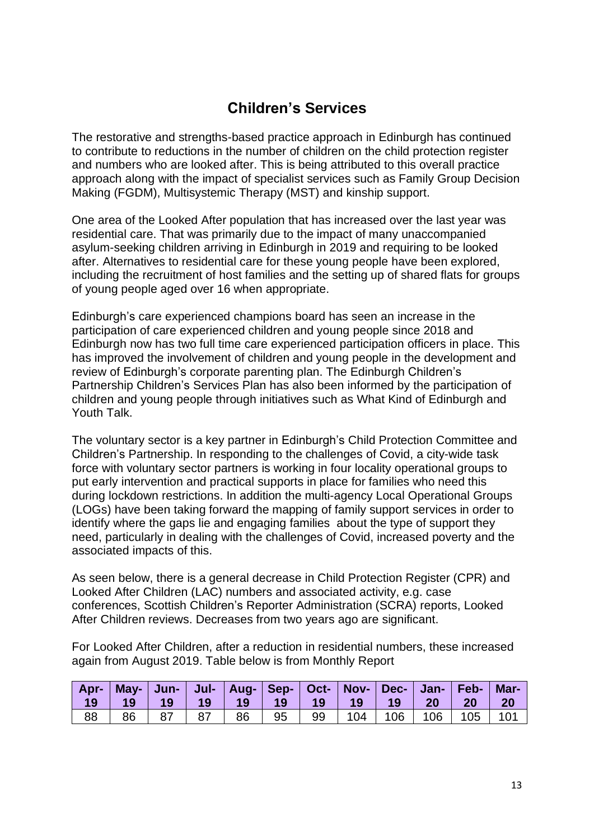# **Children's Services**

The restorative and strengths-based practice approach in Edinburgh has continued to contribute to reductions in the number of children on the child protection register and numbers who are looked after. This is being attributed to this overall practice approach along with the impact of specialist services such as Family Group Decision Making (FGDM), Multisystemic Therapy (MST) and kinship support.

One area of the Looked After population that has increased over the last year was residential care. That was primarily due to the impact of many unaccompanied asylum-seeking children arriving in Edinburgh in 2019 and requiring to be looked after. Alternatives to residential care for these young people have been explored, including the recruitment of host families and the setting up of shared flats for groups of young people aged over 16 when appropriate.

Edinburgh's care experienced champions board has seen an increase in the participation of care experienced children and young people since 2018 and Edinburgh now has two full time care experienced participation officers in place. This has improved the involvement of children and young people in the development and review of Edinburgh's corporate parenting plan. The Edinburgh Children's Partnership Children's Services Plan has also been informed by the participation of children and young people through initiatives such as What Kind of Edinburgh and Youth Talk.

The voluntary sector is a key partner in Edinburgh's Child Protection Committee and Children's Partnership. In responding to the challenges of Covid, a city-wide task force with voluntary sector partners is working in four locality operational groups to put early intervention and practical supports in place for families who need this during lockdown restrictions. In addition the multi-agency Local Operational Groups (LOGs) have been taking forward the mapping of family support services in order to identify where the gaps lie and engaging families about the type of support they need, particularly in dealing with the challenges of Covid, increased poverty and the associated impacts of this.

As seen below, there is a general decrease in Child Protection Register (CPR) and Looked After Children (LAC) numbers and associated activity, e.g. case conferences, Scottish Children's Reporter Administration (SCRA) reports, Looked After Children reviews. Decreases from two years ago are significant.

For Looked After Children, after a reduction in residential numbers, these increased again from August 2019. Table below is from Monthly Report

| 19 | Apr-   May-   Jun-   Jul-   Aug-   Sep-   Oct-   Nov-   Dec-   Jan-   Feb-   Mar-<br>$-19$ | $-19$ |            |  |                                      |  |     |
|----|--------------------------------------------------------------------------------------------|-------|------------|--|--------------------------------------|--|-----|
| 88 | 86                                                                                         |       | $\vert$ 87 |  | 86   95   99   104   106   106   105 |  | 101 |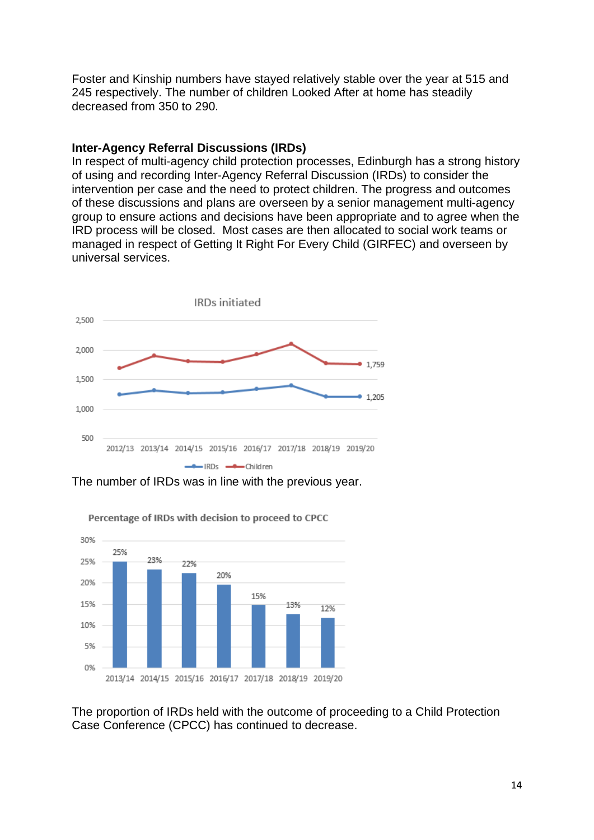Foster and Kinship numbers have stayed relatively stable over the year at 515 and 245 respectively. The number of children Looked After at home has steadily decreased from 350 to 290.

#### **Inter-Agency Referral Discussions (IRDs)**

In respect of multi-agency child protection processes, Edinburgh has a strong history of using and recording Inter-Agency Referral Discussion (IRDs) to consider the intervention per case and the need to protect children. The progress and outcomes of these discussions and plans are overseen by a senior management multi-agency group to ensure actions and decisions have been appropriate and to agree when the IRD process will be closed. Most cases are then allocated to social work teams or managed in respect of Getting It Right For Every Child (GIRFEC) and overseen by universal services.



The number of IRDs was in line with the previous year.



Percentage of IRDs with decision to proceed to CPCC

The proportion of IRDs held with the outcome of proceeding to a Child Protection Case Conference (CPCC) has continued to decrease.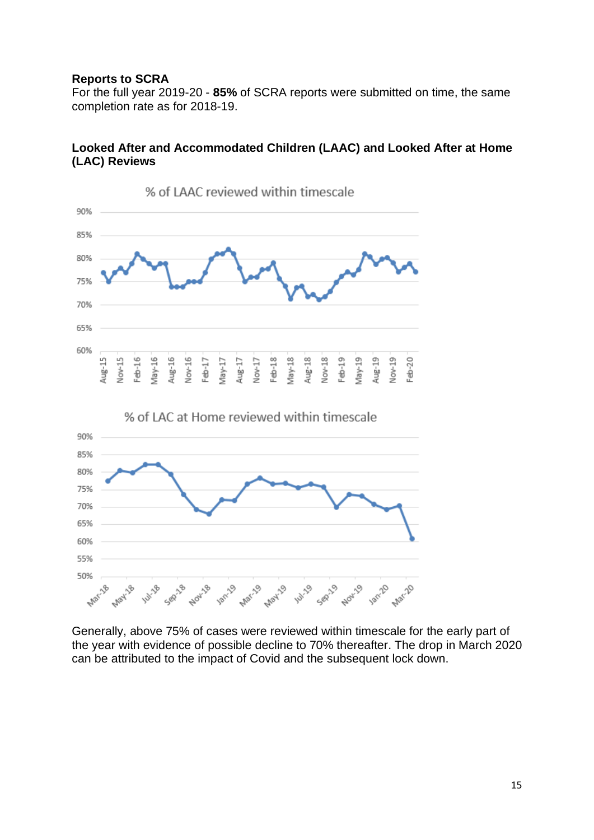#### **Reports to SCRA**

For the full year 2019-20 - **85%** of SCRA reports were submitted on time, the same completion rate as for 2018-19.

### **Looked After and Accommodated Children (LAAC) and Looked After at Home (LAC) Reviews**



Generally, above 75% of cases were reviewed within timescale for the early part of the year with evidence of possible decline to 70% thereafter. The drop in March 2020 can be attributed to the impact of Covid and the subsequent lock down.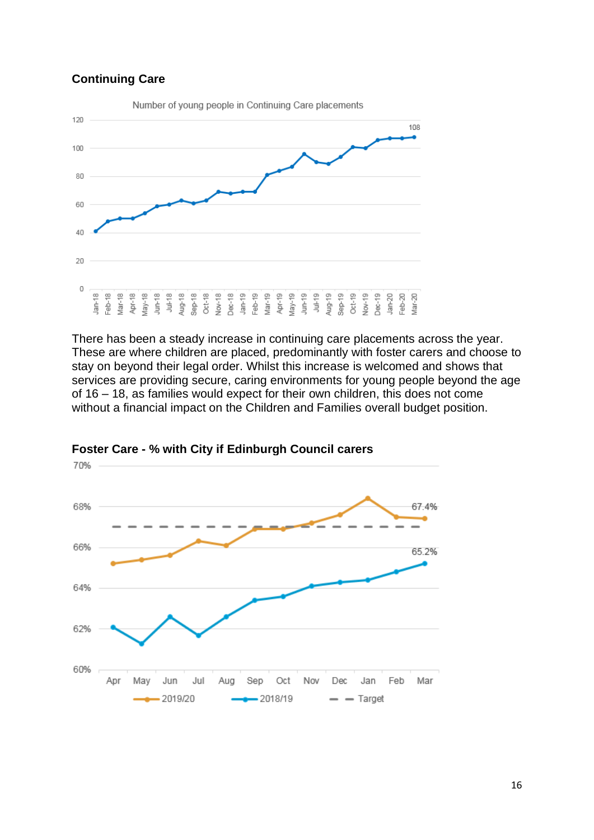#### **Continuing Care**



There has been a steady increase in continuing care placements across the year. These are where children are placed, predominantly with foster carers and choose to stay on beyond their legal order. Whilst this increase is welcomed and shows that services are providing secure, caring environments for young people beyond the age of 16 – 18, as families would expect for their own children, this does not come without a financial impact on the Children and Families overall budget position.



#### **Foster Care - % with City if Edinburgh Council carers**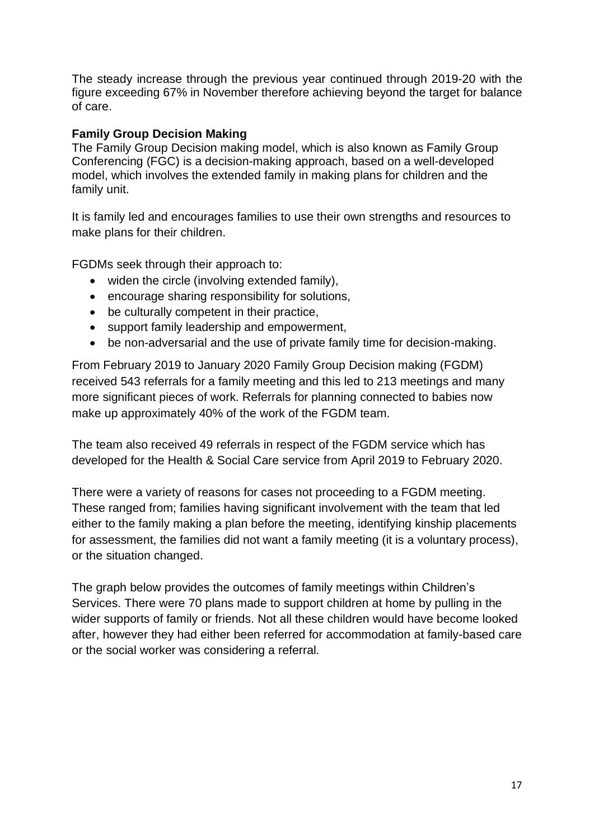The steady increase through the previous year continued through 2019-20 with the figure exceeding 67% in November therefore achieving beyond the target for balance of care.

### **Family Group Decision Making**

The Family Group Decision making model, which is also known as Family Group Conferencing (FGC) is a decision-making approach, based on a well-developed model, which involves the extended family in making plans for children and the family unit.

It is family led and encourages families to use their own strengths and resources to make plans for their children.

FGDMs seek through their approach to:

- widen the circle (involving extended family),
- encourage sharing responsibility for solutions,
- be culturally competent in their practice,
- support family leadership and empowerment,
- be non-adversarial and the use of private family time for decision-making.

From February 2019 to January 2020 Family Group Decision making (FGDM) received 543 referrals for a family meeting and this led to 213 meetings and many more significant pieces of work. Referrals for planning connected to babies now make up approximately 40% of the work of the FGDM team.

The team also received 49 referrals in respect of the FGDM service which has developed for the Health & Social Care service from April 2019 to February 2020.

There were a variety of reasons for cases not proceeding to a FGDM meeting. These ranged from; families having significant involvement with the team that led either to the family making a plan before the meeting, identifying kinship placements for assessment, the families did not want a family meeting (it is a voluntary process), or the situation changed.

The graph below provides the outcomes of family meetings within Children's Services. There were 70 plans made to support children at home by pulling in the wider supports of family or friends. Not all these children would have become looked after, however they had either been referred for accommodation at family-based care or the social worker was considering a referral.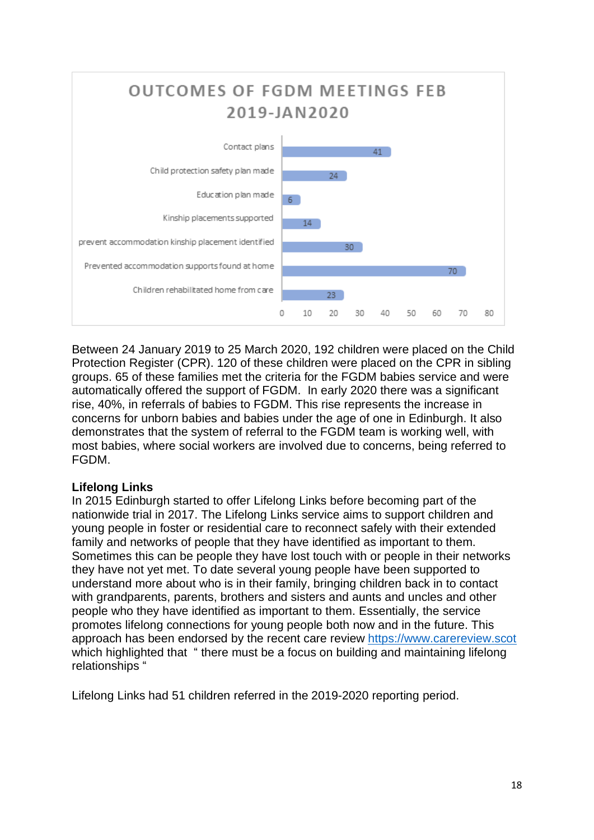

Between 24 January 2019 to 25 March 2020, 192 children were placed on the Child Protection Register (CPR). 120 of these children were placed on the CPR in sibling groups. 65 of these families met the criteria for the FGDM babies service and were automatically offered the support of FGDM. In early 2020 there was a significant rise, 40%, in referrals of babies to FGDM. This rise represents the increase in concerns for unborn babies and babies under the age of one in Edinburgh. It also demonstrates that the system of referral to the FGDM team is working well, with most babies, where social workers are involved due to concerns, being referred to FGDM.

## **Lifelong Links**

In 2015 Edinburgh started to offer Lifelong Links before becoming part of the nationwide trial in 2017. The Lifelong Links service aims to support children and young people in foster or residential care to reconnect safely with their extended family and networks of people that they have identified as important to them. Sometimes this can be people they have lost touch with or people in their networks they have not yet met. To date several young people have been supported to understand more about who is in their family, bringing children back in to contact with grandparents, parents, brothers and sisters and aunts and uncles and other people who they have identified as important to them. Essentially, the service promotes lifelong connections for young people both now and in the future. This approach has been endorsed by the recent care review [https://www.carereview.scot](https://www.carereview.scot/) which highlighted that " there must be a focus on building and maintaining lifelong relationships "

Lifelong Links had 51 children referred in the 2019-2020 reporting period.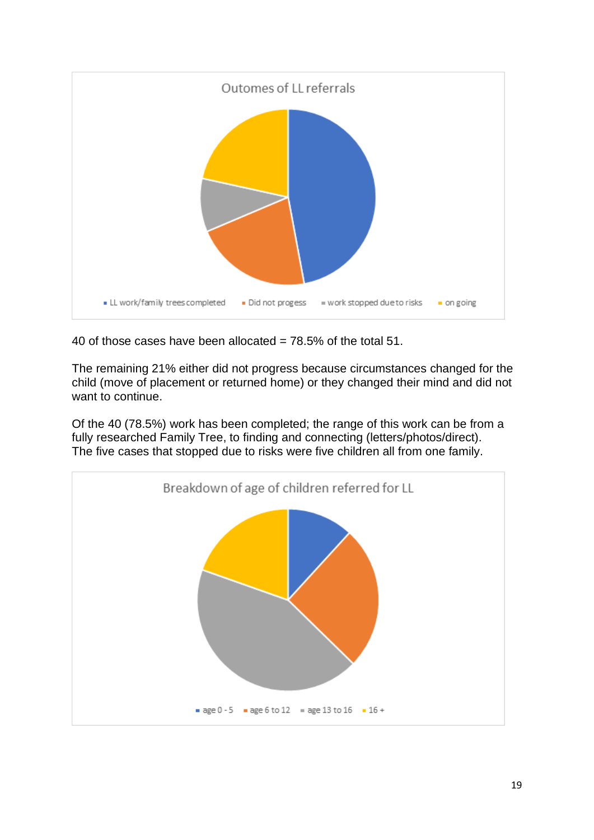

40 of those cases have been allocated =  $78.5\%$  of the total 51.

The remaining 21% either did not progress because circumstances changed for the child (move of placement or returned home) or they changed their mind and did not want to continue.

Of the 40 (78.5%) work has been completed; the range of this work can be from a fully researched Family Tree, to finding and connecting (letters/photos/direct). The five cases that stopped due to risks were five children all from one family.

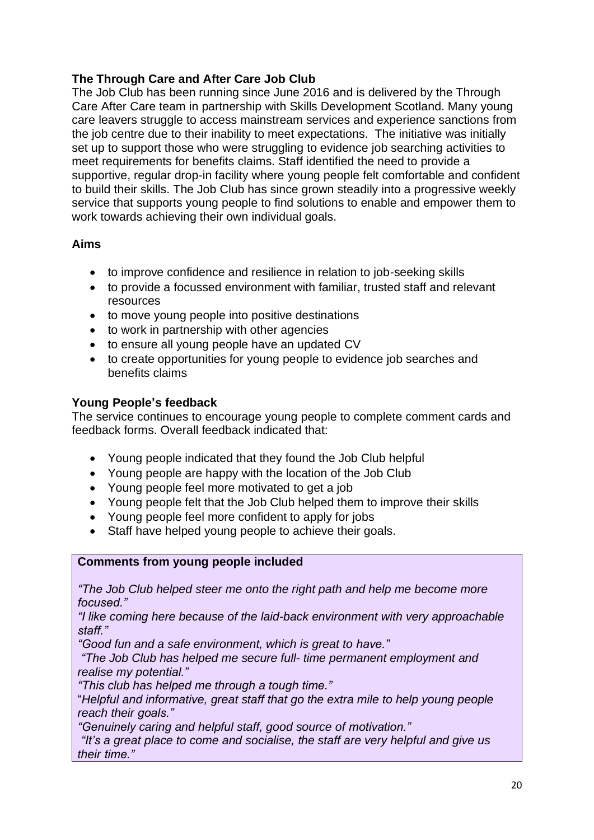## **The Through Care and After Care Job Club**

The Job Club has been running since June 2016 and is delivered by the Through Care After Care team in partnership with Skills Development Scotland. Many young care leavers struggle to access mainstream services and experience sanctions from the job centre due to their inability to meet expectations. The initiative was initially set up to support those who were struggling to evidence job searching activities to meet requirements for benefits claims. Staff identified the need to provide a supportive, regular drop-in facility where young people felt comfortable and confident to build their skills. The Job Club has since grown steadily into a progressive weekly service that supports young people to find solutions to enable and empower them to work towards achieving their own individual goals.

#### **Aims**

- to improve confidence and resilience in relation to job-seeking skills
- to provide a focussed environment with familiar, trusted staff and relevant resources
- to move young people into positive destinations
- to work in partnership with other agencies
- to ensure all young people have an updated CV
- to create opportunities for young people to evidence job searches and benefits claims

#### **Young People's feedback**

The service continues to encourage young people to complete comment cards and feedback forms. Overall feedback indicated that:

- Young people indicated that they found the Job Club helpful
- Young people are happy with the location of the Job Club
- Young people feel more motivated to get a job
- Young people felt that the Job Club helped them to improve their skills
- Young people feel more confident to apply for jobs
- Staff have helped young people to achieve their goals.

#### **Comments from young people included**

*"The Job Club helped steer me onto the right path and help me become more focused."*

*"I like coming here because of the laid-back environment with very approachable staff."*

*"Good fun and a safe environment, which is great to have."*

*"The Job Club has helped me secure full- time permanent employment and realise my potential."*

*"This club has helped me through a tough time."* 

"*Helpful and informative, great staff that go the extra mile to help young people reach their goals."*

*"Genuinely caring and helpful staff, good source of motivation."*

*"It's a great place to come and socialise, the staff are very helpful and give us their time."*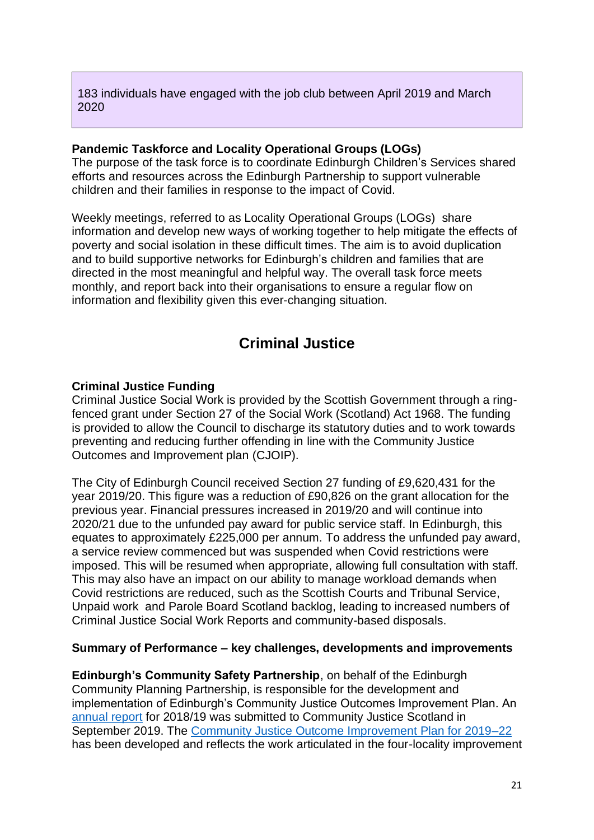183 individuals have engaged with the job club between April 2019 and March 2020

#### **Pandemic Taskforce and Locality Operational Groups (LOGs)**

The purpose of the task force is to coordinate Edinburgh Children's Services shared efforts and resources across the Edinburgh Partnership to support vulnerable children and their families in response to the impact of Covid.

Weekly meetings, referred to as Locality Operational Groups (LOGs) share information and develop new ways of working together to help mitigate the effects of poverty and social isolation in these difficult times. The aim is to avoid duplication and to build supportive networks for Edinburgh's children and families that are directed in the most meaningful and helpful way. The overall task force meets monthly, and report back into their organisations to ensure a regular flow on information and flexibility given this ever-changing situation.

# **Criminal Justice**

#### **Criminal Justice Funding**

Criminal Justice Social Work is provided by the Scottish Government through a ringfenced grant under Section 27 of the Social Work (Scotland) Act 1968. The funding is provided to allow the Council to discharge its statutory duties and to work towards preventing and reducing further offending in line with the Community Justice Outcomes and Improvement plan (CJOIP).

The City of Edinburgh Council received Section 27 funding of £9,620,431 for the year 2019/20. This figure was a reduction of £90,826 on the grant allocation for the previous year. Financial pressures increased in 2019/20 and will continue into 2020/21 due to the unfunded pay award for public service staff. In Edinburgh, this equates to approximately £225,000 per annum. To address the unfunded pay award, a service review commenced but was suspended when Covid restrictions were imposed. This will be resumed when appropriate, allowing full consultation with staff. This may also have an impact on our ability to manage workload demands when Covid restrictions are reduced, such as the Scottish Courts and Tribunal Service, Unpaid work and Parole Board Scotland backlog, leading to increased numbers of Criminal Justice Social Work Reports and community-based disposals.

#### **Summary of Performance – key challenges, developments and improvements**

**Edinburgh's Community Safety Partnership**, on behalf of the Edinburgh Community Planning Partnership, is responsible for the development and implementation of Edinburgh's Community Justice Outcomes Improvement Plan. An [annual report](https://www.edinburgh.gov.uk/downloads/file/27292/annual-outcome-report-for-2018-19) for 2018/19 was submitted to Community Justice Scotland in September 2019. The [Community Justice Outcome Improvement Plan for 2019](https://www.edinburgh.gov.uk/downloads/file/27174/community-justice-outcomes-improvement-plan-2019-22)–22 has been developed and reflects the work articulated in the four-locality improvement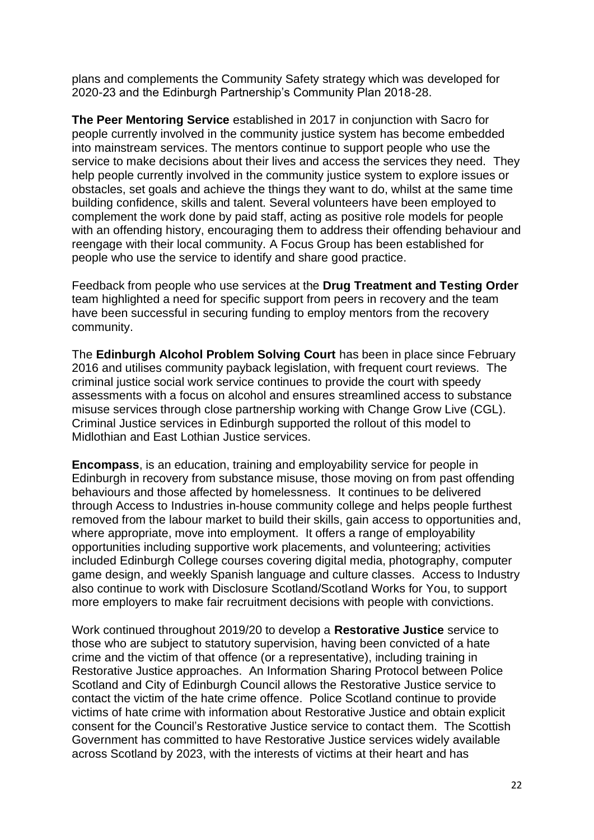plans and complements the Community Safety strategy which was developed for 2020-23 and the Edinburgh Partnership's Community Plan 2018-28.

**The Peer Mentoring Service** established in 2017 in conjunction with Sacro for people currently involved in the community justice system has become embedded into mainstream services. The mentors continue to support people who use the service to make decisions about their lives and access the services they need. They help people currently involved in the community justice system to explore issues or obstacles, set goals and achieve the things they want to do, whilst at the same time building confidence, skills and talent. Several volunteers have been employed to complement the work done by paid staff, acting as positive role models for people with an offending history, encouraging them to address their offending behaviour and reengage with their local community. A Focus Group has been established for people who use the service to identify and share good practice.

Feedback from people who use services at the **Drug Treatment and Testing Order** team highlighted a need for specific support from peers in recovery and the team have been successful in securing funding to employ mentors from the recovery community.

The **Edinburgh Alcohol Problem Solving Court** has been in place since February 2016 and utilises community payback legislation, with frequent court reviews. The criminal justice social work service continues to provide the court with speedy assessments with a focus on alcohol and ensures streamlined access to substance misuse services through close partnership working with Change Grow Live (CGL). Criminal Justice services in Edinburgh supported the rollout of this model to Midlothian and East Lothian Justice services.

**Encompass**, is an education, training and employability service for people in Edinburgh in recovery from substance misuse, those moving on from past offending behaviours and those affected by homelessness. It continues to be delivered through Access to Industries in-house community college and helps people furthest removed from the labour market to build their skills, gain access to opportunities and, where appropriate, move into employment. It offers a range of employability opportunities including supportive work placements, and volunteering; activities included Edinburgh College courses covering digital media, photography, computer game design, and weekly Spanish language and culture classes. Access to Industry also continue to work with Disclosure Scotland/Scotland Works for You, to support more employers to make fair recruitment decisions with people with convictions.

Work continued throughout 2019/20 to develop a **Restorative Justice** service to those who are subject to statutory supervision, having been convicted of a hate crime and the victim of that offence (or a representative), including training in Restorative Justice approaches. An Information Sharing Protocol between Police Scotland and City of Edinburgh Council allows the Restorative Justice service to contact the victim of the hate crime offence. Police Scotland continue to provide victims of hate crime with information about Restorative Justice and obtain explicit consent for the Council's Restorative Justice service to contact them. The Scottish Government has committed to have Restorative Justice services widely available across Scotland by 2023, with the interests of victims at their heart and has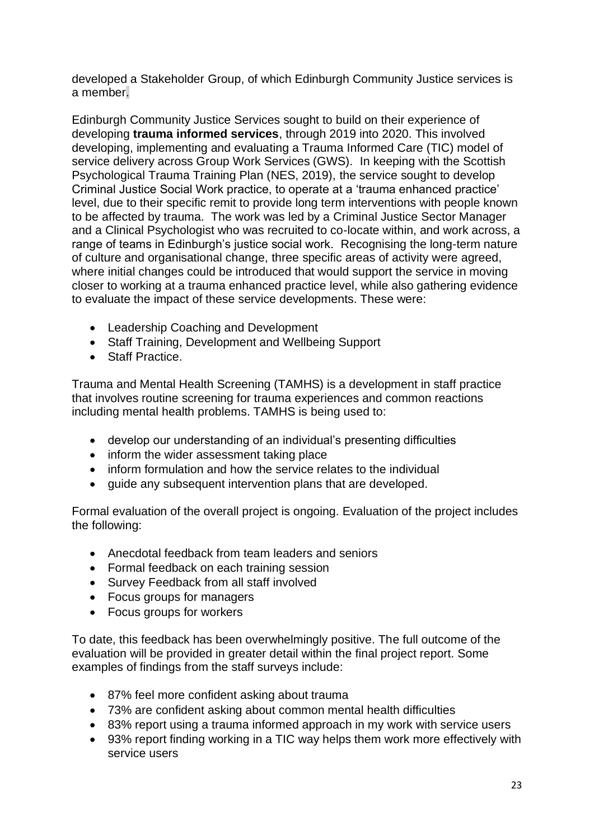developed a Stakeholder Group, of which Edinburgh Community Justice services is a member.

Edinburgh Community Justice Services sought to build on their experience of developing **trauma informed services**, through 2019 into 2020. This involved developing, implementing and evaluating a Trauma Informed Care (TIC) model of service delivery across Group Work Services (GWS). In keeping with the Scottish Psychological Trauma Training Plan (NES, 2019), the service sought to develop Criminal Justice Social Work practice, to operate at a 'trauma enhanced practice' level, due to their specific remit to provide long term interventions with people known to be affected by trauma. The work was led by a Criminal Justice Sector Manager and a Clinical Psychologist who was recruited to co-locate within, and work across, a range of teams in Edinburgh's justice social work. Recognising the long-term nature of culture and organisational change, three specific areas of activity were agreed, where initial changes could be introduced that would support the service in moving closer to working at a trauma enhanced practice level, while also gathering evidence to evaluate the impact of these service developments. These were:

- Leadership Coaching and Development
- Staff Training, Development and Wellbeing Support
- Staff Practice.

Trauma and Mental Health Screening (TAMHS) is a development in staff practice that involves routine screening for trauma experiences and common reactions including mental health problems. TAMHS is being used to:

- develop our understanding of an individual's presenting difficulties
- inform the wider assessment taking place
- inform formulation and how the service relates to the individual
- guide any subsequent intervention plans that are developed.

Formal evaluation of the overall project is ongoing. Evaluation of the project includes the following:

- Anecdotal feedback from team leaders and seniors
- Formal feedback on each training session
- Survey Feedback from all staff involved
- Focus groups for managers
- Focus groups for workers

To date, this feedback has been overwhelmingly positive. The full outcome of the evaluation will be provided in greater detail within the final project report. Some examples of findings from the staff surveys include:

- 87% feel more confident asking about trauma
- 73% are confident asking about common mental health difficulties
- 83% report using a trauma informed approach in my work with service users
- 93% report finding working in a TIC way helps them work more effectively with service users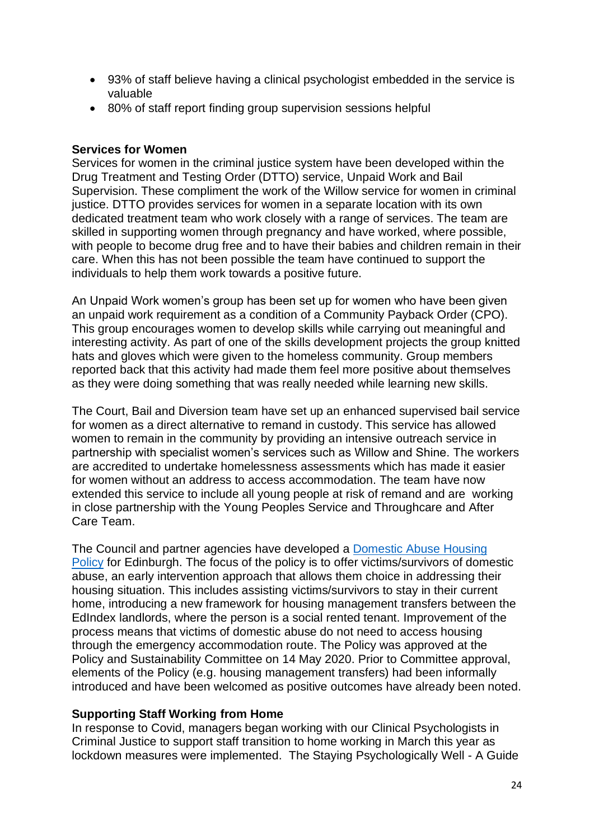- 93% of staff believe having a clinical psychologist embedded in the service is valuable
- 80% of staff report finding group supervision sessions helpful

#### **Services for Women**

Services for women in the criminal justice system have been developed within the Drug Treatment and Testing Order (DTTO) service, Unpaid Work and Bail Supervision. These compliment the work of the Willow service for women in criminal justice. DTTO provides services for women in a separate location with its own dedicated treatment team who work closely with a range of services. The team are skilled in supporting women through pregnancy and have worked, where possible, with people to become drug free and to have their babies and children remain in their care. When this has not been possible the team have continued to support the individuals to help them work towards a positive future.

An Unpaid Work women's group has been set up for women who have been given an unpaid work requirement as a condition of a Community Payback Order (CPO). This group encourages women to develop skills while carrying out meaningful and interesting activity. As part of one of the skills development projects the group knitted hats and gloves which were given to the homeless community. Group members reported back that this activity had made them feel more positive about themselves as they were doing something that was really needed while learning new skills.

The Court, Bail and Diversion team have set up an enhanced supervised bail service for women as a direct alternative to remand in custody. This service has allowed women to remain in the community by providing an intensive outreach service in partnership with specialist women's services such as Willow and Shine. The workers are accredited to undertake homelessness assessments which has made it easier for women without an address to access accommodation. The team have now extended this service to include all young people at risk of remand and are working in close partnership with the Young Peoples Service and Throughcare and After Care Team.

The Council and partner agencies have developed a [Domestic](https://democracy.edinburgh.gov.uk/documents/s24001/Item%206.6%20-%20Domestic%20Abuse%20Housing%20Policy.pdf) Abuse Housing [Policy](https://democracy.edinburgh.gov.uk/documents/s24001/Item%206.6%20-%20Domestic%20Abuse%20Housing%20Policy.pdf) for Edinburgh. The focus of the policy is to offer victims/survivors of domestic abuse, an early intervention approach that allows them choice in addressing their housing situation. This includes assisting victims/survivors to stay in their current home, introducing a new framework for housing management transfers between the EdIndex landlords, where the person is a social rented tenant. Improvement of the process means that victims of domestic abuse do not need to access housing through the emergency accommodation route. The Policy was approved at the Policy and Sustainability Committee on 14 May 2020. Prior to Committee approval, elements of the Policy (e.g. housing management transfers) had been informally introduced and have been welcomed as positive outcomes have already been noted.

#### **Supporting Staff Working from Home**

In response to Covid, managers began working with our Clinical Psychologists in Criminal Justice to support staff transition to home working in March this year as lockdown measures were implemented. The Staying Psychologically Well - A Guide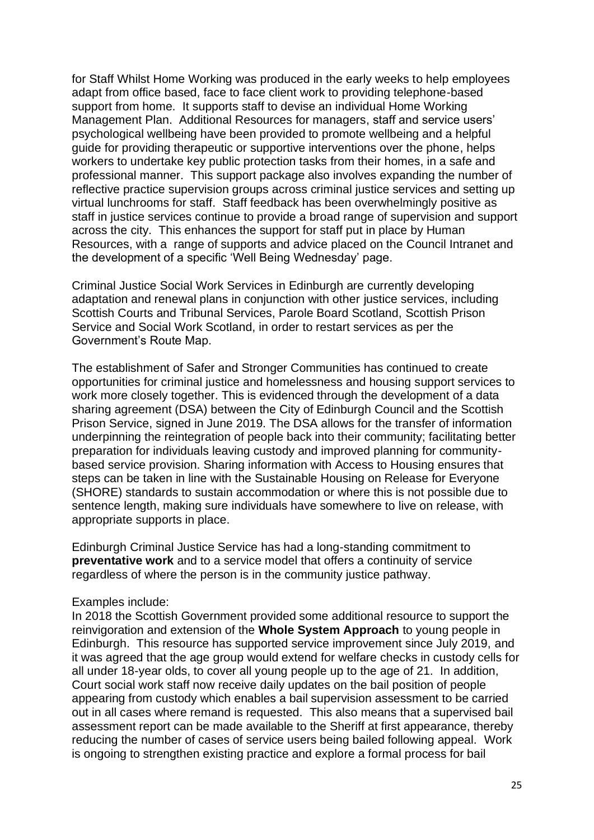for Staff Whilst Home Working was produced in the early weeks to help employees adapt from office based, face to face client work to providing telephone-based support from home. It supports staff to devise an individual Home Working Management Plan. Additional Resources for managers, staff and service users' psychological wellbeing have been provided to promote wellbeing and a helpful guide for providing therapeutic or supportive interventions over the phone, helps workers to undertake key public protection tasks from their homes, in a safe and professional manner. This support package also involves expanding the number of reflective practice supervision groups across criminal justice services and setting up virtual lunchrooms for staff. Staff feedback has been overwhelmingly positive as staff in justice services continue to provide a broad range of supervision and support across the city. This enhances the support for staff put in place by Human Resources, with a range of supports and advice placed on the Council Intranet and the development of a specific 'Well Being Wednesday' page.

Criminal Justice Social Work Services in Edinburgh are currently developing adaptation and renewal plans in conjunction with other justice services, including Scottish Courts and Tribunal Services, Parole Board Scotland, Scottish Prison Service and Social Work Scotland, in order to restart services as per the Government's Route Map.

The establishment of Safer and Stronger Communities has continued to create opportunities for criminal justice and homelessness and housing support services to work more closely together. This is evidenced through the development of a data sharing agreement (DSA) between the City of Edinburgh Council and the Scottish Prison Service, signed in June 2019. The DSA allows for the transfer of information underpinning the reintegration of people back into their community; facilitating better preparation for individuals leaving custody and improved planning for communitybased service provision. Sharing information with Access to Housing ensures that steps can be taken in line with the Sustainable Housing on Release for Everyone (SHORE) standards to sustain accommodation or where this is not possible due to sentence length, making sure individuals have somewhere to live on release, with appropriate supports in place.

Edinburgh Criminal Justice Service has had a long-standing commitment to **preventative work** and to a service model that offers a continuity of service regardless of where the person is in the community justice pathway.

#### Examples include:

In 2018 the Scottish Government provided some additional resource to support the reinvigoration and extension of the **Whole System Approach** to young people in Edinburgh. This resource has supported service improvement since July 2019, and it was agreed that the age group would extend for welfare checks in custody cells for all under 18-year olds, to cover all young people up to the age of 21. In addition, Court social work staff now receive daily updates on the bail position of people appearing from custody which enables a bail supervision assessment to be carried out in all cases where remand is requested. This also means that a supervised bail assessment report can be made available to the Sheriff at first appearance, thereby reducing the number of cases of service users being bailed following appeal. Work is ongoing to strengthen existing practice and explore a formal process for bail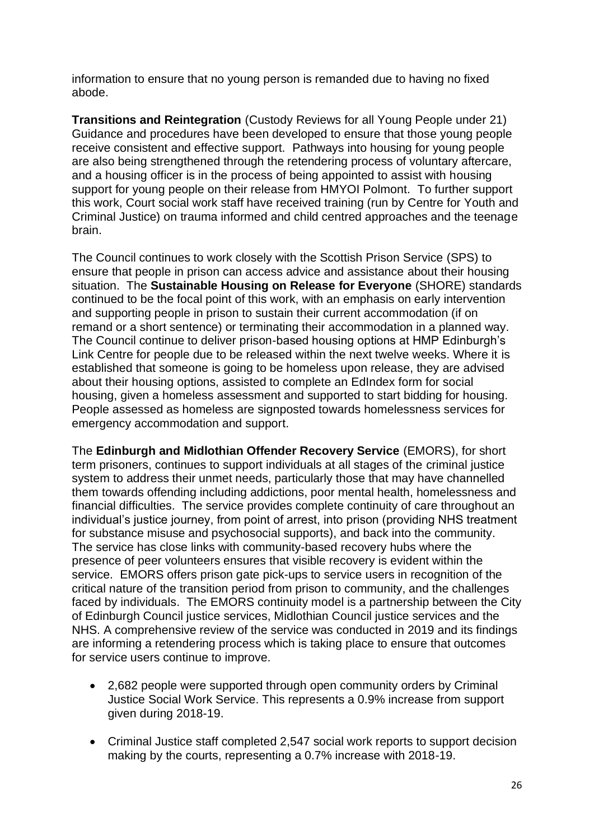information to ensure that no young person is remanded due to having no fixed abode.

**Transitions and Reintegration** (Custody Reviews for all Young People under 21) Guidance and procedures have been developed to ensure that those young people receive consistent and effective support. Pathways into housing for young people are also being strengthened through the retendering process of voluntary aftercare, and a housing officer is in the process of being appointed to assist with housing support for young people on their release from HMYOI Polmont. To further support this work, Court social work staff have received training (run by Centre for Youth and Criminal Justice) on trauma informed and child centred approaches and the teenage brain.

The Council continues to work closely with the Scottish Prison Service (SPS) to ensure that people in prison can access advice and assistance about their housing situation. The **Sustainable Housing on Release for Everyone** (SHORE) standards continued to be the focal point of this work, with an emphasis on early intervention and supporting people in prison to sustain their current accommodation (if on remand or a short sentence) or terminating their accommodation in a planned way. The Council continue to deliver prison-based housing options at HMP Edinburgh's Link Centre for people due to be released within the next twelve weeks. Where it is established that someone is going to be homeless upon release, they are advised about their housing options, assisted to complete an EdIndex form for social housing, given a homeless assessment and supported to start bidding for housing. People assessed as homeless are signposted towards homelessness services for emergency accommodation and support.

The **Edinburgh and Midlothian Offender Recovery Service** (EMORS), for short term prisoners, continues to support individuals at all stages of the criminal justice system to address their unmet needs, particularly those that may have channelled them towards offending including addictions, poor mental health, homelessness and financial difficulties. The service provides complete continuity of care throughout an individual's justice journey, from point of arrest, into prison (providing NHS treatment for substance misuse and psychosocial supports), and back into the community. The service has close links with community-based recovery hubs where the presence of peer volunteers ensures that visible recovery is evident within the service. EMORS offers prison gate pick-ups to service users in recognition of the critical nature of the transition period from prison to community, and the challenges faced by individuals. The EMORS continuity model is a partnership between the City of Edinburgh Council justice services, Midlothian Council justice services and the NHS. A comprehensive review of the service was conducted in 2019 and its findings are informing a retendering process which is taking place to ensure that outcomes for service users continue to improve.

- 2,682 people were supported through open community orders by Criminal Justice Social Work Service. This represents a 0.9% increase from support given during 2018-19.
- Criminal Justice staff completed 2,547 social work reports to support decision making by the courts, representing a 0.7% increase with 2018-19.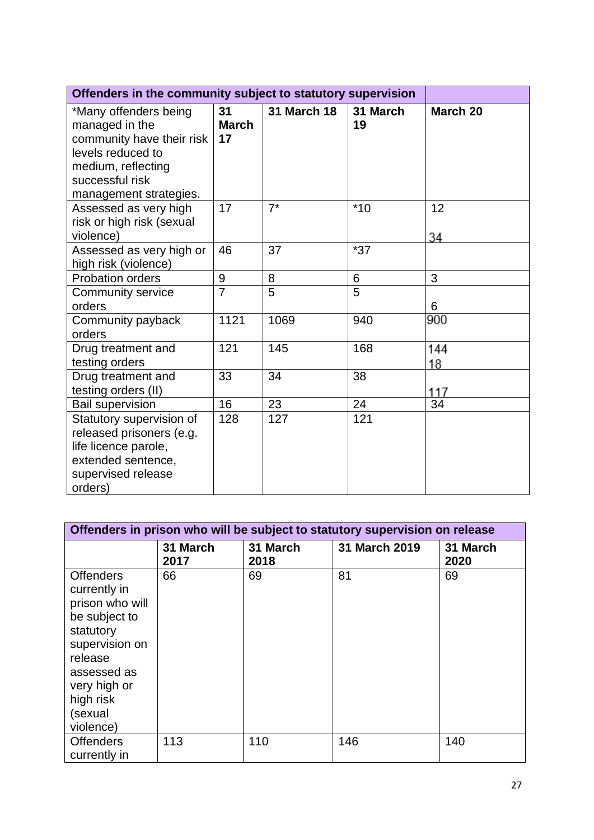| Offenders in the community subject to statutory supervision                                                                                                  |                          |                    |                 |           |
|--------------------------------------------------------------------------------------------------------------------------------------------------------------|--------------------------|--------------------|-----------------|-----------|
| *Many offenders being<br>managed in the<br>community have their risk<br>levels reduced to<br>medium, reflecting<br>successful risk<br>management strategies. | 31<br><b>March</b><br>17 | <b>31 March 18</b> | 31 March<br>19  | March 20  |
| Assessed as very high<br>risk or high risk (sexual<br>violence)                                                                                              | 17                       | $7^*$              | $*10$           | 12<br>34  |
| Assessed as very high or<br>high risk (violence)                                                                                                             | 46                       | 37                 | $*37$           |           |
| Probation orders                                                                                                                                             | 9                        | 8                  | $6\phantom{1}6$ | 3         |
| <b>Community service</b><br>orders                                                                                                                           | $\overline{7}$           | 5                  | 5               | 6         |
| Community payback<br>orders                                                                                                                                  | 1121                     | 1069               | 940             | 900       |
| Drug treatment and<br>testing orders                                                                                                                         | 121                      | 145                | 168             | 144<br>18 |
| Drug treatment and<br>testing orders (II)                                                                                                                    | 33                       | 34                 | 38              | 117       |
| <b>Bail supervision</b>                                                                                                                                      | 16                       | 23                 | 24              | 34        |
| Statutory supervision of<br>released prisoners (e.g.<br>life licence parole,<br>extended sentence,<br>supervised release<br>orders)                          | 128                      | 127                | 121             |           |

| Offenders in prison who will be subject to statutory supervision on release                                                                                                        |                  |                  |               |                  |  |  |  |
|------------------------------------------------------------------------------------------------------------------------------------------------------------------------------------|------------------|------------------|---------------|------------------|--|--|--|
|                                                                                                                                                                                    | 31 March<br>2017 | 31 March<br>2018 | 31 March 2019 | 31 March<br>2020 |  |  |  |
| <b>Offenders</b><br>currently in<br>prison who will<br>be subject to<br>statutory<br>supervision on<br>release<br>assessed as<br>very high or<br>high risk<br>(sexual<br>violence) | 66               | 69               | 81            | 69               |  |  |  |
| <b>Offenders</b><br>currently in                                                                                                                                                   | 113              | 110              | 146           | 140              |  |  |  |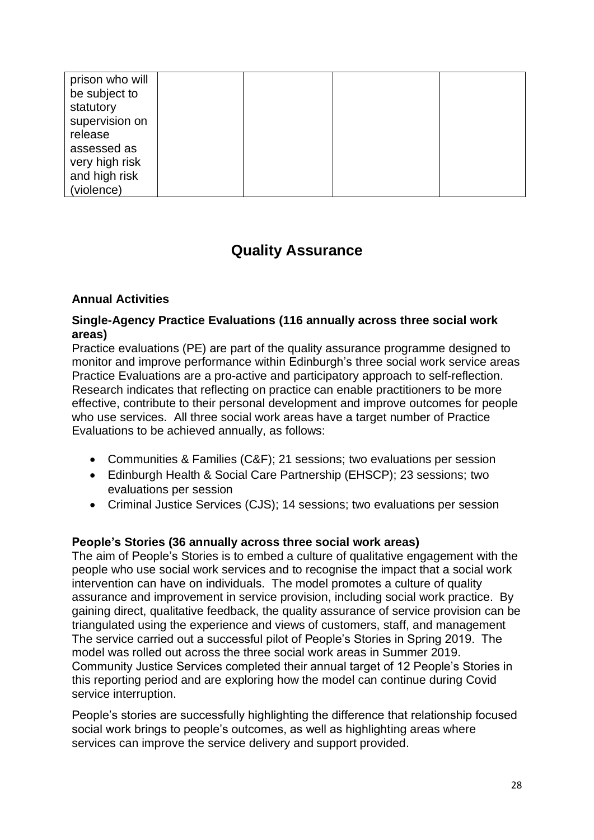| prison who will |  |  |
|-----------------|--|--|
| be subject to   |  |  |
| statutory       |  |  |
| supervision on  |  |  |
| release         |  |  |
| assessed as     |  |  |
| very high risk  |  |  |
| and high risk   |  |  |
| (violence)      |  |  |

# **Quality Assurance**

#### **Annual Activities**

#### **Single-Agency Practice Evaluations (116 annually across three social work areas)**

Practice evaluations (PE) are part of the quality assurance programme designed to monitor and improve performance within Edinburgh's three social work service areas Practice Evaluations are a pro-active and participatory approach to self-reflection. Research indicates that reflecting on practice can enable practitioners to be more effective, contribute to their personal development and improve outcomes for people who use services.All three social work areas have a target number of Practice Evaluations to be achieved annually, as follows:

- Communities & Families (C&F); 21 sessions; two evaluations per session
- Edinburgh Health & Social Care Partnership (EHSCP); 23 sessions; two evaluations per session
- Criminal Justice Services (CJS); 14 sessions; two evaluations per session

#### **People's Stories (36 annually across three social work areas)**

The aim of People's Stories is to embed a culture of qualitative engagement with the people who use social work services and to recognise the impact that a social work intervention can have on individuals. The model promotes a culture of quality assurance and improvement in service provision, including social work practice. By gaining direct, qualitative feedback, the quality assurance of service provision can be triangulated using the experience and views of customers, staff, and management The service carried out a successful pilot of People's Stories in Spring 2019. The model was rolled out across the three social work areas in Summer 2019. Community Justice Services completed their annual target of 12 People's Stories in this reporting period and are exploring how the model can continue during Covid service interruption.

People's stories are successfully highlighting the difference that relationship focused social work brings to people's outcomes, as well as highlighting areas where services can improve the service delivery and support provided.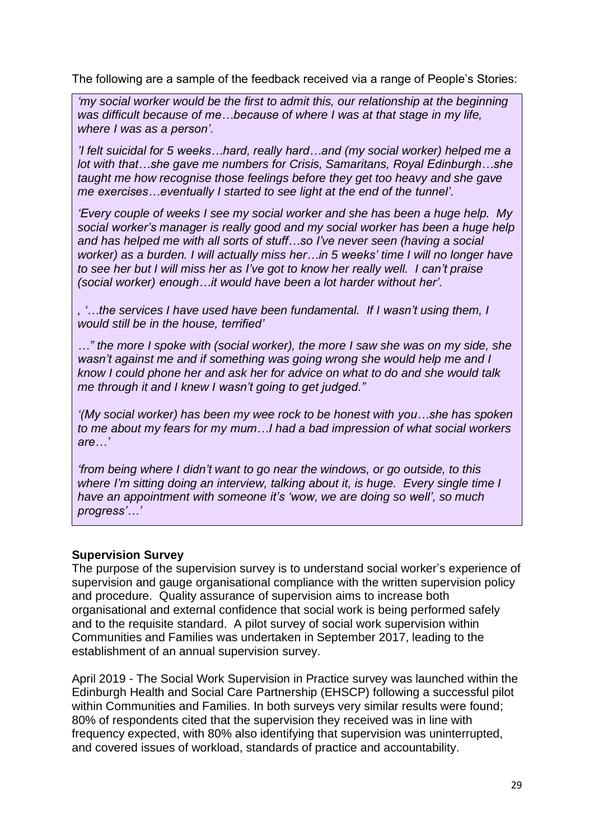The following are a sample of the feedback received via a range of People's Stories:

*'my social worker would be the first to admit this, our relationship at the beginning was difficult because of me…because of where I was at that stage in my life, where I was as a person'.* 

*'I felt suicidal for 5 weeks…hard, really hard…and (my social worker) helped me a lot with that…she gave me numbers for Crisis, Samaritans, Royal Edinburgh…she taught me how recognise those feelings before they get too heavy and she gave me exercises…eventually I started to see light at the end of the tunnel'.* 

*'Every couple of weeks I see my social worker and she has been a huge help. My social worker's manager is really good and my social worker has been a huge help and has helped me with all sorts of stuff…so I've never seen (having a social worker) as a burden. I will actually miss her…in 5 weeks' time I will no longer have to see her but I will miss her as I've got to know her really well. I can't praise (social worker) enough…it would have been a lot harder without her'.*

*, '…the services I have used have been fundamental. If I wasn't using them, I would still be in the house, terrified'*

*…" the more I spoke with (social worker), the more I saw she was on my side, she wasn't against me and if something was going wrong she would help me and I know I could phone her and ask her for advice on what to do and she would talk me through it and I knew I wasn't going to get judged."*

*'(My social worker) has been my wee rock to be honest with you…she has spoken to me about my fears for my mum…I had a bad impression of what social workers are…'*

*'from being where I didn't want to go near the windows, or go outside, to this where I'm sitting doing an interview, talking about it, is huge. Every single time I have an appointment with someone it's 'wow, we are doing so well', so much progress'…'* 

## **Supervision Survey**

The purpose of the supervision survey is to understand social worker's experience of supervision and gauge organisational compliance with the written supervision policy and procedure. Quality assurance of supervision aims to increase both organisational and external confidence that social work is being performed safely and to the requisite standard. A pilot survey of social work supervision within Communities and Families was undertaken in September 2017, leading to the establishment of an annual supervision survey.

April 2019 - The Social Work Supervision in Practice survey was launched within the Edinburgh Health and Social Care Partnership (EHSCP) following a successful pilot within Communities and Families. In both surveys very similar results were found; 80% of respondents cited that the supervision they received was in line with frequency expected, with 80% also identifying that supervision was uninterrupted, and covered issues of workload, standards of practice and accountability.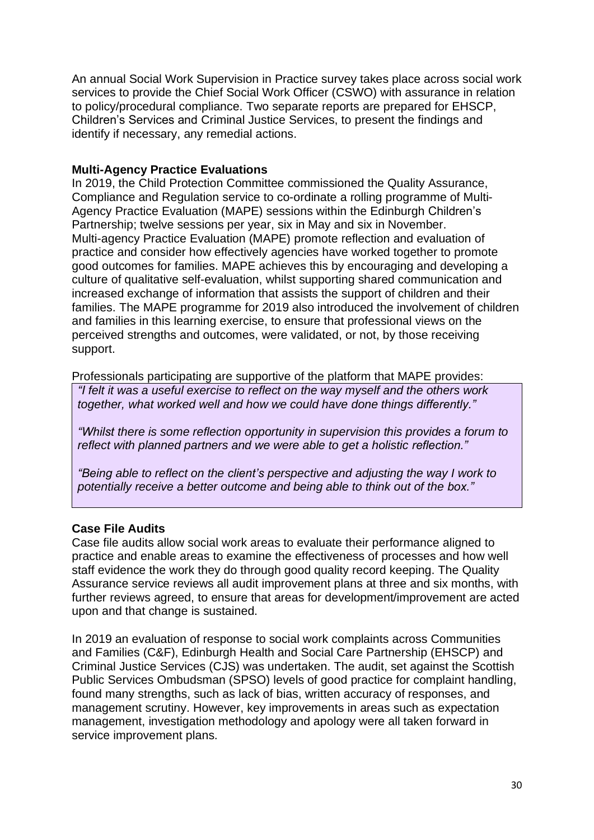An annual Social Work Supervision in Practice survey takes place across social work services to provide the Chief Social Work Officer (CSWO) with assurance in relation to policy/procedural compliance. Two separate reports are prepared for EHSCP, Children's Services and Criminal Justice Services, to present the findings and identify if necessary, any remedial actions.

### **Multi-Agency Practice Evaluations**

In 2019, the Child Protection Committee commissioned the Quality Assurance, Compliance and Regulation service to co-ordinate a rolling programme of Multi-Agency Practice Evaluation (MAPE) sessions within the Edinburgh Children's Partnership; twelve sessions per year, six in May and six in November. Multi-agency Practice Evaluation (MAPE) promote reflection and evaluation of practice and consider how effectively agencies have worked together to promote good outcomes for families. MAPE achieves this by encouraging and developing a culture of qualitative self-evaluation, whilst supporting shared communication and increased exchange of information that assists the support of children and their families. The MAPE programme for 2019 also introduced the involvement of children and families in this learning exercise, to ensure that professional views on the perceived strengths and outcomes, were validated, or not, by those receiving support.

Professionals participating are supportive of the platform that MAPE provides: *"I felt it was a useful exercise to reflect on the way myself and the others work together, what worked well and how we could have done things differently."*

*"Whilst there is some reflection opportunity in supervision this provides a forum to reflect with planned partners and we were able to get a holistic reflection."*

*"Being able to reflect on the client's perspective and adjusting the way I work to potentially receive a better outcome and being able to think out of the box."*

## **Case File Audits**

Case file audits allow social work areas to evaluate their performance aligned to practice and enable areas to examine the effectiveness of processes and how well staff evidence the work they do through good quality record keeping. The Quality Assurance service reviews all audit improvement plans at three and six months, with further reviews agreed, to ensure that areas for development/improvement are acted upon and that change is sustained.

In 2019 an evaluation of response to social work complaints across Communities and Families (C&F), Edinburgh Health and Social Care Partnership (EHSCP) and Criminal Justice Services (CJS) was undertaken. The audit, set against the Scottish Public Services Ombudsman (SPSO) levels of good practice for complaint handling, found many strengths, such as lack of bias, written accuracy of responses, and management scrutiny. However, key improvements in areas such as expectation management, investigation methodology and apology were all taken forward in service improvement plans.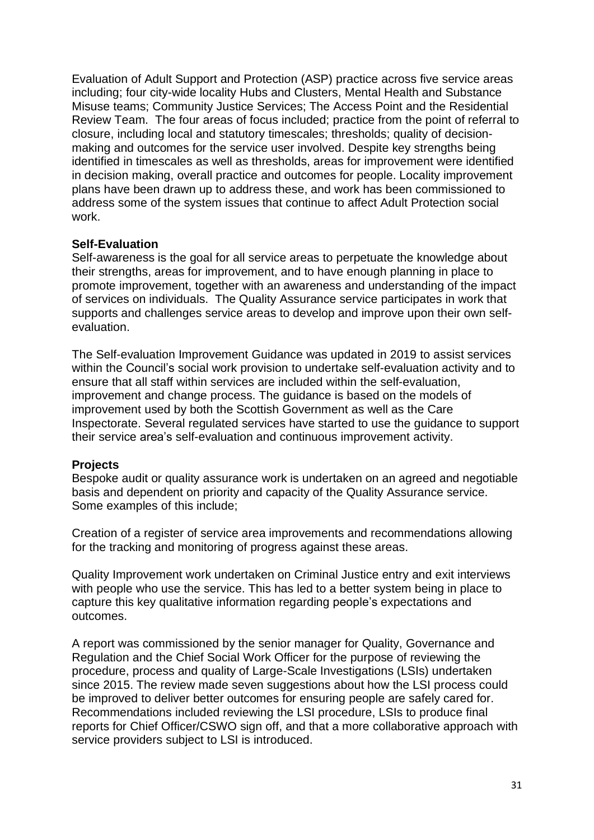Evaluation of Adult Support and Protection (ASP) practice across five service areas including; four city-wide locality Hubs and Clusters, Mental Health and Substance Misuse teams; Community Justice Services; The Access Point and the Residential Review Team. The four areas of focus included; practice from the point of referral to closure, including local and statutory timescales; thresholds; quality of decisionmaking and outcomes for the service user involved. Despite key strengths being identified in timescales as well as thresholds, areas for improvement were identified in decision making, overall practice and outcomes for people. Locality improvement plans have been drawn up to address these, and work has been commissioned to address some of the system issues that continue to affect Adult Protection social work.

#### **Self-Evaluation**

Self-awareness is the goal for all service areas to perpetuate the knowledge about their strengths, areas for improvement, and to have enough planning in place to promote improvement, together with an awareness and understanding of the impact of services on individuals. The Quality Assurance service participates in work that supports and challenges service areas to develop and improve upon their own selfevaluation.

The Self-evaluation Improvement Guidance was updated in 2019 to assist services within the Council's social work provision to undertake self-evaluation activity and to ensure that all staff within services are included within the self-evaluation, improvement and change process. The guidance is based on the models of improvement used by both the Scottish Government as well as the Care Inspectorate. Several regulated services have started to use the guidance to support their service area's self-evaluation and continuous improvement activity.

#### **Projects**

Bespoke audit or quality assurance work is undertaken on an agreed and negotiable basis and dependent on priority and capacity of the Quality Assurance service. Some examples of this include;

Creation of a register of service area improvements and recommendations allowing for the tracking and monitoring of progress against these areas.

Quality Improvement work undertaken on Criminal Justice entry and exit interviews with people who use the service. This has led to a better system being in place to capture this key qualitative information regarding people's expectations and outcomes.

A report was commissioned by the senior manager for Quality, Governance and Regulation and the Chief Social Work Officer for the purpose of reviewing the procedure, process and quality of Large-Scale Investigations (LSIs) undertaken since 2015. The review made seven suggestions about how the LSI process could be improved to deliver better outcomes for ensuring people are safely cared for. Recommendations included reviewing the LSI procedure, LSIs to produce final reports for Chief Officer/CSWO sign off, and that a more collaborative approach with service providers subject to LSI is introduced.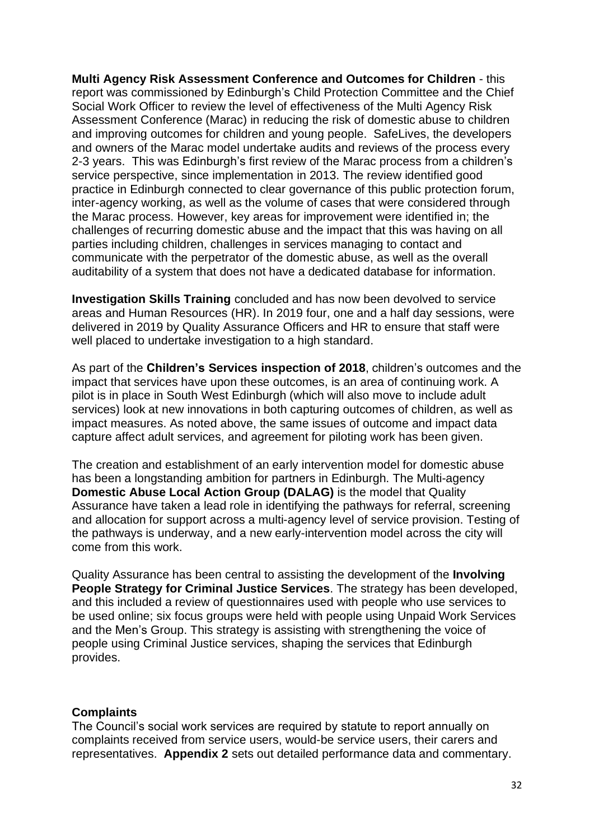**Multi Agency Risk Assessment Conference and Outcomes for Children** - this report was commissioned by Edinburgh's Child Protection Committee and the Chief Social Work Officer to review the level of effectiveness of the Multi Agency Risk Assessment Conference (Marac) in reducing the risk of domestic abuse to children and improving outcomes for children and young people. SafeLives, the developers and owners of the Marac model undertake audits and reviews of the process every 2-3 years. This was Edinburgh's first review of the Marac process from a children's service perspective, since implementation in 2013. The review identified good practice in Edinburgh connected to clear governance of this public protection forum, inter-agency working, as well as the volume of cases that were considered through the Marac process. However, key areas for improvement were identified in; the challenges of recurring domestic abuse and the impact that this was having on all parties including children, challenges in services managing to contact and communicate with the perpetrator of the domestic abuse, as well as the overall auditability of a system that does not have a dedicated database for information.

**Investigation Skills Training** concluded and has now been devolved to service areas and Human Resources (HR). In 2019 four, one and a half day sessions, were delivered in 2019 by Quality Assurance Officers and HR to ensure that staff were well placed to undertake investigation to a high standard.

As part of the **Children's Services inspection of 2018**, children's outcomes and the impact that services have upon these outcomes, is an area of continuing work. A pilot is in place in South West Edinburgh (which will also move to include adult services) look at new innovations in both capturing outcomes of children, as well as impact measures. As noted above, the same issues of outcome and impact data capture affect adult services, and agreement for piloting work has been given.

The creation and establishment of an early intervention model for domestic abuse has been a longstanding ambition for partners in Edinburgh. The Multi-agency **Domestic Abuse Local Action Group (DALAG)** is the model that Quality Assurance have taken a lead role in identifying the pathways for referral, screening and allocation for support across a multi-agency level of service provision. Testing of the pathways is underway, and a new early-intervention model across the city will come from this work.

Quality Assurance has been central to assisting the development of the **Involving People Strategy for Criminal Justice Services**. The strategy has been developed, and this included a review of questionnaires used with people who use services to be used online; six focus groups were held with people using Unpaid Work Services and the Men's Group. This strategy is assisting with strengthening the voice of people using Criminal Justice services, shaping the services that Edinburgh provides.

#### **Complaints**

The Council's social work services are required by statute to report annually on complaints received from service users, would-be service users, their carers and representatives. **Appendix 2** sets out detailed performance data and commentary.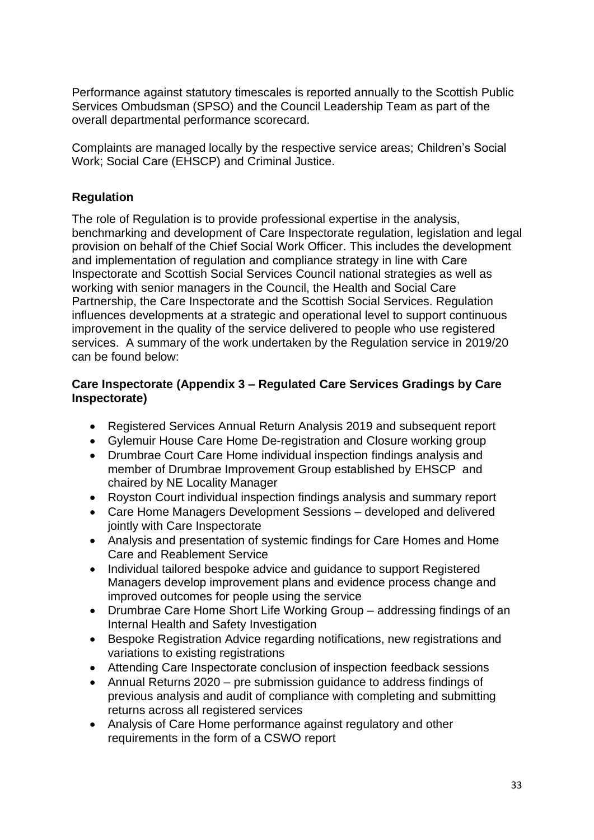Performance against statutory timescales is reported annually to the Scottish Public Services Ombudsman (SPSO) and the Council Leadership Team as part of the overall departmental performance scorecard.

Complaints are managed locally by the respective service areas; Children's Social Work; Social Care (EHSCP) and Criminal Justice.

# **Regulation**

The role of Regulation is to provide professional expertise in the analysis, benchmarking and development of Care Inspectorate regulation, legislation and legal provision on behalf of the Chief Social Work Officer. This includes the development and implementation of regulation and compliance strategy in line with Care Inspectorate and Scottish Social Services Council national strategies as well as working with senior managers in the Council, the Health and Social Care Partnership, the Care Inspectorate and the Scottish Social Services. Regulation influences developments at a strategic and operational level to support continuous improvement in the quality of the service delivered to people who use registered services. A summary of the work undertaken by the Regulation service in 2019/20 can be found below:

# **Care Inspectorate (Appendix 3 – Regulated Care Services Gradings by Care Inspectorate)**

- Registered Services Annual Return Analysis 2019 and subsequent report
- Gylemuir House Care Home De-registration and Closure working group
- Drumbrae Court Care Home individual inspection findings analysis and member of Drumbrae Improvement Group established by EHSCP and chaired by NE Locality Manager
- Royston Court individual inspection findings analysis and summary report
- Care Home Managers Development Sessions developed and delivered jointly with Care Inspectorate
- Analysis and presentation of systemic findings for Care Homes and Home Care and Reablement Service
- Individual tailored bespoke advice and guidance to support Registered Managers develop improvement plans and evidence process change and improved outcomes for people using the service
- Drumbrae Care Home Short Life Working Group addressing findings of an Internal Health and Safety Investigation
- Bespoke Registration Advice regarding notifications, new registrations and variations to existing registrations
- Attending Care Inspectorate conclusion of inspection feedback sessions
- Annual Returns 2020 pre submission guidance to address findings of previous analysis and audit of compliance with completing and submitting returns across all registered services
- Analysis of Care Home performance against regulatory and other requirements in the form of a CSWO report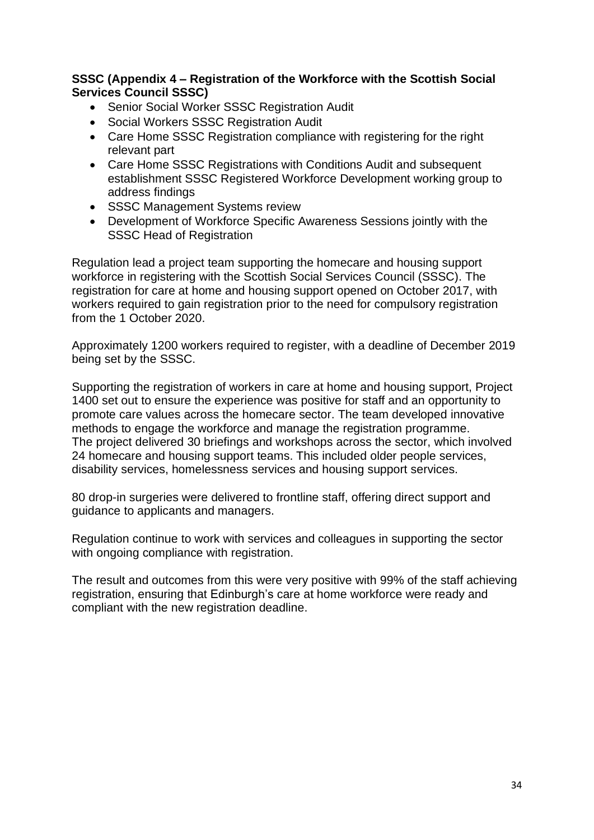### **SSSC (Appendix 4 – Registration of the Workforce with the Scottish Social Services Council SSSC)**

- Senior Social Worker SSSC Registration Audit
- Social Workers SSSC Registration Audit
- Care Home SSSC Registration compliance with registering for the right relevant part
- Care Home SSSC Registrations with Conditions Audit and subsequent establishment SSSC Registered Workforce Development working group to address findings
- SSSC Management Systems review
- Development of Workforce Specific Awareness Sessions jointly with the SSSC Head of Registration

Regulation lead a project team supporting the homecare and housing support workforce in registering with the Scottish Social Services Council (SSSC). The registration for care at home and housing support opened on October 2017, with workers required to gain registration prior to the need for compulsory registration from the 1 October 2020.

Approximately 1200 workers required to register, with a deadline of December 2019 being set by the SSSC.

Supporting the registration of workers in care at home and housing support, Project 1400 set out to ensure the experience was positive for staff and an opportunity to promote care values across the homecare sector. The team developed innovative methods to engage the workforce and manage the registration programme. The project delivered 30 briefings and workshops across the sector, which involved 24 homecare and housing support teams. This included older people services, disability services, homelessness services and housing support services.

80 drop-in surgeries were delivered to frontline staff, offering direct support and guidance to applicants and managers.

Regulation continue to work with services and colleagues in supporting the sector with ongoing compliance with registration.

The result and outcomes from this were very positive with 99% of the staff achieving registration, ensuring that Edinburgh's care at home workforce were ready and compliant with the new registration deadline.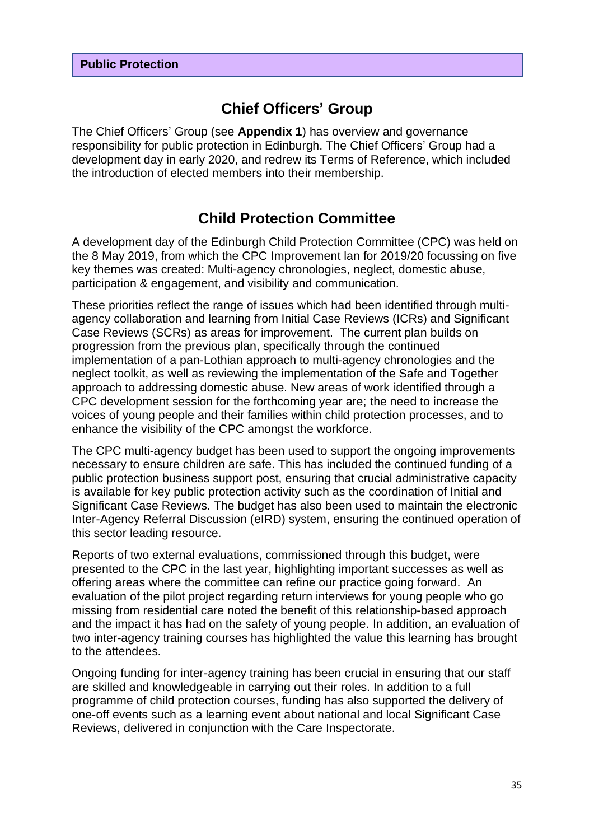# **Chief Officers' Group**

The Chief Officers' Group (see **Appendix 1**) has overview and governance responsibility for public protection in Edinburgh. The Chief Officers' Group had a development day in early 2020, and redrew its Terms of Reference, which included the introduction of elected members into their membership.

# **Child Protection Committee**

A development day of the Edinburgh Child Protection Committee (CPC) was held on the 8 May 2019, from which the CPC Improvement lan for 2019/20 focussing on five key themes was created: Multi-agency chronologies, neglect, domestic abuse, participation & engagement, and visibility and communication.

These priorities reflect the range of issues which had been identified through multiagency collaboration and learning from Initial Case Reviews (ICRs) and Significant Case Reviews (SCRs) as areas for improvement. The current plan builds on progression from the previous plan, specifically through the continued implementation of a pan-Lothian approach to multi-agency chronologies and the neglect toolkit, as well as reviewing the implementation of the Safe and Together approach to addressing domestic abuse. New areas of work identified through a CPC development session for the forthcoming year are; the need to increase the voices of young people and their families within child protection processes, and to enhance the visibility of the CPC amongst the workforce.

The CPC multi-agency budget has been used to support the ongoing improvements necessary to ensure children are safe. This has included the continued funding of a public protection business support post, ensuring that crucial administrative capacity is available for key public protection activity such as the coordination of Initial and Significant Case Reviews. The budget has also been used to maintain the electronic Inter-Agency Referral Discussion (eIRD) system, ensuring the continued operation of this sector leading resource.

Reports of two external evaluations, commissioned through this budget, were presented to the CPC in the last year, highlighting important successes as well as offering areas where the committee can refine our practice going forward. An evaluation of the pilot project regarding return interviews for young people who go missing from residential care noted the benefit of this relationship-based approach and the impact it has had on the safety of young people. In addition, an evaluation of two inter-agency training courses has highlighted the value this learning has brought to the attendees.

Ongoing funding for inter-agency training has been crucial in ensuring that our staff are skilled and knowledgeable in carrying out their roles. In addition to a full programme of child protection courses, funding has also supported the delivery of one-off events such as a learning event about national and local Significant Case Reviews, delivered in conjunction with the Care Inspectorate.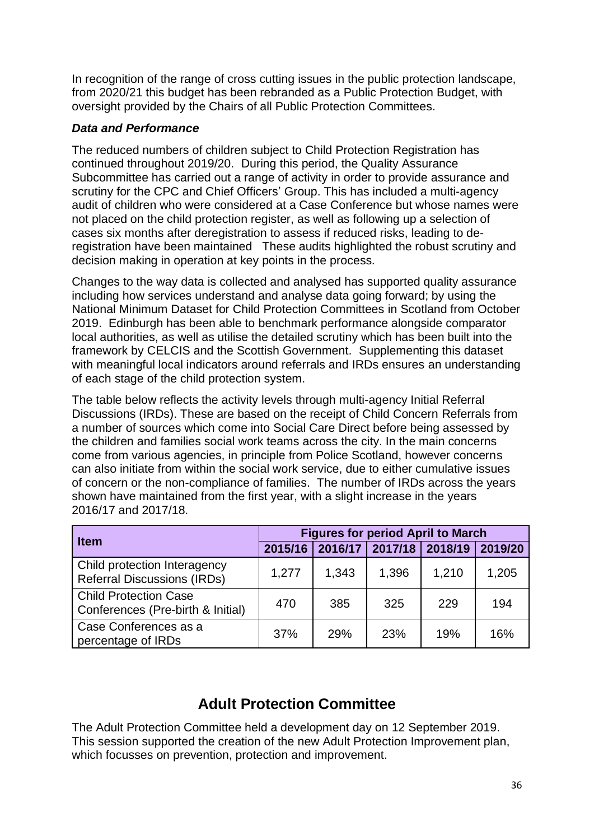In recognition of the range of cross cutting issues in the public protection landscape, from 2020/21 this budget has been rebranded as a Public Protection Budget, with oversight provided by the Chairs of all Public Protection Committees.

# *Data and Performance*

The reduced numbers of children subject to Child Protection Registration has continued throughout 2019/20. During this period, the Quality Assurance Subcommittee has carried out a range of activity in order to provide assurance and scrutiny for the CPC and Chief Officers' Group. This has included a multi-agency audit of children who were considered at a Case Conference but whose names were not placed on the child protection register, as well as following up a selection of cases six months after deregistration to assess if reduced risks, leading to deregistration have been maintained These audits highlighted the robust scrutiny and decision making in operation at key points in the process.

Changes to the way data is collected and analysed has supported quality assurance including how services understand and analyse data going forward; by using the National Minimum Dataset for Child Protection Committees in Scotland from October 2019. Edinburgh has been able to benchmark performance alongside comparator local authorities, as well as utilise the detailed scrutiny which has been built into the framework by CELCIS and the Scottish Government. Supplementing this dataset with meaningful local indicators around referrals and IRDs ensures an understanding of each stage of the child protection system.

The table below reflects the activity levels through multi-agency Initial Referral Discussions (IRDs). These are based on the receipt of Child Concern Referrals from a number of sources which come into Social Care Direct before being assessed by the children and families social work teams across the city. In the main concerns come from various agencies, in principle from Police Scotland, however concerns can also initiate from within the social work service, due to either cumulative issues of concern or the non-compliance of families. The number of IRDs across the years shown have maintained from the first year, with a slight increase in the years 2016/17 and 2017/18.

|                                                                    | <b>Figures for period April to March</b> |       |                         |       |         |
|--------------------------------------------------------------------|------------------------------------------|-------|-------------------------|-------|---------|
| <b>Item</b>                                                        | 2015/16                                  |       | 2016/17 2017/18 2018/19 |       | 2019/20 |
| Child protection Interagency<br><b>Referral Discussions (IRDs)</b> | 1,277                                    | 1,343 | 1,396                   | 1,210 | 1,205   |
| <b>Child Protection Case</b><br>Conferences (Pre-birth & Initial)  | 470                                      | 385   | 325                     | 229   | 194     |
| Case Conferences as a<br>percentage of IRDs                        | 37%                                      | 29%   | 23%                     | 19%   | 16%     |

# **Adult Protection Committee**

The Adult Protection Committee held a development day on 12 September 2019. This session supported the creation of the new Adult Protection Improvement plan, which focusses on prevention, protection and improvement.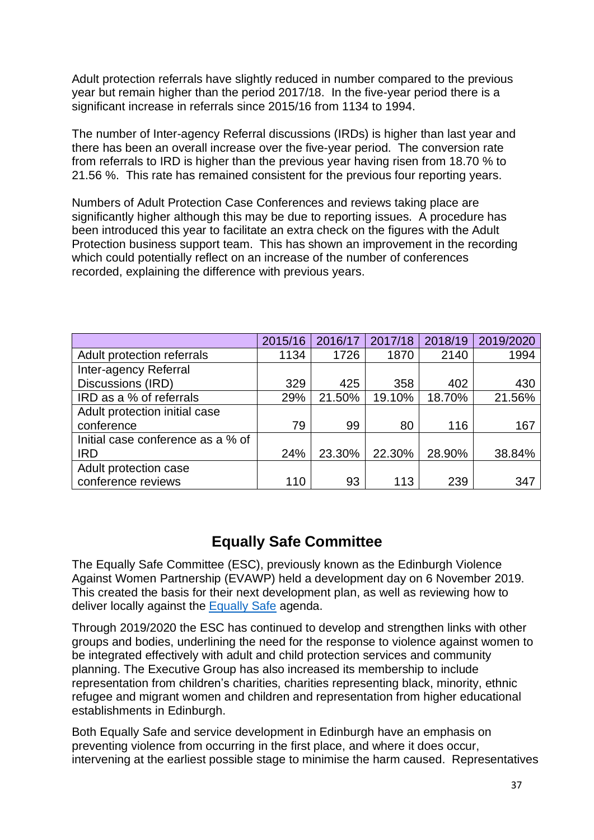Adult protection referrals have slightly reduced in number compared to the previous year but remain higher than the period 2017/18. In the five-year period there is a significant increase in referrals since 2015/16 from 1134 to 1994.

The number of Inter-agency Referral discussions (IRDs) is higher than last year and there has been an overall increase over the five-year period. The conversion rate from referrals to IRD is higher than the previous year having risen from 18.70 % to 21.56 %. This rate has remained consistent for the previous four reporting years.

Numbers of Adult Protection Case Conferences and reviews taking place are significantly higher although this may be due to reporting issues. A procedure has been introduced this year to facilitate an extra check on the figures with the Adult Protection business support team. This has shown an improvement in the recording which could potentially reflect on an increase of the number of conferences recorded, explaining the difference with previous years.

|                                   | 2015/16 | 2016/17 | 2017/18 | 2018/19 | 2019/2020 |
|-----------------------------------|---------|---------|---------|---------|-----------|
| Adult protection referrals        | 1134    | 1726    | 1870    | 2140    | 1994      |
| Inter-agency Referral             |         |         |         |         |           |
| Discussions (IRD)                 | 329     | 425     | 358     | 402     | 430       |
| IRD as a % of referrals           | 29%     | 21.50%  | 19.10%  | 18.70%  | 21.56%    |
| Adult protection initial case     |         |         |         |         |           |
| conference                        | 79      | 99      | 80      | 116     | 167       |
| Initial case conference as a % of |         |         |         |         |           |
| <b>IRD</b>                        | 24%     | 23.30%  | 22.30%  | 28.90%  | 38.84%    |
| Adult protection case             |         |         |         |         |           |
| conference reviews                | 110     | 93      | 113     | 239     | 347       |

# **Equally Safe Committee**

The Equally Safe Committee (ESC), previously known as the Edinburgh Violence Against Women Partnership (EVAWP) held a development day on 6 November 2019. This created the basis for their next development plan, as well as reviewing how to deliver locally against the [Equally](https://www.gov.scot/publications/equally-safe/) Safe agenda.

Through 2019/2020 the ESC has continued to develop and strengthen links with other groups and bodies, underlining the need for the response to violence against women to be integrated effectively with adult and child protection services and community planning. The Executive Group has also increased its membership to include representation from children's charities, charities representing black, minority, ethnic refugee and migrant women and children and representation from higher educational establishments in Edinburgh.

Both Equally Safe and service development in Edinburgh have an emphasis on preventing violence from occurring in the first place, and where it does occur, intervening at the earliest possible stage to minimise the harm caused. Representatives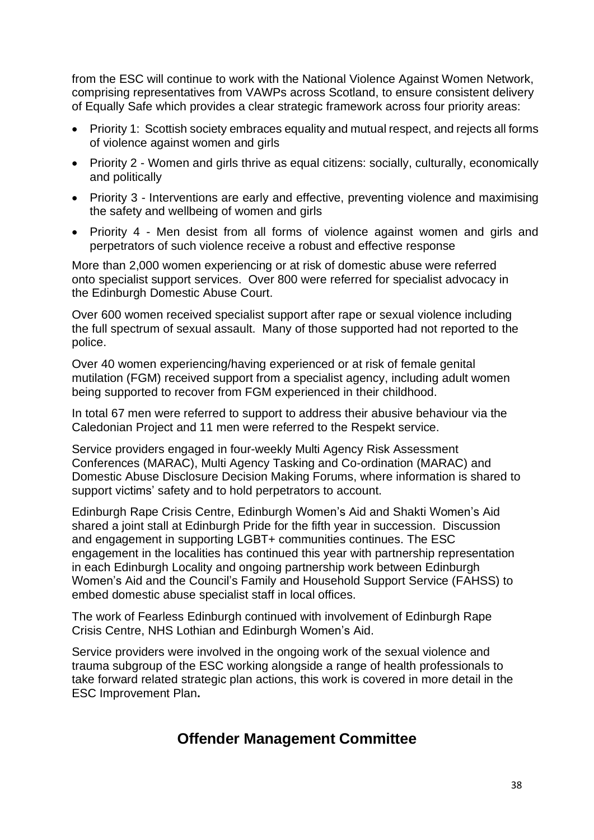from the ESC will continue to work with the National Violence Against Women Network, comprising representatives from VAWPs across Scotland, to ensure consistent delivery of Equally Safe which provides a clear strategic framework across four priority areas:

- Priority 1: Scottish society embraces equality and mutual respect, and rejects all forms of violence against women and girls
- Priority 2 Women and girls thrive as equal citizens: socially, culturally, economically and politically
- Priority 3 Interventions are early and effective, preventing violence and maximising the safety and wellbeing of women and girls
- Priority 4 Men desist from all forms of violence against women and girls and perpetrators of such violence receive a robust and effective response

More than 2,000 women experiencing or at risk of domestic abuse were referred onto specialist support services. Over 800 were referred for specialist advocacy in the Edinburgh Domestic Abuse Court.

Over 600 women received specialist support after rape or sexual violence including the full spectrum of sexual assault. Many of those supported had not reported to the police.

Over 40 women experiencing/having experienced or at risk of female genital mutilation (FGM) received support from a specialist agency, including adult women being supported to recover from FGM experienced in their childhood.

In total 67 men were referred to support to address their abusive behaviour via the Caledonian Project and 11 men were referred to the Respekt service.

Service providers engaged in four-weekly Multi Agency Risk Assessment Conferences (MARAC), Multi Agency Tasking and Co-ordination (MARAC) and Domestic Abuse Disclosure Decision Making Forums, where information is shared to support victims' safety and to hold perpetrators to account.

Edinburgh Rape Crisis Centre, Edinburgh Women's Aid and Shakti Women's Aid shared a joint stall at Edinburgh Pride for the fifth year in succession. Discussion and engagement in supporting LGBT+ communities continues. The ESC engagement in the localities has continued this year with partnership representation in each Edinburgh Locality and ongoing partnership work between Edinburgh Women's Aid and the Council's Family and Household Support Service (FAHSS) to embed domestic abuse specialist staff in local offices.

The work of Fearless Edinburgh continued with involvement of Edinburgh Rape Crisis Centre, NHS Lothian and Edinburgh Women's Aid.

Service providers were involved in the ongoing work of the sexual violence and trauma subgroup of the ESC working alongside a range of health professionals to take forward related strategic plan actions, this work is covered in more detail in the ESC Improvement Plan**.**

# **Offender Management Committee**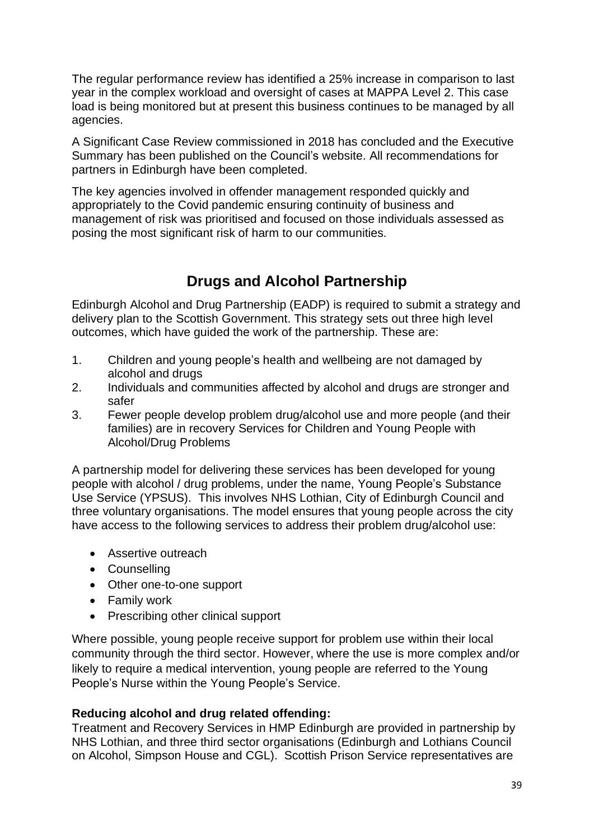The regular performance review has identified a 25% increase in comparison to last year in the complex workload and oversight of cases at MAPPA Level 2. This case load is being monitored but at present this business continues to be managed by all agencies.

A Significant Case Review commissioned in 2018 has concluded and the Executive Summary has been published on the Council's website. All recommendations for partners in Edinburgh have been completed.

The key agencies involved in offender management responded quickly and appropriately to the Covid pandemic ensuring continuity of business and management of risk was prioritised and focused on those individuals assessed as posing the most significant risk of harm to our communities.

# **Drugs and Alcohol Partnership**

Edinburgh Alcohol and Drug Partnership (EADP) is required to submit a strategy and delivery plan to the Scottish Government. This strategy sets out three high level outcomes, which have guided the work of the partnership. These are:

- 1. Children and young people's health and wellbeing are not damaged by alcohol and drugs
- 2. Individuals and communities affected by alcohol and drugs are stronger and safer
- 3. Fewer people develop problem drug/alcohol use and more people (and their families) are in recovery Services for Children and Young People with Alcohol/Drug Problems

A partnership model for delivering these services has been developed for young people with alcohol / drug problems, under the name, Young People's Substance Use Service (YPSUS). This involves NHS Lothian, City of Edinburgh Council and three voluntary organisations. The model ensures that young people across the city have access to the following services to address their problem drug/alcohol use:

- Assertive outreach
- Counselling
- Other one-to-one support
- Family work
- Prescribing other clinical support

Where possible, young people receive support for problem use within their local community through the third sector. However, where the use is more complex and/or likely to require a medical intervention, young people are referred to the Young People's Nurse within the Young People's Service.

# **Reducing alcohol and drug related offending:**

Treatment and Recovery Services in HMP Edinburgh are provided in partnership by NHS Lothian, and three third sector organisations (Edinburgh and Lothians Council on Alcohol, Simpson House and CGL). Scottish Prison Service representatives are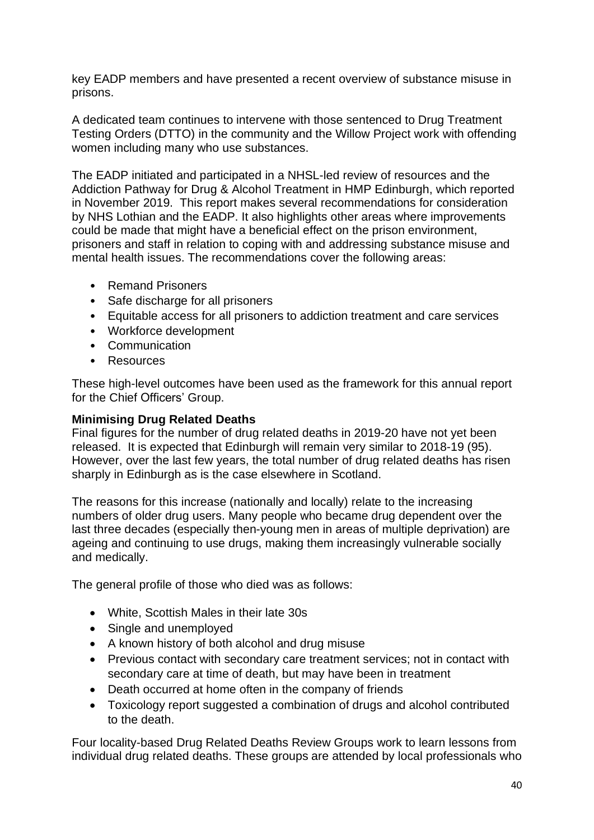key EADP members and have presented a recent overview of substance misuse in prisons.

A dedicated team continues to intervene with those sentenced to Drug Treatment Testing Orders (DTTO) in the community and the Willow Project work with offending women including many who use substances.

The EADP initiated and participated in a NHSL-led review of resources and the Addiction Pathway for Drug & Alcohol Treatment in HMP Edinburgh, which reported in November 2019. This report makes several recommendations for consideration by NHS Lothian and the EADP. It also highlights other areas where improvements could be made that might have a beneficial effect on the prison environment, prisoners and staff in relation to coping with and addressing substance misuse and mental health issues. The recommendations cover the following areas:

- Remand Prisoners
- Safe discharge for all prisoners
- Equitable access for all prisoners to addiction treatment and care services
- Workforce development
- Communication
- Resources

These high-level outcomes have been used as the framework for this annual report for the Chief Officers' Group.

### **Minimising Drug Related Deaths**

Final figures for the number of drug related deaths in 2019-20 have not yet been released. It is expected that Edinburgh will remain very similar to 2018-19 (95). However, over the last few years, the total number of drug related deaths has risen sharply in Edinburgh as is the case elsewhere in Scotland.

The reasons for this increase (nationally and locally) relate to the increasing numbers of older drug users. Many people who became drug dependent over the last three decades (especially then-young men in areas of multiple deprivation) are ageing and continuing to use drugs, making them increasingly vulnerable socially and medically.

The general profile of those who died was as follows:

- White, Scottish Males in their late 30s
- Single and unemployed
- A known history of both alcohol and drug misuse
- Previous contact with secondary care treatment services; not in contact with secondary care at time of death, but may have been in treatment
- Death occurred at home often in the company of friends
- Toxicology report suggested a combination of drugs and alcohol contributed to the death.

Four locality-based Drug Related Deaths Review Groups work to learn lessons from individual drug related deaths. These groups are attended by local professionals who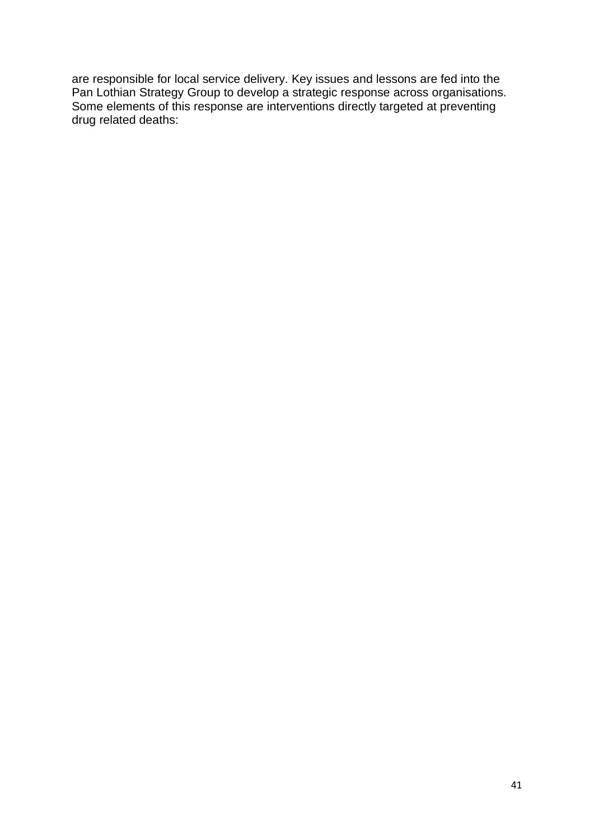are responsible for local service delivery. Key issues and lessons are fed into the Pan Lothian Strategy Group to develop a strategic response across organisations. Some elements of this response are interventions directly targeted at preventing drug related deaths: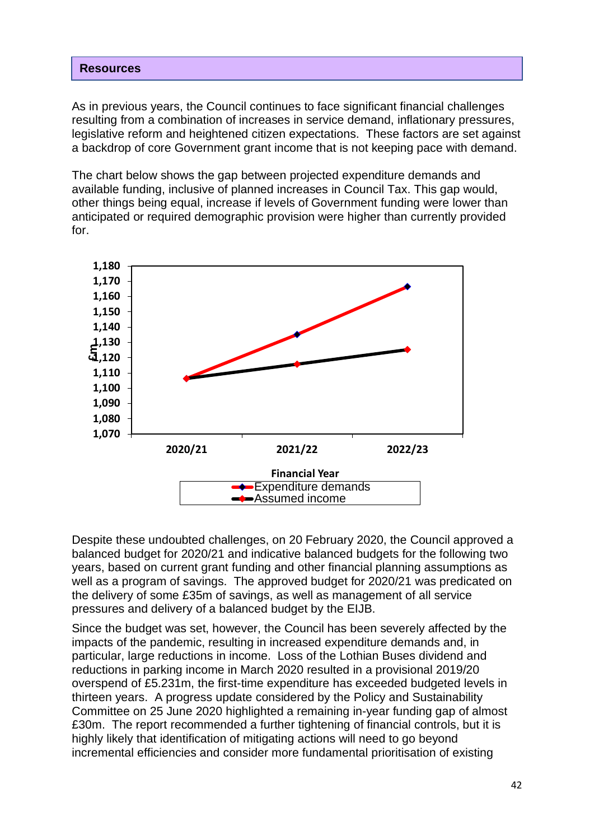#### **Resources**

As in previous years, the Council continues to face significant financial challenges resulting from a combination of increases in service demand, inflationary pressures, legislative reform and heightened citizen expectations. These factors are set against a backdrop of core Government grant income that is not keeping pace with demand.

The chart below shows the gap between projected expenditure demands and available funding, inclusive of planned increases in Council Tax. This gap would, other things being equal, increase if levels of Government funding were lower than anticipated or required demographic provision were higher than currently provided for.



Despite these undoubted challenges, on 20 February 2020, the Council approved a balanced budget for 2020/21 and indicative balanced budgets for the following two years, based on current grant funding and other financial planning assumptions as well as a program of savings. The approved budget for 2020/21 was predicated on the delivery of some £35m of savings, as well as management of all service pressures and delivery of a balanced budget by the EIJB.

Since the budget was set, however, the Council has been severely affected by the impacts of the pandemic, resulting in increased expenditure demands and, in particular, large reductions in income. Loss of the Lothian Buses dividend and reductions in parking income in March 2020 resulted in a provisional 2019/20 overspend of £5.231m, the first-time expenditure has exceeded budgeted levels in thirteen years. A progress update considered by the Policy and Sustainability Committee on 25 June 2020 highlighted a remaining in-year funding gap of almost £30m. The report recommended a further tightening of financial controls, but it is highly likely that identification of mitigating actions will need to go beyond incremental efficiencies and consider more fundamental prioritisation of existing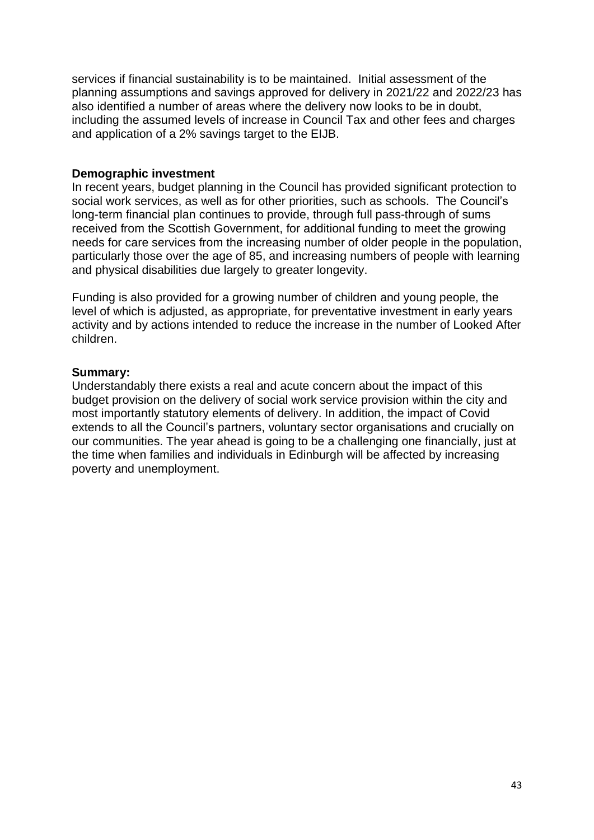services if financial sustainability is to be maintained. Initial assessment of the planning assumptions and savings approved for delivery in 2021/22 and 2022/23 has also identified a number of areas where the delivery now looks to be in doubt, including the assumed levels of increase in Council Tax and other fees and charges and application of a 2% savings target to the EIJB.

### **Demographic investment**

In recent years, budget planning in the Council has provided significant protection to social work services, as well as for other priorities, such as schools. The Council's long-term financial plan continues to provide, through full pass-through of sums received from the Scottish Government, for additional funding to meet the growing needs for care services from the increasing number of older people in the population, particularly those over the age of 85, and increasing numbers of people with learning and physical disabilities due largely to greater longevity.

Funding is also provided for a growing number of children and young people, the level of which is adjusted, as appropriate, for preventative investment in early years activity and by actions intended to reduce the increase in the number of Looked After children.

### **Summary:**

Understandably there exists a real and acute concern about the impact of this budget provision on the delivery of social work service provision within the city and most importantly statutory elements of delivery. In addition, the impact of Covid extends to all the Council's partners, voluntary sector organisations and crucially on our communities. The year ahead is going to be a challenging one financially, just at the time when families and individuals in Edinburgh will be affected by increasing poverty and unemployment.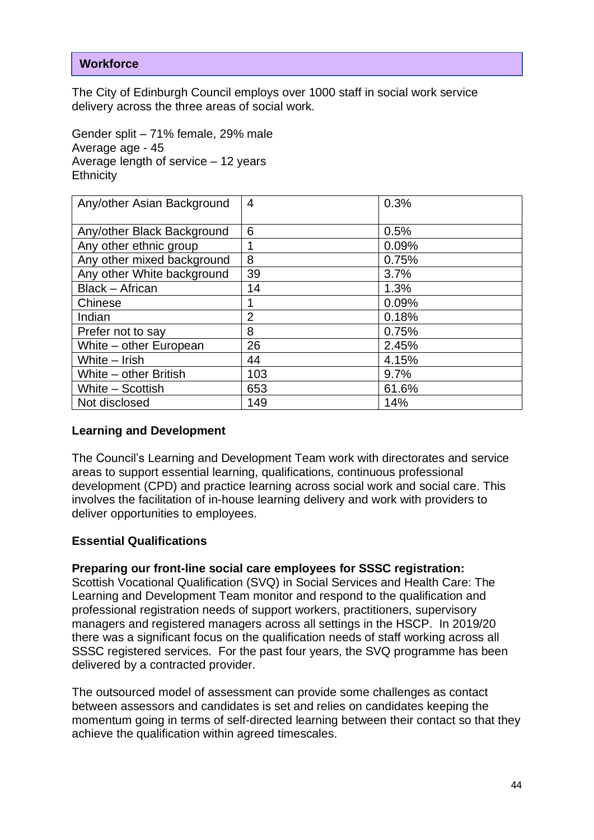# **Workforce**

The City of Edinburgh Council employs over 1000 staff in social work service delivery across the three areas of social work.

Gender split – 71% female, 29% male Average age - 45 Average length of service – 12 years **Ethnicity** 

| Any/other Asian Background | $\overline{4}$ | 0.3%  |
|----------------------------|----------------|-------|
| Any/other Black Background | 6              | 0.5%  |
| Any other ethnic group     |                | 0.09% |
| Any other mixed background | 8              | 0.75% |
| Any other White background | 39             | 3.7%  |
| Black - African            | 14             | 1.3%  |
| Chinese                    |                | 0.09% |
| Indian                     | $\overline{2}$ | 0.18% |
| Prefer not to say          | 8              | 0.75% |
| White – other European     | 26             | 2.45% |
| White - Irish              | 44             | 4.15% |
| White - other British      | 103            | 9.7%  |
| White - Scottish           | 653            | 61.6% |
| Not disclosed              | 149            | 14%   |

### **Learning and Development**

The Council's Learning and Development Team work with directorates and service areas to support essential learning, qualifications, continuous professional development (CPD) and practice learning across social work and social care. This involves the facilitation of in-house learning delivery and work with providers to deliver opportunities to employees.

### **Essential Qualifications**

### **Preparing our front-line social care employees for SSSC registration:**

Scottish Vocational Qualification (SVQ) in Social Services and Health Care: The Learning and Development Team monitor and respond to the qualification and professional registration needs of support workers, practitioners, supervisory managers and registered managers across all settings in the HSCP. In 2019/20 there was a significant focus on the qualification needs of staff working across all SSSC registered services. For the past four years, the SVQ programme has been delivered by a contracted provider.

The outsourced model of assessment can provide some challenges as contact between assessors and candidates is set and relies on candidates keeping the momentum going in terms of self-directed learning between their contact so that they achieve the qualification within agreed timescales.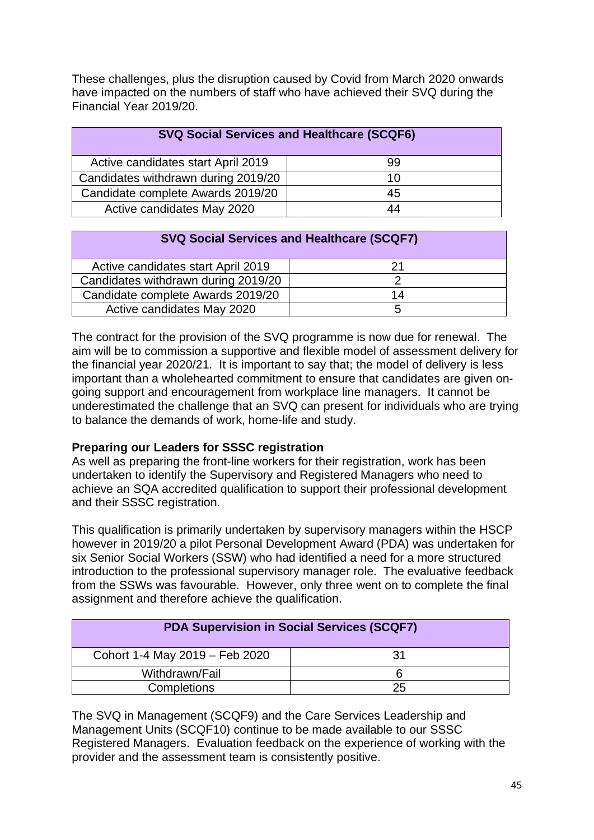These challenges, plus the disruption caused by Covid from March 2020 onwards have impacted on the numbers of staff who have achieved their SVQ during the Financial Year 2019/20.

| <b>SVQ Social Services and Healthcare (SCQF6)</b> |    |  |  |
|---------------------------------------------------|----|--|--|
| Active candidates start April 2019                | 99 |  |  |
| Candidates withdrawn during 2019/20               | 10 |  |  |
| Candidate complete Awards 2019/20                 | 45 |  |  |
| Active candidates May 2020                        | 44 |  |  |

| <b>SVQ Social Services and Healthcare (SCQF7)</b> |    |  |  |
|---------------------------------------------------|----|--|--|
| Active candidates start April 2019                | 21 |  |  |
| Candidates withdrawn during 2019/20               |    |  |  |
| Candidate complete Awards 2019/20                 | 14 |  |  |
| Active candidates May 2020                        | :5 |  |  |

The contract for the provision of the SVQ programme is now due for renewal. The aim will be to commission a supportive and flexible model of assessment delivery for the financial year 2020/21. It is important to say that; the model of delivery is less important than a wholehearted commitment to ensure that candidates are given ongoing support and encouragement from workplace line managers. It cannot be underestimated the challenge that an SVQ can present for individuals who are trying to balance the demands of work, home-life and study.

### **Preparing our Leaders for SSSC registration**

As well as preparing the front-line workers for their registration, work has been undertaken to identify the Supervisory and Registered Managers who need to achieve an SQA accredited qualification to support their professional development and their SSSC registration.

This qualification is primarily undertaken by supervisory managers within the HSCP however in 2019/20 a pilot Personal Development Award (PDA) was undertaken for six Senior Social Workers (SSW) who had identified a need for a more structured introduction to the professional supervisory manager role. The evaluative feedback from the SSWs was favourable. However, only three went on to complete the final assignment and therefore achieve the qualification.

| <b>PDA Supervision in Social Services (SCQF7)</b> |    |  |
|---------------------------------------------------|----|--|
| Cohort 1-4 May 2019 - Feb 2020                    | 31 |  |
| Withdrawn/Fail                                    |    |  |
| Completions                                       | 25 |  |

The SVQ in Management (SCQF9) and the Care Services Leadership and Management Units (SCQF10) continue to be made available to our SSSC Registered Managers. Evaluation feedback on the experience of working with the provider and the assessment team is consistently positive.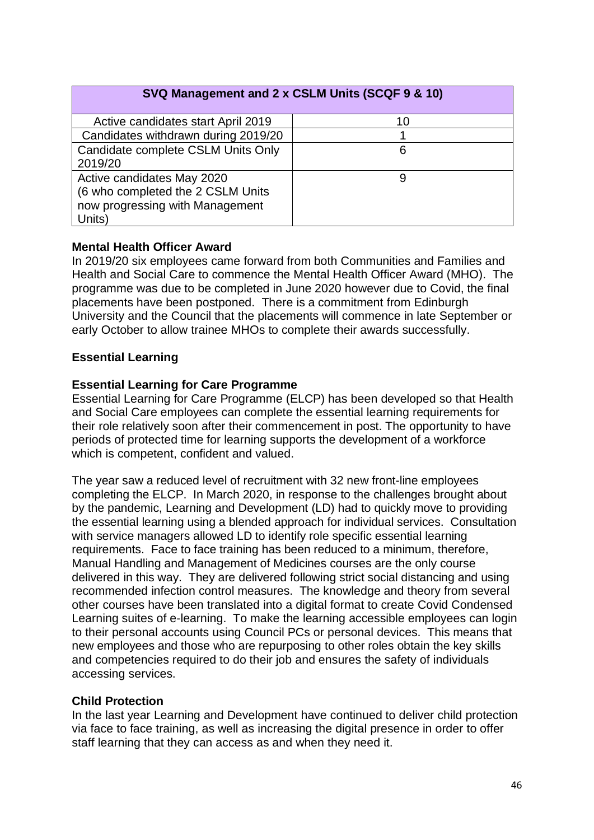# **SVQ Management and 2 x CSLM Units (SCQF 9 & 10)**

| Active candidates start April 2019                                                                           | 10 |
|--------------------------------------------------------------------------------------------------------------|----|
| Candidates withdrawn during 2019/20                                                                          |    |
| Candidate complete CSLM Units Only<br>2019/20                                                                |    |
| Active candidates May 2020<br>(6 who completed the 2 CSLM Units<br>now progressing with Management<br>Units) |    |

### **Mental Health Officer Award**

In 2019/20 six employees came forward from both Communities and Families and Health and Social Care to commence the Mental Health Officer Award (MHO). The programme was due to be completed in June 2020 however due to Covid, the final placements have been postponed. There is a commitment from Edinburgh University and the Council that the placements will commence in late September or early October to allow trainee MHOs to complete their awards successfully.

# **Essential Learning**

# **Essential Learning for Care Programme**

Essential Learning for Care Programme (ELCP) has been developed so that Health and Social Care employees can complete the essential learning requirements for their role relatively soon after their commencement in post. The opportunity to have periods of protected time for learning supports the development of a workforce which is competent, confident and valued.

The year saw a reduced level of recruitment with 32 new front-line employees completing the ELCP. In March 2020, in response to the challenges brought about by the pandemic, Learning and Development (LD) had to quickly move to providing the essential learning using a blended approach for individual services. Consultation with service managers allowed LD to identify role specific essential learning requirements. Face to face training has been reduced to a minimum, therefore, Manual Handling and Management of Medicines courses are the only course delivered in this way. They are delivered following strict social distancing and using recommended infection control measures. The knowledge and theory from several other courses have been translated into a digital format to create Covid Condensed Learning suites of e-learning. To make the learning accessible employees can login to their personal accounts using Council PCs or personal devices. This means that new employees and those who are repurposing to other roles obtain the key skills and competencies required to do their job and ensures the safety of individuals accessing services.

### **Child Protection**

In the last year Learning and Development have continued to deliver child protection via face to face training, as well as increasing the digital presence in order to offer staff learning that they can access as and when they need it.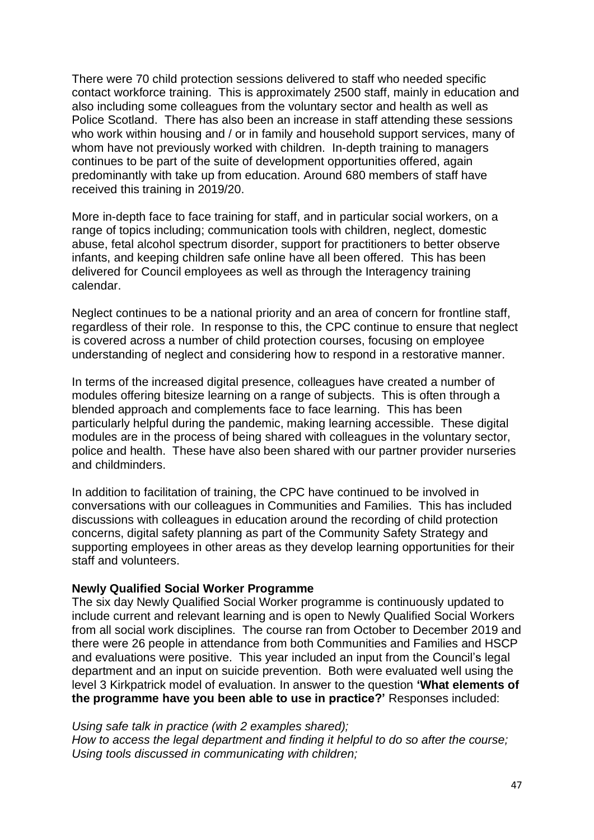There were 70 child protection sessions delivered to staff who needed specific contact workforce training. This is approximately 2500 staff, mainly in education and also including some colleagues from the voluntary sector and health as well as Police Scotland. There has also been an increase in staff attending these sessions who work within housing and / or in family and household support services, many of whom have not previously worked with children. In-depth training to managers continues to be part of the suite of development opportunities offered, again predominantly with take up from education. Around 680 members of staff have received this training in 2019/20.

More in-depth face to face training for staff, and in particular social workers, on a range of topics including; communication tools with children, neglect, domestic abuse, fetal alcohol spectrum disorder, support for practitioners to better observe infants, and keeping children safe online have all been offered. This has been delivered for Council employees as well as through the Interagency training calendar.

Neglect continues to be a national priority and an area of concern for frontline staff, regardless of their role. In response to this, the CPC continue to ensure that neglect is covered across a number of child protection courses, focusing on employee understanding of neglect and considering how to respond in a restorative manner.

In terms of the increased digital presence, colleagues have created a number of modules offering bitesize learning on a range of subjects. This is often through a blended approach and complements face to face learning. This has been particularly helpful during the pandemic, making learning accessible. These digital modules are in the process of being shared with colleagues in the voluntary sector, police and health. These have also been shared with our partner provider nurseries and childminders.

In addition to facilitation of training, the CPC have continued to be involved in conversations with our colleagues in Communities and Families. This has included discussions with colleagues in education around the recording of child protection concerns, digital safety planning as part of the Community Safety Strategy and supporting employees in other areas as they develop learning opportunities for their staff and volunteers.

### **Newly Qualified Social Worker Programme**

The six day Newly Qualified Social Worker programme is continuously updated to include current and relevant learning and is open to Newly Qualified Social Workers from all social work disciplines. The course ran from October to December 2019 and there were 26 people in attendance from both Communities and Families and HSCP and evaluations were positive. This year included an input from the Council's legal department and an input on suicide prevention. Both were evaluated well using the level 3 Kirkpatrick model of evaluation. In answer to the question **'What elements of the programme have you been able to use in practice?'** Responses included:

*Using safe talk in practice (with 2 examples shared); How to access the legal department and finding it helpful to do so after the course; Using tools discussed in communicating with children;*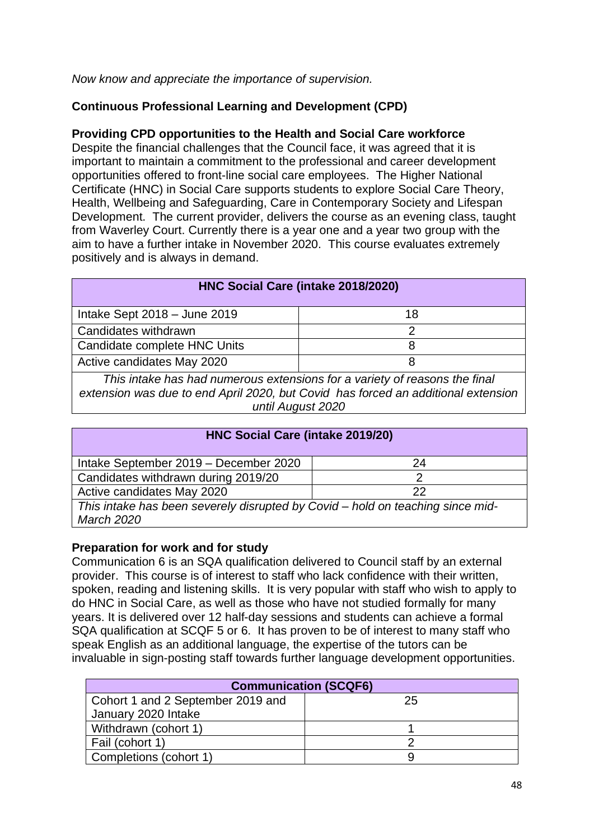*Now know and appreciate the importance of supervision.*

# **Continuous Professional Learning and Development (CPD)**

# **Providing CPD opportunities to the Health and Social Care workforce**

Despite the financial challenges that the Council face, it was agreed that it is important to maintain a commitment to the professional and career development opportunities offered to front-line social care employees. The Higher National Certificate (HNC) in Social Care supports students to explore Social Care Theory, Health, Wellbeing and Safeguarding, Care in Contemporary Society and Lifespan Development. The current provider, delivers the course as an evening class, taught from Waverley Court. Currently there is a year one and a year two group with the aim to have a further intake in November 2020. This course evaluates extremely positively and is always in demand.

| HNC Social Care (intake 2018/2020)                                                                                                                                                   |    |  |
|--------------------------------------------------------------------------------------------------------------------------------------------------------------------------------------|----|--|
| Intake Sept $2018 -$ June 2019                                                                                                                                                       | 18 |  |
| Candidates withdrawn                                                                                                                                                                 | 2  |  |
| Candidate complete HNC Units                                                                                                                                                         | 8  |  |
| Active candidates May 2020                                                                                                                                                           | 8  |  |
| This intake has had numerous extensions for a variety of reasons the final<br>extension was due to end April 2020, but Covid has forced an additional extension<br>until August 2020 |    |  |

| HNC Social Care (intake 2019/20)                                                                    |    |  |  |
|-----------------------------------------------------------------------------------------------------|----|--|--|
| Intake September 2019 - December 2020                                                               | 24 |  |  |
| Candidates withdrawn during 2019/20                                                                 |    |  |  |
| Active candidates May 2020                                                                          | 22 |  |  |
| This intake has been severely disrupted by Covid – hold on teaching since mid-<br><b>March 2020</b> |    |  |  |

# **Preparation for work and for study**

Communication 6 is an SQA qualification delivered to Council staff by an external provider. This course is of interest to staff who lack confidence with their written, spoken, reading and listening skills. It is very popular with staff who wish to apply to do HNC in Social Care, as well as those who have not studied formally for many years. It is delivered over 12 half-day sessions and students can achieve a formal SQA qualification at SCQF 5 or 6. It has proven to be of interest to many staff who speak English as an additional language, the expertise of the tutors can be invaluable in sign-posting staff towards further language development opportunities.

| <b>Communication (SCQF6)</b>      |    |  |
|-----------------------------------|----|--|
| Cohort 1 and 2 September 2019 and | 25 |  |
| January 2020 Intake               |    |  |
| Withdrawn (cohort 1)              |    |  |
| Fail (cohort 1)                   |    |  |
| Completions (cohort 1)            |    |  |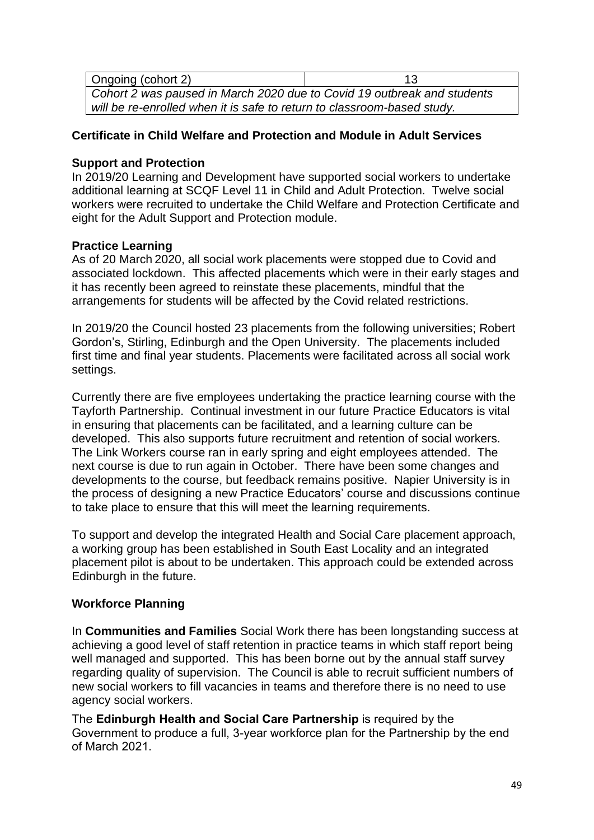| Ongoing (cohort 2)                                                      | 13 |  |  |
|-------------------------------------------------------------------------|----|--|--|
| Cohort 2 was paused in March 2020 due to Covid 19 outbreak and students |    |  |  |
| will be re-enrolled when it is safe to return to classroom-based study. |    |  |  |

# **Certificate in Child Welfare and Protection and Module in Adult Services**

### **Support and Protection**

In 2019/20 Learning and Development have supported social workers to undertake additional learning at SCQF Level 11 in Child and Adult Protection. Twelve social workers were recruited to undertake the Child Welfare and Protection Certificate and eight for the Adult Support and Protection module.

# **Practice Learning**

As of 20 March 2020, all social work placements were stopped due to Covid and associated lockdown. This affected placements which were in their early stages and it has recently been agreed to reinstate these placements, mindful that the arrangements for students will be affected by the Covid related restrictions.

In 2019/20 the Council hosted 23 placements from the following universities; Robert Gordon's, Stirling, Edinburgh and the Open University. The placements included first time and final year students. Placements were facilitated across all social work settings.

Currently there are five employees undertaking the practice learning course with the Tayforth Partnership. Continual investment in our future Practice Educators is vital in ensuring that placements can be facilitated, and a learning culture can be developed. This also supports future recruitment and retention of social workers. The Link Workers course ran in early spring and eight employees attended. The next course is due to run again in October. There have been some changes and developments to the course, but feedback remains positive. Napier University is in the process of designing a new Practice Educators' course and discussions continue to take place to ensure that this will meet the learning requirements.

To support and develop the integrated Health and Social Care placement approach, a working group has been established in South East Locality and an integrated placement pilot is about to be undertaken. This approach could be extended across Edinburgh in the future.

# **Workforce Planning**

In **Communities and Families** Social Work there has been longstanding success at achieving a good level of staff retention in practice teams in which staff report being well managed and supported. This has been borne out by the annual staff survey regarding quality of supervision. The Council is able to recruit sufficient numbers of new social workers to fill vacancies in teams and therefore there is no need to use agency social workers.

The **Edinburgh Health and Social Care Partnership** is required by the Government to produce a full, 3-year workforce plan for the Partnership by the end of March 2021.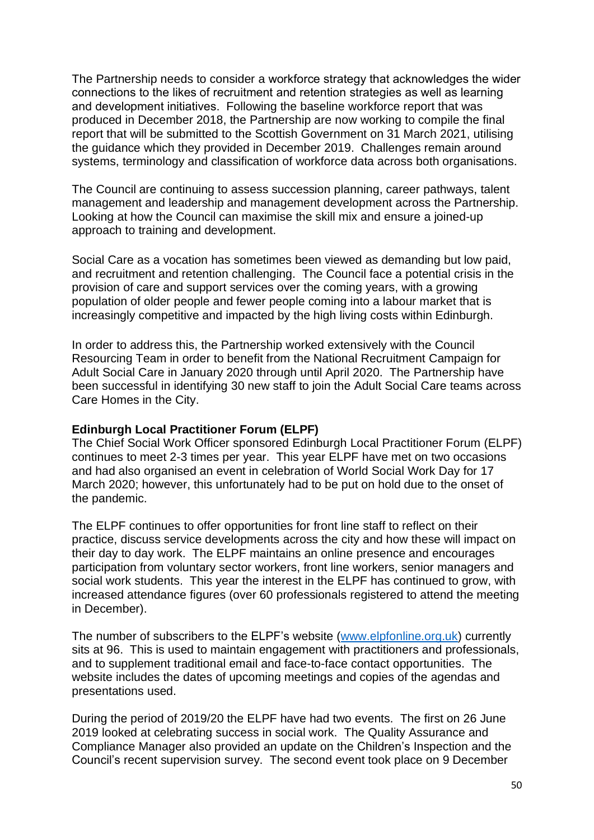The Partnership needs to consider a workforce strategy that acknowledges the wider connections to the likes of recruitment and retention strategies as well as learning and development initiatives. Following the baseline workforce report that was produced in December 2018, the Partnership are now working to compile the final report that will be submitted to the Scottish Government on 31 March 2021, utilising the guidance which they provided in December 2019. Challenges remain around systems, terminology and classification of workforce data across both organisations.

The Council are continuing to assess succession planning, career pathways, talent management and leadership and management development across the Partnership. Looking at how the Council can maximise the skill mix and ensure a joined-up approach to training and development.

Social Care as a vocation has sometimes been viewed as demanding but low paid, and recruitment and retention challenging. The Council face a potential crisis in the provision of care and support services over the coming years, with a growing population of older people and fewer people coming into a labour market that is increasingly competitive and impacted by the high living costs within Edinburgh.

In order to address this, the Partnership worked extensively with the Council Resourcing Team in order to benefit from the National Recruitment Campaign for Adult Social Care in January 2020 through until April 2020. The Partnership have been successful in identifying 30 new staff to join the Adult Social Care teams across Care Homes in the City.

### **Edinburgh Local Practitioner Forum (ELPF)**

The Chief Social Work Officer sponsored Edinburgh Local Practitioner Forum (ELPF) continues to meet 2-3 times per year. This year ELPF have met on two occasions and had also organised an event in celebration of World Social Work Day for 17 March 2020; however, this unfortunately had to be put on hold due to the onset of the pandemic.

The ELPF continues to offer opportunities for front line staff to reflect on their practice, discuss service developments across the city and how these will impact on their day to day work. The ELPF maintains an online presence and encourages participation from voluntary sector workers, front line workers, senior managers and social work students. This year the interest in the ELPF has continued to grow, with increased attendance figures (over 60 professionals registered to attend the meeting in December).

The number of subscribers to the ELPF's website [\(www.elpfonline.org.uk\)](http://www.elpfonline.org.uk/) currently sits at 96. This is used to maintain engagement with practitioners and professionals, and to supplement traditional email and face-to-face contact opportunities. The website includes the dates of upcoming meetings and copies of the agendas and presentations used.

During the period of 2019/20 the ELPF have had two events. The first on 26 June 2019 looked at celebrating success in social work. The Quality Assurance and Compliance Manager also provided an update on the Children's Inspection and the Council's recent supervision survey. The second event took place on 9 December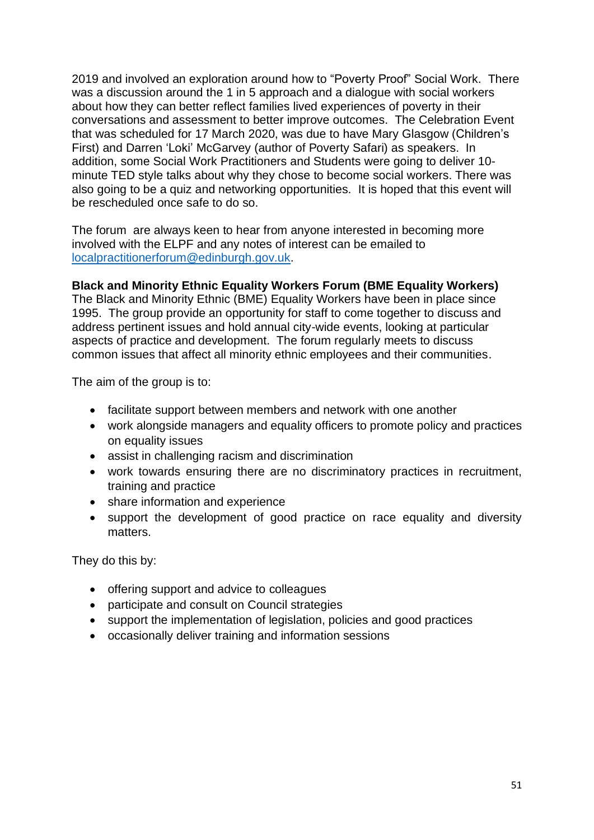2019 and involved an exploration around how to "Poverty Proof" Social Work. There was a discussion around the 1 in 5 approach and a dialogue with social workers about how they can better reflect families lived experiences of poverty in their conversations and assessment to better improve outcomes. The Celebration Event that was scheduled for 17 March 2020, was due to have Mary Glasgow (Children's First) and Darren 'Loki' McGarvey (author of Poverty Safari) as speakers. In addition, some Social Work Practitioners and Students were going to deliver 10 minute TED style talks about why they chose to become social workers. There was also going to be a quiz and networking opportunities. It is hoped that this event will be rescheduled once safe to do so.

The forum are always keen to hear from anyone interested in becoming more involved with the ELPF and any notes of interest can be emailed to [localpractitionerforum@edinburgh.gov.uk.](mailto:localpractitionerforum@edinburgh.gov.uk)

# **Black and Minority Ethnic Equality Workers Forum (BME Equality Workers)**

The Black and Minority Ethnic (BME) Equality Workers have been in place since 1995. The group provide an opportunity for staff to come together to discuss and address pertinent issues and hold annual city-wide events, looking at particular aspects of practice and development. The forum regularly meets to discuss common issues that affect all minority ethnic employees and their communities.

The aim of the group is to:

- facilitate support between members and network with one another
- work alongside managers and equality officers to promote policy and practices on equality issues
- assist in challenging racism and discrimination
- work towards ensuring there are no discriminatory practices in recruitment, training and practice
- share information and experience
- support the development of good practice on race equality and diversity matters.

They do this by:

- offering support and advice to colleagues
- participate and consult on Council strategies
- support the implementation of legislation, policies and good practices
- occasionally deliver training and information sessions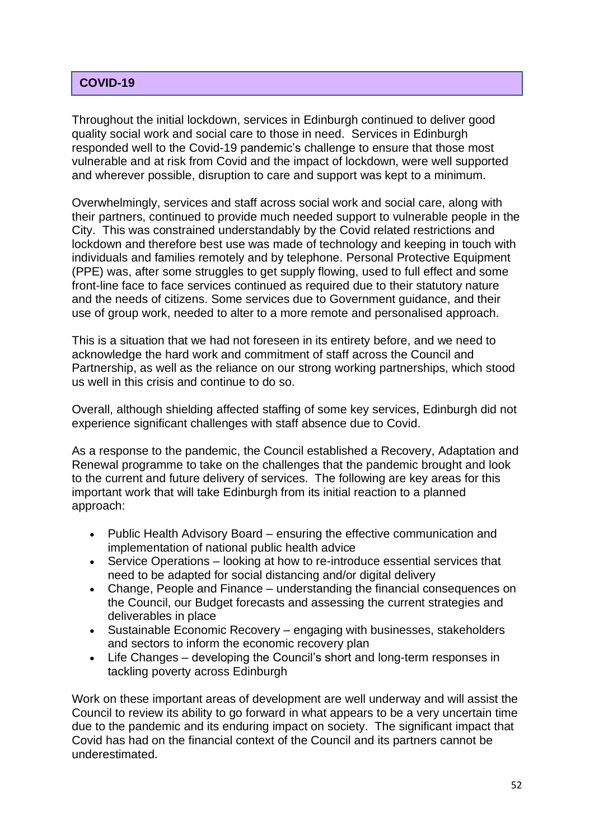# **COVID - 19 COVID-19**

Throughout the initial lockdown, services in Edinburgh continued to deliver good quality social work and social care to those in need. Services in Edinburgh responded well to the Covid-19 pandemic's challenge to ensure that those most vulnerable and at risk from Covid and the impact of lockdown, were well supported and wherever possible, disruption to care and support was kept to a minimum.

Overwhelmingly, services and staff across social work and social care, along with their partners, continued to provide much needed support to vulnerable people in the City. This was constrained understandably by the Covid related restrictions and lockdown and therefore best use was made of technology and keeping in touch with individuals and families remotely and by telephone. Personal Protective Equipment (PPE) was, after some struggles to get supply flowing, used to full effect and some front-line face to face services continued as required due to their statutory nature and the needs of citizens. Some services due to Government guidance, and their use of group work, needed to alter to a more remote and personalised approach.

This is a situation that we had not foreseen in its entirety before, and we need to acknowledge the hard work and commitment of staff across the Council and Partnership, as well as the reliance on our strong working partnerships, which stood us well in this crisis and continue to do so.

Overall, although shielding affected staffing of some key services, Edinburgh did not experience significant challenges with staff absence due to Covid.

As a response to the pandemic, the Council established a Recovery, Adaptation and Renewal programme to take on the challenges that the pandemic brought and look to the current and future delivery of services. The following are key areas for this important work that will take Edinburgh from its initial reaction to a planned approach:

- Public Health Advisory Board ensuring the effective communication and implementation of national public health advice
- Service Operations looking at how to re-introduce essential services that need to be adapted for social distancing and/or digital delivery
- Change, People and Finance understanding the financial consequences on the Council, our Budget forecasts and assessing the current strategies and deliverables in place
- Sustainable Economic Recovery engaging with businesses, stakeholders and sectors to inform the economic recovery plan
- Life Changes developing the Council's short and long-term responses in tackling poverty across Edinburgh

Work on these important areas of development are well underway and will assist the Council to review its ability to go forward in what appears to be a very uncertain time due to the pandemic and its enduring impact on society. The significant impact that Covid has had on the financial context of the Council and its partners cannot be underestimated.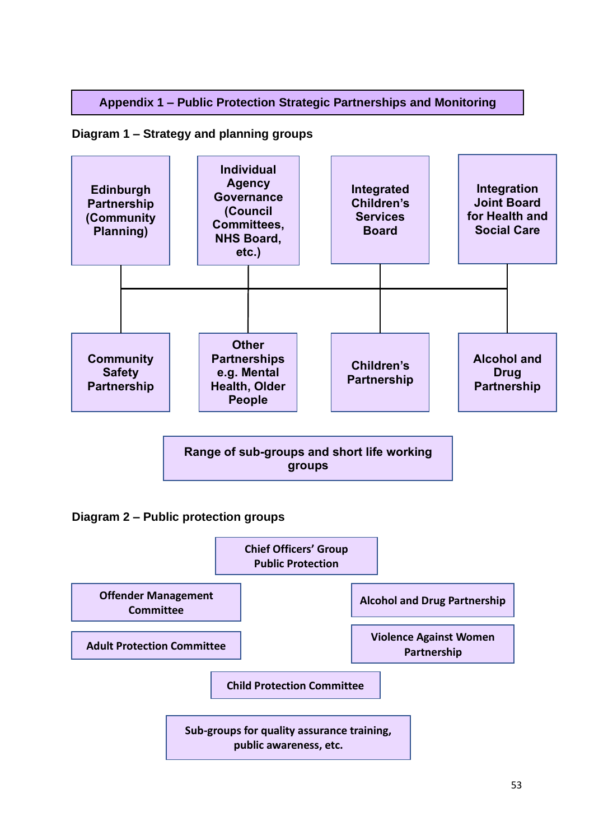# **Appendix 1 – Public Protection Strategic Partnerships and Monitoring**

# **Diagram 1 – Strategy and planning groups**



**Range of sub-groups and short life working groups**

**Diagram 2 – Public protection groups**

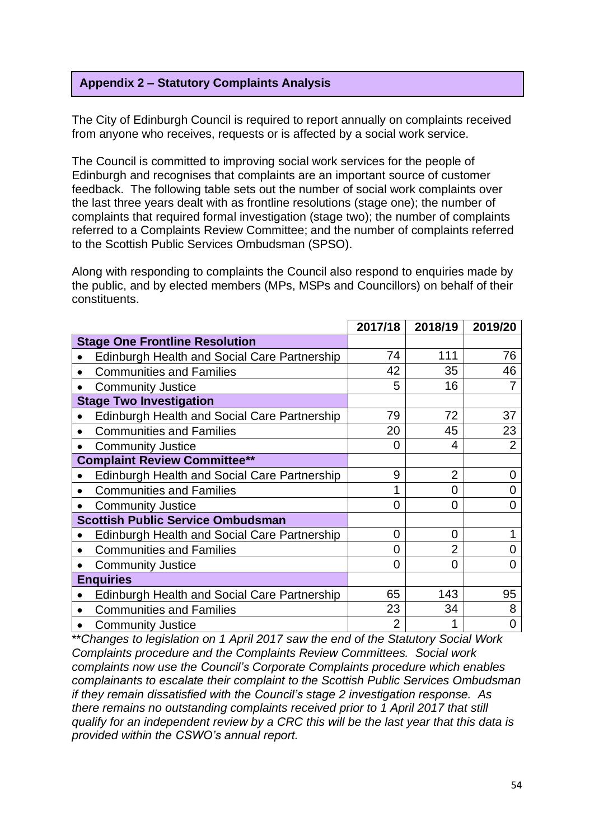# **Appendix 2 – Statutory Complaints Analysis**

The City of Edinburgh Council is required to report annually on complaints received from anyone who receives, requests or is affected by a social work service.

The Council is committed to improving social work services for the people of Edinburgh and recognises that complaints are an important source of customer feedback. The following table sets out the number of social work complaints over the last three years dealt with as frontline resolutions (stage one); the number of complaints that required formal investigation (stage two); the number of complaints referred to a Complaints Review Committee; and the number of complaints referred to the Scottish Public Services Ombudsman (SPSO).

Along with responding to complaints the Council also respond to enquiries made by the public, and by elected members (MPs, MSPs and Councillors) on behalf of their constituents.

|                                                     | 2017/18        | 2018/19        | 2019/20        |
|-----------------------------------------------------|----------------|----------------|----------------|
| <b>Stage One Frontline Resolution</b>               |                |                |                |
| Edinburgh Health and Social Care Partnership        | 74             | 111            | 76             |
| <b>Communities and Families</b><br>$\bullet$        | 42             | 35             | 46             |
| <b>Community Justice</b><br>$\bullet$               | 5              | 16             | 7              |
| <b>Stage Two Investigation</b>                      |                |                |                |
| <b>Edinburgh Health and Social Care Partnership</b> | 79             | 72             | 37             |
| <b>Communities and Families</b>                     | 20             | 45             | 23             |
| <b>Community Justice</b>                            | 0              | 4              | $\overline{2}$ |
| <b>Complaint Review Committee**</b>                 |                |                |                |
| Edinburgh Health and Social Care Partnership        | 9              | $\overline{2}$ | 0              |
| <b>Communities and Families</b>                     | 1              | 0              | 0              |
| <b>Community Justice</b><br>$\bullet$               | $\overline{0}$ | 0              | 0              |
| <b>Scottish Public Service Ombudsman</b>            |                |                |                |
| <b>Edinburgh Health and Social Care Partnership</b> | $\overline{0}$ | 0              |                |
| <b>Communities and Families</b>                     | 0              | $\overline{2}$ | O              |
| <b>Community Justice</b>                            | 0              | 0              | 0              |
| <b>Enquiries</b>                                    |                |                |                |
| Edinburgh Health and Social Care Partnership        | 65             | 143            | 95             |
| <b>Communities and Families</b>                     | 23             | 34             | 8              |
| <b>Community Justice</b>                            | $\overline{2}$ |                | 0              |

\*\**Changes to legislation on 1 April 2017 saw the end of the Statutory Social Work Complaints procedure and the Complaints Review Committees. Social work complaints now use the Council's Corporate Complaints procedure which enables complainants to escalate their complaint to the Scottish Public Services Ombudsman if they remain dissatisfied with the Council's stage 2 investigation response. As there remains no outstanding complaints received prior to 1 April 2017 that still qualify for an independent review by a CRC this will be the last year that this data is provided within the CSWO's annual report.*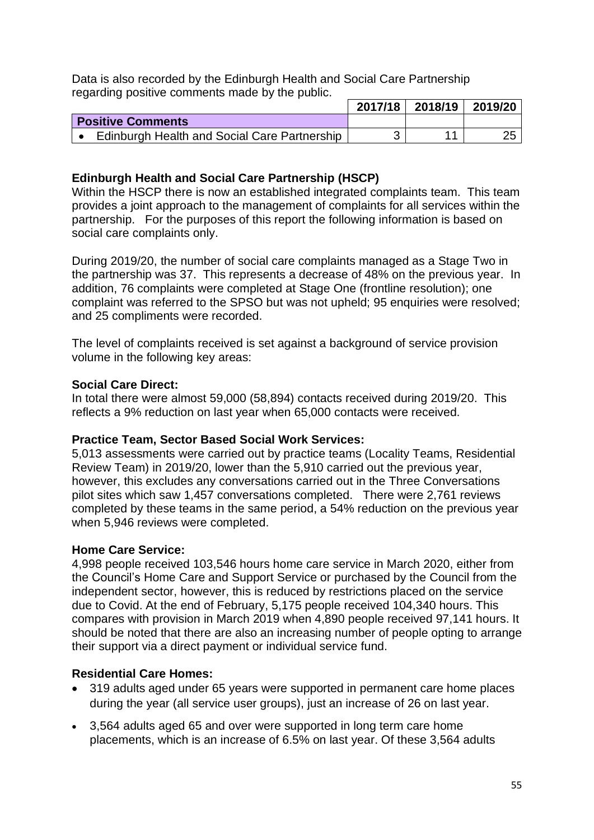Data is also recorded by the Edinburgh Health and Social Care Partnership regarding positive comments made by the public.

|                                              | 2017/18 2018/19 2019/20 |  |
|----------------------------------------------|-------------------------|--|
| <b>Positive Comments</b>                     |                         |  |
| Edinburgh Health and Social Care Partnership |                         |  |

# **Edinburgh Health and Social Care Partnership (HSCP)**

Within the HSCP there is now an established integrated complaints team. This team provides a joint approach to the management of complaints for all services within the partnership. For the purposes of this report the following information is based on social care complaints only.

During 2019/20, the number of social care complaints managed as a Stage Two in the partnership was 37. This represents a decrease of 48% on the previous year. In addition, 76 complaints were completed at Stage One (frontline resolution); one complaint was referred to the SPSO but was not upheld; 95 enquiries were resolved; and 25 compliments were recorded.

The level of complaints received is set against a background of service provision volume in the following key areas:

#### **Social Care Direct:**

In total there were almost 59,000 (58,894) contacts received during 2019/20. This reflects a 9% reduction on last year when 65,000 contacts were received.

### **Practice Team, Sector Based Social Work Services:**

5,013 assessments were carried out by practice teams (Locality Teams, Residential Review Team) in 2019/20, lower than the 5,910 carried out the previous year, however, this excludes any conversations carried out in the Three Conversations pilot sites which saw 1,457 conversations completed. There were 2,761 reviews completed by these teams in the same period, a 54% reduction on the previous year when 5,946 reviews were completed.

#### **Home Care Service:**

4,998 people received 103,546 hours home care service in March 2020, either from the Council's Home Care and Support Service or purchased by the Council from the independent sector, however, this is reduced by restrictions placed on the service due to Covid. At the end of February, 5,175 people received 104,340 hours. This compares with provision in March 2019 when 4,890 people received 97,141 hours. It should be noted that there are also an increasing number of people opting to arrange their support via a direct payment or individual service fund.

### **Residential Care Homes:**

- 319 adults aged under 65 years were supported in permanent care home places during the year (all service user groups), just an increase of 26 on last year.
- 3,564 adults aged 65 and over were supported in long term care home placements, which is an increase of 6.5% on last year. Of these 3,564 adults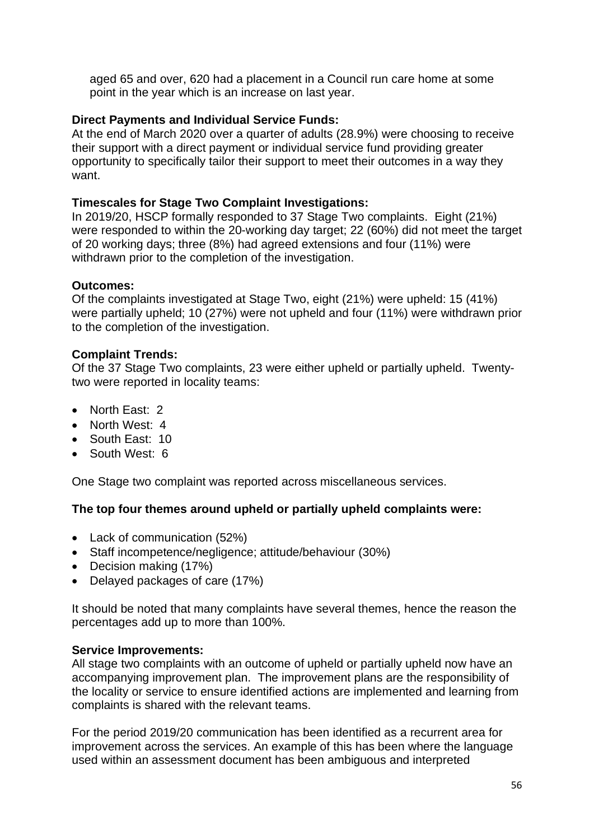aged 65 and over, 620 had a placement in a Council run care home at some point in the year which is an increase on last year.

# **Direct Payments and Individual Service Funds:**

At the end of March 2020 over a quarter of adults (28.9%) were choosing to receive their support with a direct payment or individual service fund providing greater opportunity to specifically tailor their support to meet their outcomes in a way they want.

### **Timescales for Stage Two Complaint Investigations:**

In 2019/20, HSCP formally responded to 37 Stage Two complaints. Eight (21%) were responded to within the 20-working day target; 22 (60%) did not meet the target of 20 working days; three (8%) had agreed extensions and four (11%) were withdrawn prior to the completion of the investigation.

# **Outcomes:**

Of the complaints investigated at Stage Two, eight (21%) were upheld: 15 (41%) were partially upheld; 10 (27%) were not upheld and four (11%) were withdrawn prior to the completion of the investigation.

# **Complaint Trends:**

Of the 37 Stage Two complaints, 23 were either upheld or partially upheld. Twentytwo were reported in locality teams:

- North East: 2
- North West: 4
- South East: 10
- South West: 6

One Stage two complaint was reported across miscellaneous services.

### **The top four themes around upheld or partially upheld complaints were:**

- Lack of communication (52%)
- Staff incompetence/negligence; attitude/behaviour (30%)
- Decision making (17%)
- Delayed packages of care (17%)

It should be noted that many complaints have several themes, hence the reason the percentages add up to more than 100%.

### **Service Improvements:**

All stage two complaints with an outcome of upheld or partially upheld now have an accompanying improvement plan. The improvement plans are the responsibility of the locality or service to ensure identified actions are implemented and learning from complaints is shared with the relevant teams.

For the period 2019/20 communication has been identified as a recurrent area for improvement across the services. An example of this has been where the language used within an assessment document has been ambiguous and interpreted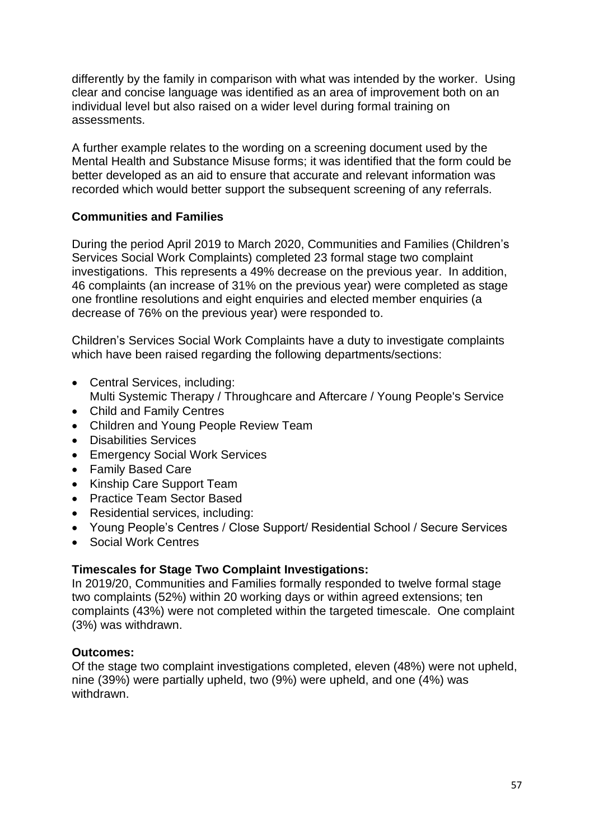differently by the family in comparison with what was intended by the worker. Using clear and concise language was identified as an area of improvement both on an individual level but also raised on a wider level during formal training on assessments.

A further example relates to the wording on a screening document used by the Mental Health and Substance Misuse forms; it was identified that the form could be better developed as an aid to ensure that accurate and relevant information was recorded which would better support the subsequent screening of any referrals.

# **Communities and Families**

During the period April 2019 to March 2020, Communities and Families (Children's Services Social Work Complaints) completed 23 formal stage two complaint investigations. This represents a 49% decrease on the previous year. In addition, 46 complaints (an increase of 31% on the previous year) were completed as stage one frontline resolutions and eight enquiries and elected member enquiries (a decrease of 76% on the previous year) were responded to.

Children's Services Social Work Complaints have a duty to investigate complaints which have been raised regarding the following departments/sections:

- Central Services, including:
- Multi Systemic Therapy / Throughcare and Aftercare / Young People's Service
- Child and Family Centres
- Children and Young People Review Team
- Disabilities Services
- Emergency Social Work Services
- Family Based Care
- Kinship Care Support Team
- Practice Team Sector Based
- Residential services, including:
- Young People's Centres / Close Support/ Residential School / Secure Services
- Social Work Centres

### **Timescales for Stage Two Complaint Investigations:**

In 2019/20, Communities and Families formally responded to twelve formal stage two complaints (52%) within 20 working days or within agreed extensions; ten complaints (43%) were not completed within the targeted timescale. One complaint (3%) was withdrawn.

### **Outcomes:**

Of the stage two complaint investigations completed, eleven (48%) were not upheld, nine (39%) were partially upheld, two (9%) were upheld, and one (4%) was withdrawn.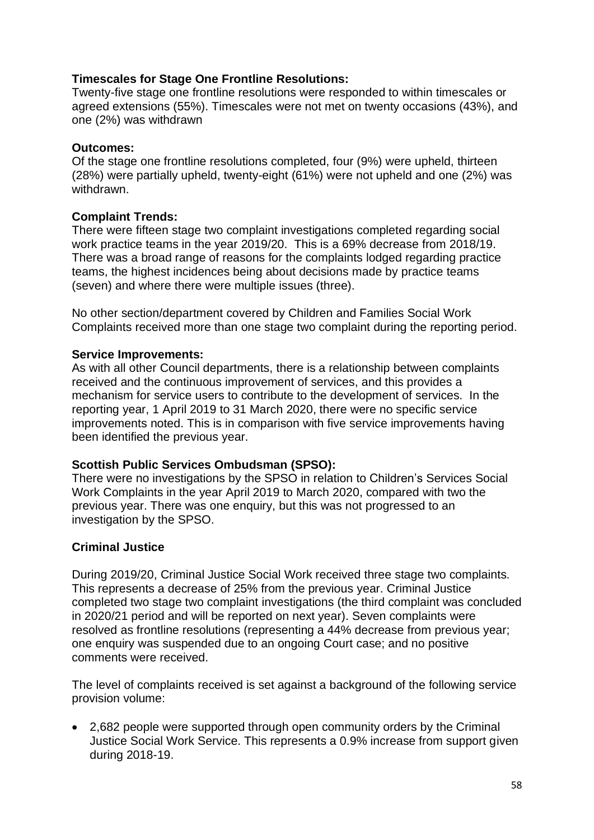# **Timescales for Stage One Frontline Resolutions:**

Twenty-five stage one frontline resolutions were responded to within timescales or agreed extensions (55%). Timescales were not met on twenty occasions (43%), and one (2%) was withdrawn

### **Outcomes:**

Of the stage one frontline resolutions completed, four (9%) were upheld, thirteen (28%) were partially upheld, twenty-eight (61%) were not upheld and one (2%) was withdrawn.

### **Complaint Trends:**

There were fifteen stage two complaint investigations completed regarding social work practice teams in the year 2019/20. This is a 69% decrease from 2018/19. There was a broad range of reasons for the complaints lodged regarding practice teams, the highest incidences being about decisions made by practice teams (seven) and where there were multiple issues (three).

No other section/department covered by Children and Families Social Work Complaints received more than one stage two complaint during the reporting period.

### **Service Improvements:**

As with all other Council departments, there is a relationship between complaints received and the continuous improvement of services, and this provides a mechanism for service users to contribute to the development of services. In the reporting year, 1 April 2019 to 31 March 2020, there were no specific service improvements noted. This is in comparison with five service improvements having been identified the previous year.

### **Scottish Public Services Ombudsman (SPSO):**

There were no investigations by the SPSO in relation to Children's Services Social Work Complaints in the year April 2019 to March 2020, compared with two the previous year. There was one enquiry, but this was not progressed to an investigation by the SPSO.

### **Criminal Justice**

During 2019/20, Criminal Justice Social Work received three stage two complaints. This represents a decrease of 25% from the previous year. Criminal Justice completed two stage two complaint investigations (the third complaint was concluded in 2020/21 period and will be reported on next year). Seven complaints were resolved as frontline resolutions (representing a 44% decrease from previous year; one enquiry was suspended due to an ongoing Court case; and no positive comments were received.

The level of complaints received is set against a background of the following service provision volume:

• 2,682 people were supported through open community orders by the Criminal Justice Social Work Service. This represents a 0.9% increase from support given during 2018-19.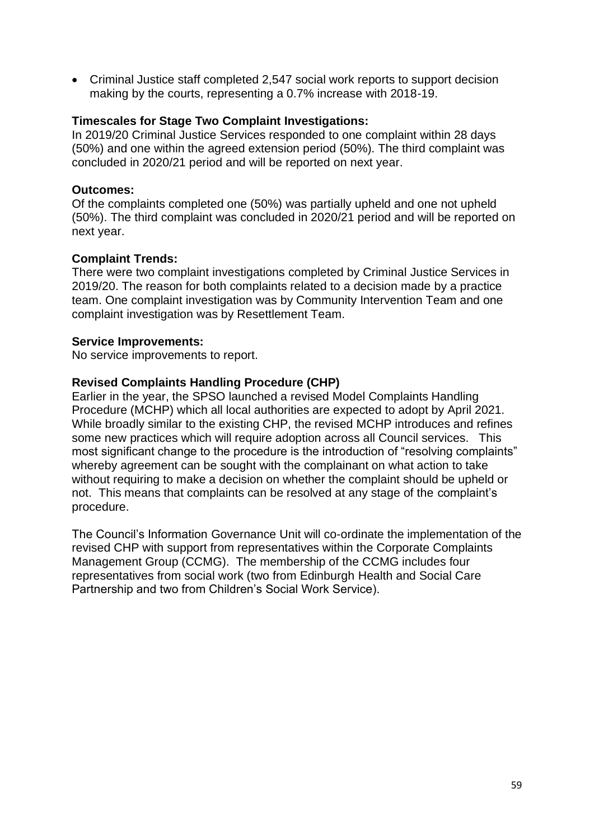• Criminal Justice staff completed 2,547 social work reports to support decision making by the courts, representing a 0.7% increase with 2018-19.

### **Timescales for Stage Two Complaint Investigations:**

In 2019/20 Criminal Justice Services responded to one complaint within 28 days (50%) and one within the agreed extension period (50%). The third complaint was concluded in 2020/21 period and will be reported on next year.

### **Outcomes:**

Of the complaints completed one (50%) was partially upheld and one not upheld (50%). The third complaint was concluded in 2020/21 period and will be reported on next year.

# **Complaint Trends:**

There were two complaint investigations completed by Criminal Justice Services in 2019/20. The reason for both complaints related to a decision made by a practice team. One complaint investigation was by Community Intervention Team and one complaint investigation was by Resettlement Team.

### **Service Improvements:**

No service improvements to report.

# **Revised Complaints Handling Procedure (CHP)**

Earlier in the year, the SPSO launched a revised Model Complaints Handling Procedure (MCHP) which all local authorities are expected to adopt by April 2021. While broadly similar to the existing CHP, the revised MCHP introduces and refines some new practices which will require adoption across all Council services. This most significant change to the procedure is the introduction of "resolving complaints" whereby agreement can be sought with the complainant on what action to take without requiring to make a decision on whether the complaint should be upheld or not. This means that complaints can be resolved at any stage of the complaint's procedure.

The Council's Information Governance Unit will co-ordinate the implementation of the revised CHP with support from representatives within the Corporate Complaints Management Group (CCMG). The membership of the CCMG includes four representatives from social work (two from Edinburgh Health and Social Care Partnership and two from Children's Social Work Service).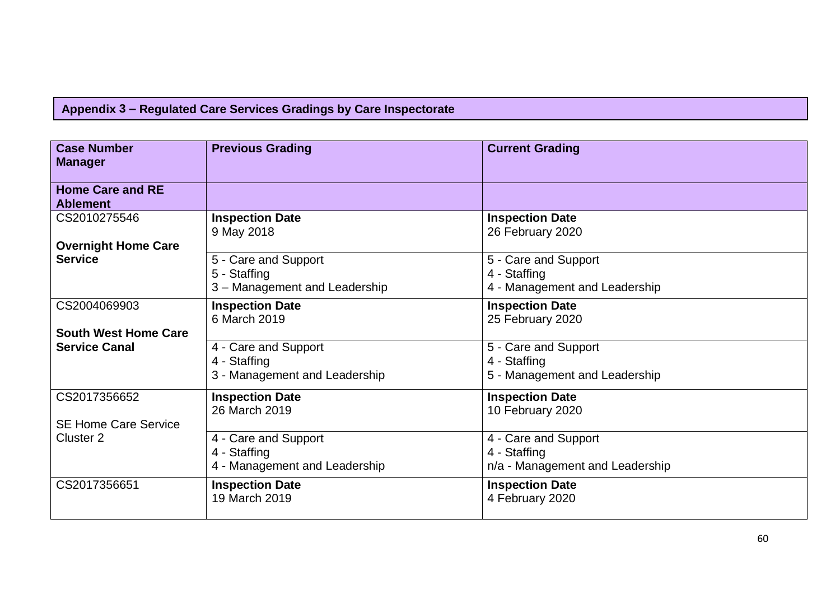|  |  |  |  | Appendix 3 – Regulated Care Services Gradings by Care Inspectorate |
|--|--|--|--|--------------------------------------------------------------------|
|--|--|--|--|--------------------------------------------------------------------|

| <b>Case Number</b><br><b>Manager</b>       | <b>Previous Grading</b>                                               | <b>Current Grading</b>                                                  |
|--------------------------------------------|-----------------------------------------------------------------------|-------------------------------------------------------------------------|
| <b>Home Care and RE</b><br><b>Ablement</b> |                                                                       |                                                                         |
| CS2010275546                               | <b>Inspection Date</b><br>9 May 2018                                  | <b>Inspection Date</b><br>26 February 2020                              |
| <b>Overnight Home Care</b>                 |                                                                       |                                                                         |
| <b>Service</b>                             | 5 - Care and Support<br>5 - Staffing<br>3 – Management and Leadership | 5 - Care and Support<br>4 - Staffing<br>4 - Management and Leadership   |
| CS2004069903                               | <b>Inspection Date</b><br>6 March 2019                                | <b>Inspection Date</b><br>25 February 2020                              |
| <b>South West Home Care</b>                |                                                                       |                                                                         |
| <b>Service Canal</b>                       | 4 - Care and Support                                                  | 5 - Care and Support                                                    |
|                                            | 4 - Staffing                                                          | 4 - Staffing                                                            |
|                                            | 3 - Management and Leadership                                         | 5 - Management and Leadership                                           |
| CS2017356652                               | <b>Inspection Date</b><br>26 March 2019                               | <b>Inspection Date</b><br>10 February 2020                              |
| <b>SE Home Care Service</b>                |                                                                       |                                                                         |
| Cluster <sub>2</sub>                       | 4 - Care and Support<br>4 - Staffing<br>4 - Management and Leadership | 4 - Care and Support<br>4 - Staffing<br>n/a - Management and Leadership |
| CS2017356651                               | <b>Inspection Date</b><br>19 March 2019                               | <b>Inspection Date</b><br>4 February 2020                               |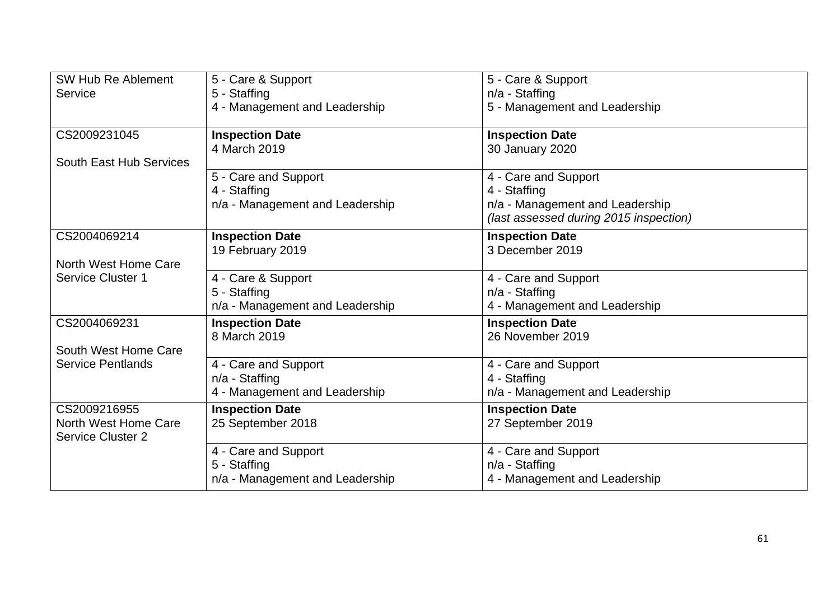| SW Hub Re Ablement<br><b>Service</b>             | 5 - Care & Support<br>5 - Staffing              | 5 - Care & Support<br>$n/a$ - Staffing                                    |
|--------------------------------------------------|-------------------------------------------------|---------------------------------------------------------------------------|
|                                                  | 4 - Management and Leadership                   | 5 - Management and Leadership                                             |
| CS2009231045                                     | <b>Inspection Date</b><br>4 March 2019          | <b>Inspection Date</b>                                                    |
| South East Hub Services                          |                                                 | 30 January 2020                                                           |
|                                                  | 5 - Care and Support<br>4 - Staffing            | 4 - Care and Support<br>4 - Staffing                                      |
|                                                  | n/a - Management and Leadership                 | n/a - Management and Leadership<br>(last assessed during 2015 inspection) |
| CS2004069214                                     | <b>Inspection Date</b><br>19 February 2019      | <b>Inspection Date</b><br>3 December 2019                                 |
| North West Home Care<br><b>Service Cluster 1</b> |                                                 |                                                                           |
|                                                  | 4 - Care & Support<br>5 - Staffing              | 4 - Care and Support<br>$n/a$ - Staffing                                  |
|                                                  | n/a - Management and Leadership                 | 4 - Management and Leadership                                             |
| CS2004069231                                     | <b>Inspection Date</b>                          | <b>Inspection Date</b>                                                    |
| South West Home Care                             | 8 March 2019                                    | 26 November 2019                                                          |
| <b>Service Pentlands</b>                         | 4 - Care and Support                            | 4 - Care and Support                                                      |
|                                                  | n/a - Staffing<br>4 - Management and Leadership | 4 - Staffing<br>n/a - Management and Leadership                           |
| CS2009216955                                     | <b>Inspection Date</b>                          | <b>Inspection Date</b>                                                    |
| North West Home Care<br><b>Service Cluster 2</b> | 25 September 2018                               | 27 September 2019                                                         |
|                                                  | 4 - Care and Support                            | 4 - Care and Support                                                      |
|                                                  | 5 - Staffing                                    | $n/a$ - Staffing                                                          |
|                                                  | n/a - Management and Leadership                 | 4 - Management and Leadership                                             |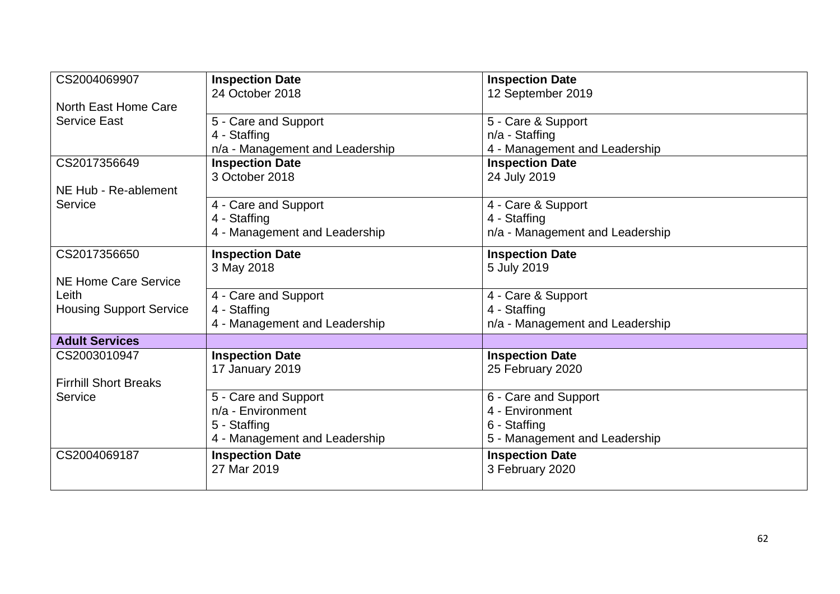| CS2004069907                   | <b>Inspection Date</b>          | <b>Inspection Date</b>          |
|--------------------------------|---------------------------------|---------------------------------|
|                                | 24 October 2018                 | 12 September 2019               |
| North East Home Care           |                                 |                                 |
| <b>Service East</b>            | 5 - Care and Support            | 5 - Care & Support              |
|                                | 4 - Staffing                    | $n/a$ - Staffing                |
|                                | n/a - Management and Leadership | 4 - Management and Leadership   |
| CS2017356649                   | <b>Inspection Date</b>          | <b>Inspection Date</b>          |
|                                | 3 October 2018                  | 24 July 2019                    |
| NE Hub - Re-ablement           |                                 |                                 |
| Service                        | 4 - Care and Support            | 4 - Care & Support              |
|                                | 4 - Staffing                    | 4 - Staffing                    |
|                                | 4 - Management and Leadership   | n/a - Management and Leadership |
| CS2017356650                   | <b>Inspection Date</b>          | <b>Inspection Date</b>          |
|                                | 3 May 2018                      | 5 July 2019                     |
| <b>NE Home Care Service</b>    |                                 |                                 |
| Leith                          | 4 - Care and Support            | 4 - Care & Support              |
| <b>Housing Support Service</b> | 4 - Staffing                    | 4 - Staffing                    |
|                                | 4 - Management and Leadership   | n/a - Management and Leadership |
| <b>Adult Services</b>          |                                 |                                 |
| CS2003010947                   | <b>Inspection Date</b>          | <b>Inspection Date</b>          |
|                                | 17 January 2019                 | 25 February 2020                |
| <b>Firrhill Short Breaks</b>   |                                 |                                 |
| Service                        | 5 - Care and Support            | 6 - Care and Support            |
|                                | n/a - Environment               | 4 - Environment                 |
|                                | 5 - Staffing                    | 6 - Staffing                    |
|                                | 4 - Management and Leadership   | 5 - Management and Leadership   |
| CS2004069187                   | <b>Inspection Date</b>          | <b>Inspection Date</b>          |
|                                | 27 Mar 2019                     | 3 February 2020                 |
|                                |                                 |                                 |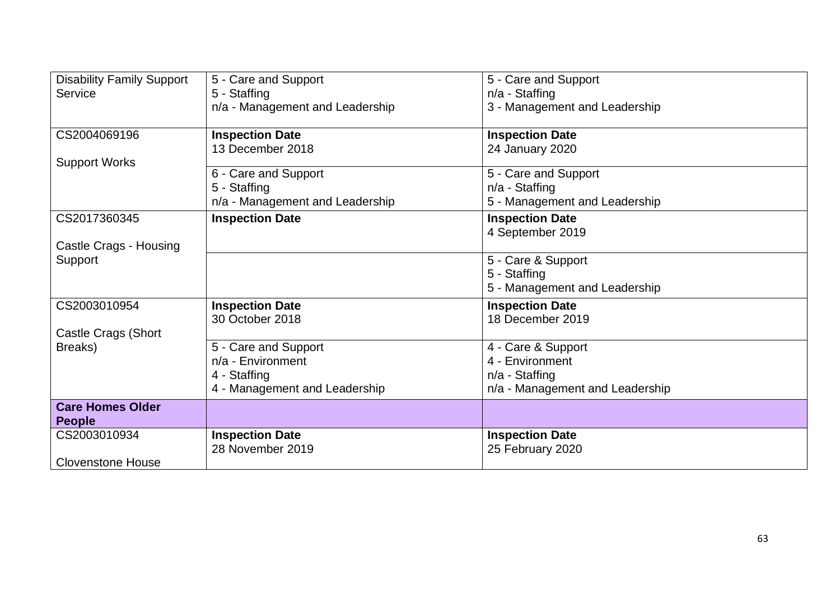| <b>Disability Family Support</b><br>Service | 5 - Care and Support<br>5 - Staffing<br>n/a - Management and Leadership | 5 - Care and Support<br>$n/a$ - Staffing<br>3 - Management and Leadership |
|---------------------------------------------|-------------------------------------------------------------------------|---------------------------------------------------------------------------|
| CS2004069196                                | <b>Inspection Date</b>                                                  | <b>Inspection Date</b>                                                    |
| <b>Support Works</b>                        | 13 December 2018                                                        | 24 January 2020                                                           |
|                                             | 6 - Care and Support<br>5 - Staffing<br>n/a - Management and Leadership | 5 - Care and Support<br>$n/a$ - Staffing<br>5 - Management and Leadership |
| CS2017360345                                | <b>Inspection Date</b>                                                  | <b>Inspection Date</b><br>4 September 2019                                |
| Castle Crags - Housing                      |                                                                         |                                                                           |
| Support                                     |                                                                         | 5 - Care & Support                                                        |
|                                             |                                                                         | 5 - Staffing<br>5 - Management and Leadership                             |
| CS2003010954                                | <b>Inspection Date</b>                                                  | <b>Inspection Date</b>                                                    |
|                                             | 30 October 2018                                                         | 18 December 2019                                                          |
| Castle Crags (Short<br>Breaks)              | 5 - Care and Support                                                    |                                                                           |
|                                             | n/a - Environment                                                       | 4 - Care & Support<br>4 - Environment                                     |
|                                             | 4 - Staffing                                                            | $n/a$ - Staffing                                                          |
|                                             | 4 - Management and Leadership                                           | n/a - Management and Leadership                                           |
| <b>Care Homes Older</b><br><b>People</b>    |                                                                         |                                                                           |
| CS2003010934                                | <b>Inspection Date</b><br>28 November 2019                              | <b>Inspection Date</b>                                                    |
| <b>Clovenstone House</b>                    |                                                                         | 25 February 2020                                                          |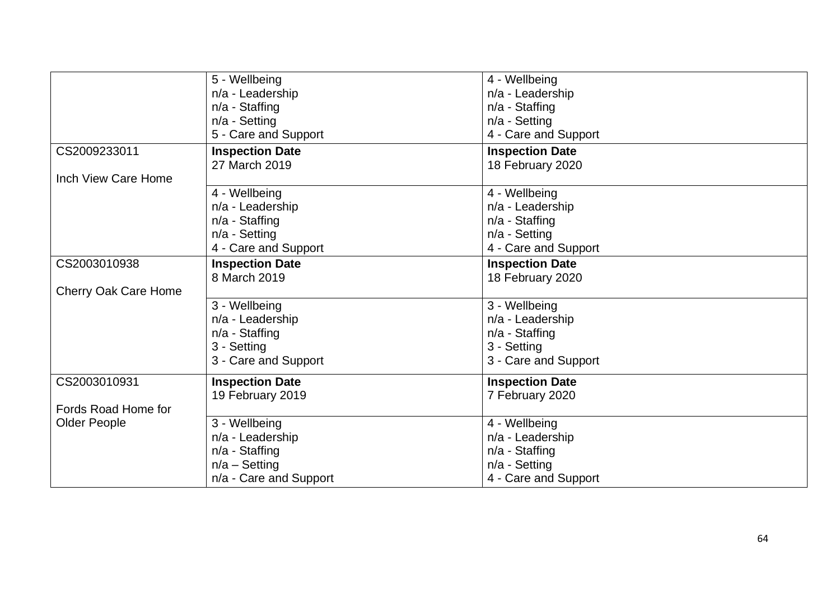|                             | 5 - Wellbeing          | 4 - Wellbeing          |
|-----------------------------|------------------------|------------------------|
|                             | n/a - Leadership       | n/a - Leadership       |
|                             | $n/a$ - Staffing       | $n/a$ - Staffing       |
|                             | $n/a$ - Setting        | n/a - Setting          |
|                             | 5 - Care and Support   | 4 - Care and Support   |
| CS2009233011                | <b>Inspection Date</b> | <b>Inspection Date</b> |
|                             | 27 March 2019          | 18 February 2020       |
| Inch View Care Home         |                        |                        |
|                             | 4 - Wellbeing          | 4 - Wellbeing          |
|                             | n/a - Leadership       | n/a - Leadership       |
|                             | $n/a$ - Staffing       | $n/a$ - Staffing       |
|                             | n/a - Setting          | $n/a$ - Setting        |
|                             | 4 - Care and Support   | 4 - Care and Support   |
| CS2003010938                | <b>Inspection Date</b> | <b>Inspection Date</b> |
|                             | 8 March 2019           | 18 February 2020       |
| <b>Cherry Oak Care Home</b> |                        |                        |
|                             | 3 - Wellbeing          | 3 - Wellbeing          |
|                             | n/a - Leadership       | n/a - Leadership       |
|                             | $n/a$ - Staffing       | $n/a$ - Staffing       |
|                             | 3 - Setting            | 3 - Setting            |
|                             | 3 - Care and Support   | 3 - Care and Support   |
| CS2003010931                | <b>Inspection Date</b> | <b>Inspection Date</b> |
|                             | 19 February 2019       | 7 February 2020        |
| Fords Road Home for         |                        |                        |
| <b>Older People</b>         | 3 - Wellbeing          | 4 - Wellbeing          |
|                             | n/a - Leadership       | n/a - Leadership       |
|                             | $n/a$ - Staffing       | $n/a$ - Staffing       |
|                             | $n/a -$ Setting        | n/a - Setting          |
|                             | n/a - Care and Support | 4 - Care and Support   |
|                             |                        |                        |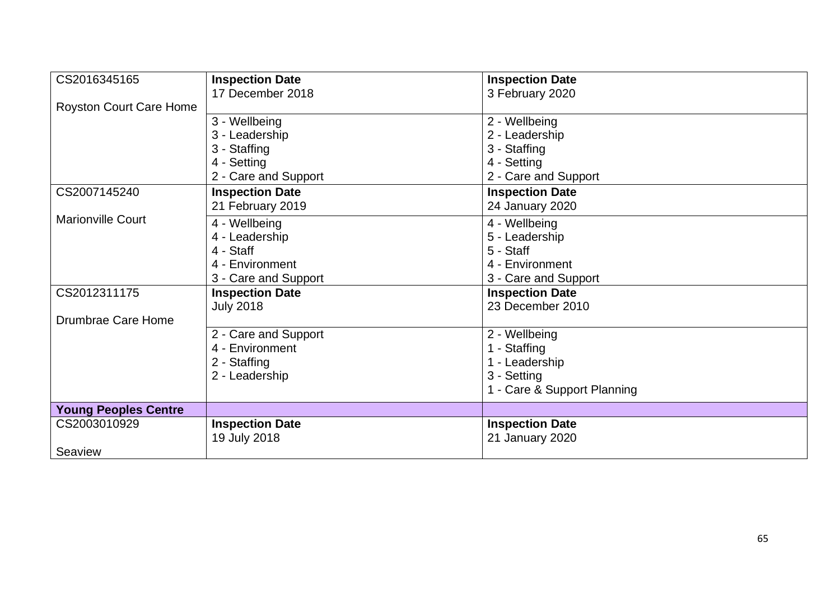| CS2016345165                   | <b>Inspection Date</b> | <b>Inspection Date</b>      |
|--------------------------------|------------------------|-----------------------------|
|                                |                        |                             |
|                                | 17 December 2018       | 3 February 2020             |
| <b>Royston Court Care Home</b> |                        |                             |
|                                | 3 - Wellbeing          | 2 - Wellbeing               |
|                                | 3 - Leadership         | 2 - Leadership              |
|                                | 3 - Staffing           | 3 - Staffing                |
|                                | 4 - Setting            | 4 - Setting                 |
|                                | 2 - Care and Support   | 2 - Care and Support        |
| CS2007145240                   | <b>Inspection Date</b> | <b>Inspection Date</b>      |
|                                | 21 February 2019       | 24 January 2020             |
| <b>Marionville Court</b>       | 4 - Wellbeing          | 4 - Wellbeing               |
|                                | 4 - Leadership         | 5 - Leadership              |
|                                | 4 - Staff              | 5 - Staff                   |
|                                | 4 - Environment        | 4 - Environment             |
|                                | 3 - Care and Support   | 3 - Care and Support        |
|                                |                        |                             |
| CS2012311175                   | <b>Inspection Date</b> | <b>Inspection Date</b>      |
|                                | <b>July 2018</b>       | 23 December 2010            |
| Drumbrae Care Home             |                        |                             |
|                                | 2 - Care and Support   | 2 - Wellbeing               |
|                                | 4 - Environment        | 1 - Staffing                |
|                                | 2 - Staffing           | 1 - Leadership              |
|                                | 2 - Leadership         | 3 - Setting                 |
|                                |                        | 1 - Care & Support Planning |
|                                |                        |                             |
| <b>Young Peoples Centre</b>    |                        |                             |
| CS2003010929                   | <b>Inspection Date</b> | <b>Inspection Date</b>      |
|                                | 19 July 2018           | 21 January 2020             |
| Seaview                        |                        |                             |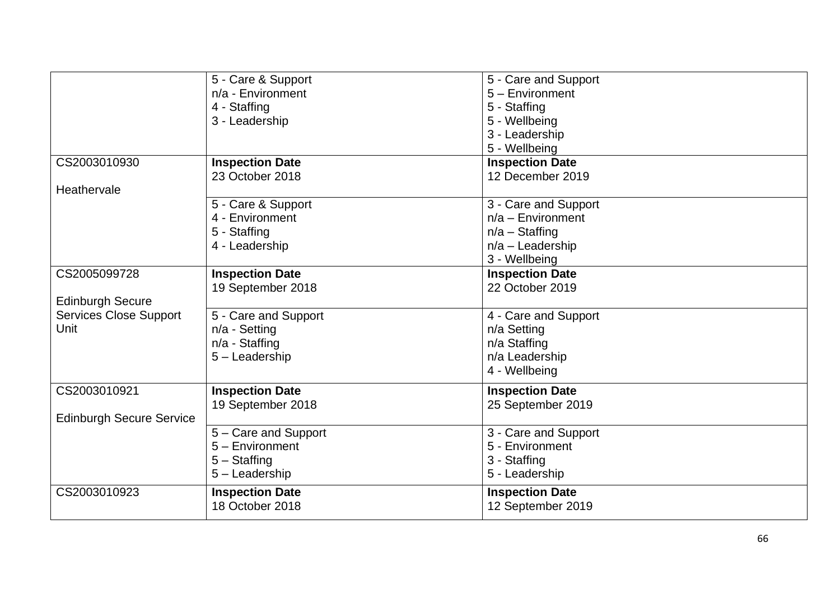|                                 | 5 - Care & Support     | 5 - Care and Support   |
|---------------------------------|------------------------|------------------------|
|                                 | n/a - Environment      | 5 - Environment        |
|                                 | 4 - Staffing           | 5 - Staffing           |
|                                 | 3 - Leadership         | 5 - Wellbeing          |
|                                 |                        | 3 - Leadership         |
|                                 |                        | 5 - Wellbeing          |
| CS2003010930                    | <b>Inspection Date</b> | <b>Inspection Date</b> |
|                                 | 23 October 2018        | 12 December 2019       |
| Heathervale                     |                        |                        |
|                                 | 5 - Care & Support     | 3 - Care and Support   |
|                                 | 4 - Environment        | $n/a$ – Environment    |
|                                 | 5 - Staffing           | $n/a -$ Staffing       |
|                                 | 4 - Leadership         | $n/a$ – Leadership     |
|                                 |                        | 3 - Wellbeing          |
| CS2005099728                    |                        |                        |
|                                 | <b>Inspection Date</b> | <b>Inspection Date</b> |
|                                 | 19 September 2018      | 22 October 2019        |
| <b>Edinburgh Secure</b>         |                        |                        |
| <b>Services Close Support</b>   | 5 - Care and Support   | 4 - Care and Support   |
| Unit                            | n/a - Setting          | n/a Setting            |
|                                 | n/a - Staffing         | n/a Staffing           |
|                                 | 5 - Leadership         | n/a Leadership         |
|                                 |                        | 4 - Wellbeing          |
| CS2003010921                    | <b>Inspection Date</b> | <b>Inspection Date</b> |
|                                 | 19 September 2018      | 25 September 2019      |
| <b>Edinburgh Secure Service</b> |                        |                        |
|                                 | 5 - Care and Support   | 3 - Care and Support   |
|                                 | $5 -$ Environment      | 5 - Environment        |
|                                 | $5 -$ Staffing         | 3 - Staffing           |
|                                 | 5 - Leadership         | 5 - Leadership         |
|                                 |                        |                        |
| CS2003010923                    | <b>Inspection Date</b> | <b>Inspection Date</b> |
|                                 | 18 October 2018        | 12 September 2019      |
|                                 |                        |                        |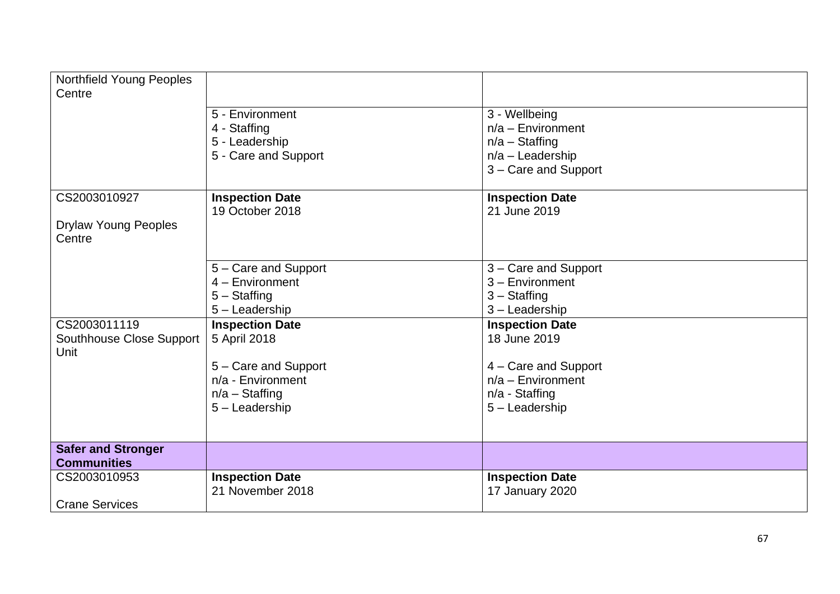| Northfield Young Peoples<br>Centre |                        |                                      |
|------------------------------------|------------------------|--------------------------------------|
|                                    |                        |                                      |
|                                    | 5 - Environment        | 3 - Wellbeing<br>$n/a$ – Environment |
|                                    | 4 - Staffing           |                                      |
|                                    | 5 - Leadership         | $n/a -$ Staffing                     |
|                                    | 5 - Care and Support   | $n/a$ – Leadership                   |
|                                    |                        | 3 – Care and Support                 |
| CS2003010927                       | <b>Inspection Date</b> | <b>Inspection Date</b>               |
|                                    | 19 October 2018        | 21 June 2019                         |
| <b>Drylaw Young Peoples</b>        |                        |                                      |
| Centre                             |                        |                                      |
|                                    |                        |                                      |
|                                    | 5 - Care and Support   | 3 - Care and Support                 |
|                                    | $4 -$ Environment      | $3 -$ Environment                    |
|                                    | $5 -$ Staffing         | $3 -$ Staffing                       |
|                                    | 5 - Leadership         | 3 - Leadership                       |
| CS2003011119                       | <b>Inspection Date</b> | <b>Inspection Date</b>               |
| Southhouse Close Support           | 5 April 2018           | 18 June 2019                         |
| Unit                               |                        |                                      |
|                                    | 5 - Care and Support   | 4 - Care and Support                 |
|                                    | n/a - Environment      | $n/a$ – Environment                  |
|                                    | $n/a -$ Staffing       | n/a - Staffing                       |
|                                    | 5 - Leadership         | 5 - Leadership                       |
|                                    |                        |                                      |
|                                    |                        |                                      |
| <b>Safer and Stronger</b>          |                        |                                      |
| <b>Communities</b>                 |                        |                                      |
| CS2003010953                       | <b>Inspection Date</b> | <b>Inspection Date</b>               |
|                                    | 21 November 2018       | 17 January 2020                      |
| <b>Crane Services</b>              |                        |                                      |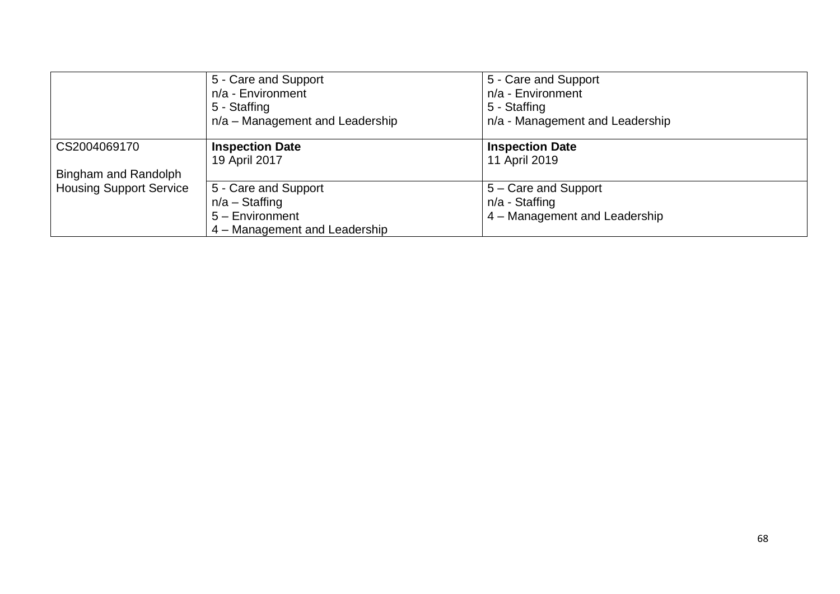|                                | 5 - Care and Support            | 5 - Care and Support            |
|--------------------------------|---------------------------------|---------------------------------|
|                                | n/a - Environment               | n/a - Environment               |
|                                | 5 - Staffing                    | 5 - Staffing                    |
|                                | n/a - Management and Leadership | n/a - Management and Leadership |
| CS2004069170                   | <b>Inspection Date</b>          | <b>Inspection Date</b>          |
|                                | 19 April 2017                   | 11 April 2019                   |
| Bingham and Randolph           |                                 |                                 |
| <b>Housing Support Service</b> | 5 - Care and Support            | 5 – Care and Support            |
|                                | $n/a -$ Staffing                | n/a - Staffing                  |
|                                | $5 -$ Environment               | 4 - Management and Leadership   |
|                                | 4 – Management and Leadership   |                                 |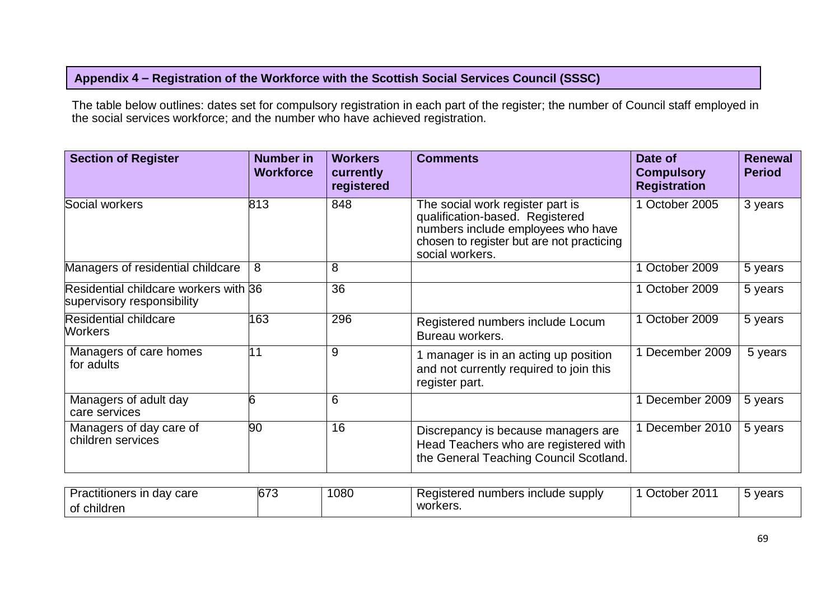## **Appendix 4 – Registration of the Workforce with the Scottish Social Services Council (SSSC)**

The table below outlines: dates set for compulsory registration in each part of the register; the number of Council staff employed in the social services workforce; and the number who have achieved registration.

| <b>Section of Register</b>                                          | <b>Number in</b><br><b>Workforce</b> | <b>Workers</b><br>currently<br>registered | <b>Comments</b>                                                                                                                                                           | Date of<br><b>Compulsory</b><br><b>Registration</b> | <b>Renewal</b><br><b>Period</b> |
|---------------------------------------------------------------------|--------------------------------------|-------------------------------------------|---------------------------------------------------------------------------------------------------------------------------------------------------------------------------|-----------------------------------------------------|---------------------------------|
| Social workers                                                      | 813                                  | 848                                       | The social work register part is<br>qualification-based. Registered<br>numbers include employees who have<br>chosen to register but are not practicing<br>social workers. | 1 October 2005                                      | 3 years                         |
| Managers of residential childcare                                   | 8                                    | 8                                         |                                                                                                                                                                           | 1 October 2009                                      | 5 years                         |
| Residential childcare workers with 36<br>supervisory responsibility |                                      | 36                                        |                                                                                                                                                                           | 1 October 2009                                      | 5 years                         |
| <b>Residential childcare</b><br><b>Workers</b>                      | 163                                  | 296                                       | Registered numbers include Locum<br>Bureau workers.                                                                                                                       | 1 October 2009                                      | 5 years                         |
| Managers of care homes<br>for adults                                | 11                                   | 9                                         | 1 manager is in an acting up position<br>and not currently required to join this<br>register part.                                                                        | 1 December 2009                                     | 5 years                         |
| Managers of adult day<br>care services                              | 6                                    | 6                                         |                                                                                                                                                                           | 1 December 2009                                     | 5 years                         |
| Managers of day care of<br>children services                        | 90                                   | 16                                        | Discrepancy is because managers are<br>Head Teachers who are registered with<br>the General Teaching Council Scotland.                                                    | 1 December 2010                                     | 5 years                         |

| -<br>$\sim$<br>∩ro<br>∽racutioners<br>uav<br><b>Cal C</b> | $\sim$ $\sim$ $\sim$<br>~ | 080 | supply<br>numbers<br>∶ Include | ററ<br>Jctober.<br>LU | years |
|-----------------------------------------------------------|---------------------------|-----|--------------------------------|----------------------|-------|
| .<br>of children                                          |                           |     | <b>WOL</b><br>--<br>. הכוט     |                      |       |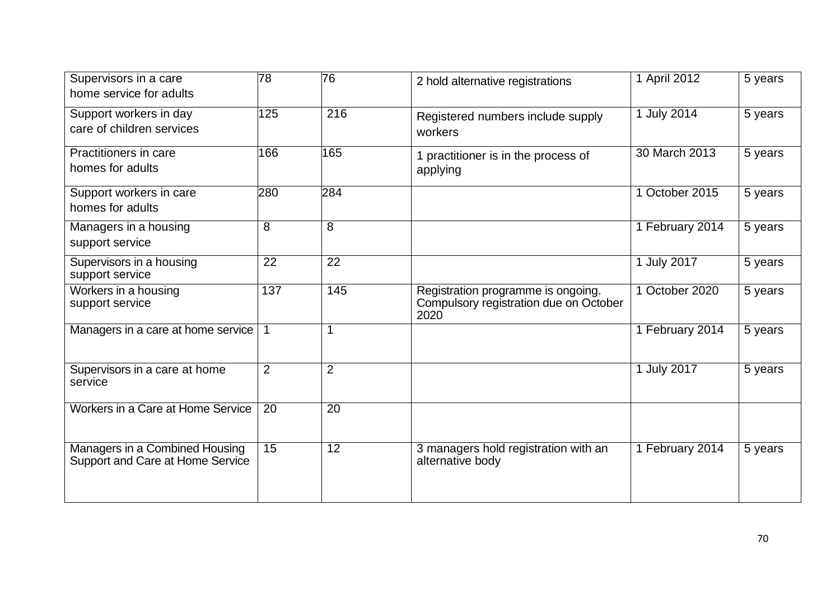| Supervisors in a care<br>home service for adults                   | 78             | 76             | 2 hold alternative registrations                                                     | 1 April 2012    | 5 years |
|--------------------------------------------------------------------|----------------|----------------|--------------------------------------------------------------------------------------|-----------------|---------|
| Support workers in day<br>care of children services                | 125            | 216            | Registered numbers include supply<br>workers                                         | 1 July 2014     | 5 years |
| Practitioners in care<br>homes for adults                          | 166            | 165            | 1 practitioner is in the process of<br>applying                                      | 30 March 2013   | 5 years |
| Support workers in care<br>homes for adults                        | 280            | 284            |                                                                                      | 1 October 2015  | 5 years |
| Managers in a housing<br>support service                           | $\overline{8}$ | $\overline{8}$ |                                                                                      | 1 February 2014 | 5 years |
| Supervisors in a housing<br>support service                        | 22             | 22             |                                                                                      | 1 July 2017     | 5 years |
| Workers in a housing<br>support service                            | 137            | 145            | Registration programme is ongoing.<br>Compulsory registration due on October<br>2020 | 1 October 2020  | 5 years |
| Managers in a care at home service   1                             |                |                |                                                                                      | 1 February 2014 | 5 years |
| Supervisors in a care at home<br>service                           | $\overline{2}$ | $\overline{2}$ |                                                                                      | 1 July 2017     | 5 years |
| Workers in a Care at Home Service                                  | 20             | 20             |                                                                                      |                 |         |
| Managers in a Combined Housing<br>Support and Care at Home Service | 15             | 12             | 3 managers hold registration with an<br>alternative body                             | 1 February 2014 | 5 years |